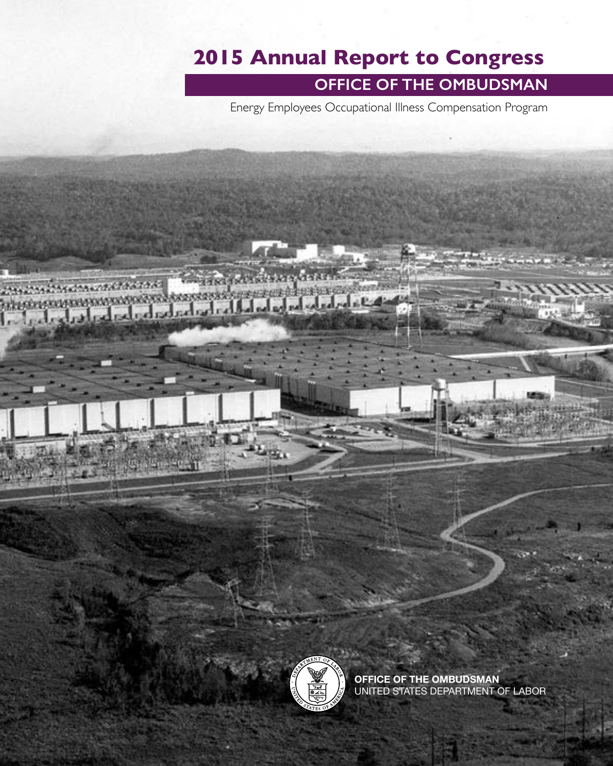## **2015 Annual Report to Congress**

### **OFFICE OF THE OMBUDSMAN**

Energy Employees Occupational Illness Compensation Program

**MARKETERSKORKERK**  $-1 - 4$ واسا سالك المسار والمرار والمراري



玉玉

**OFFICE OF THE OMBUDSMAN** UNITED STATES DEPARTMENT OF LABOR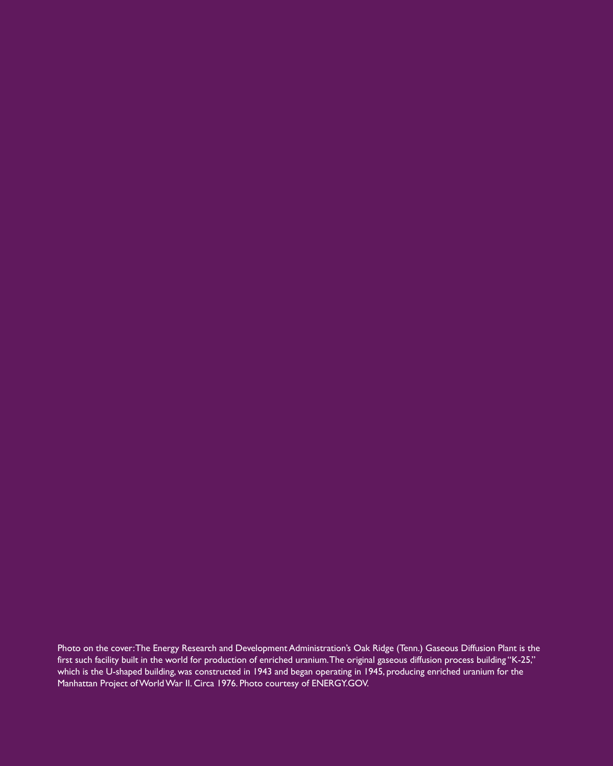Photo on the cover: The Energy Research and Development Administration's Oak Ridge (Tenn.) Gaseous Diffusion Plant is the first such facility built in the world for production of enriched uranium. The original gaseous diffusion process building "K-25," which is the U-shaped building, was constructed in 1943 and began operating in 1945, producing enriched uranium for the Manhattan Project of World War II. Circa 1976. Photo courtesy of [ENERGY.GOV.](http://ENERGY.GOV)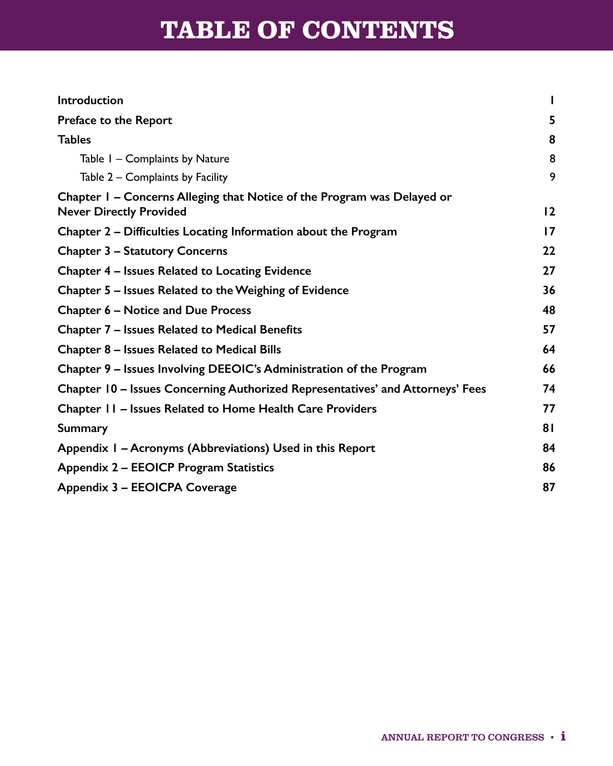# **TABLE OF CONTENTS**

| <b>Introduction</b>                                                                                       |    |
|-----------------------------------------------------------------------------------------------------------|----|
| Preface to the Report                                                                                     | 5  |
| <b>Tables</b>                                                                                             | 8  |
| Table I - Complaints by Nature                                                                            | 8  |
| Table 2 – Complaints by Facility                                                                          | 9  |
| Chapter I - Concerns Alleging that Notice of the Program was Delayed or<br><b>Never Directly Provided</b> | 12 |
| Chapter 2 – Difficulties Locating Information about the Program                                           | 17 |
| <b>Chapter 3 – Statutory Concerns</b>                                                                     | 22 |
| Chapter 4 - Issues Related to Locating Evidence                                                           | 27 |
| Chapter 5 – Issues Related to the Weighing of Evidence                                                    | 36 |
| Chapter 6 – Notice and Due Process                                                                        | 48 |
| Chapter 7 - Issues Related to Medical Benefits                                                            | 57 |
| Chapter 8 - Issues Related to Medical Bills                                                               | 64 |
| Chapter 9 - Issues Involving DEEOIC's Administration of the Program                                       | 66 |
| Chapter 10 - Issues Concerning Authorized Representatives' and Attorneys' Fees                            | 74 |
| Chapter II - Issues Related to Home Health Care Providers                                                 | 77 |
| <b>Summary</b>                                                                                            | 81 |
| Appendix I - Acronyms (Abbreviations) Used in this Report                                                 | 84 |
| Appendix 2 – EEOICP Program Statistics                                                                    | 86 |
| Appendix 3 - EEOICPA Coverage                                                                             | 87 |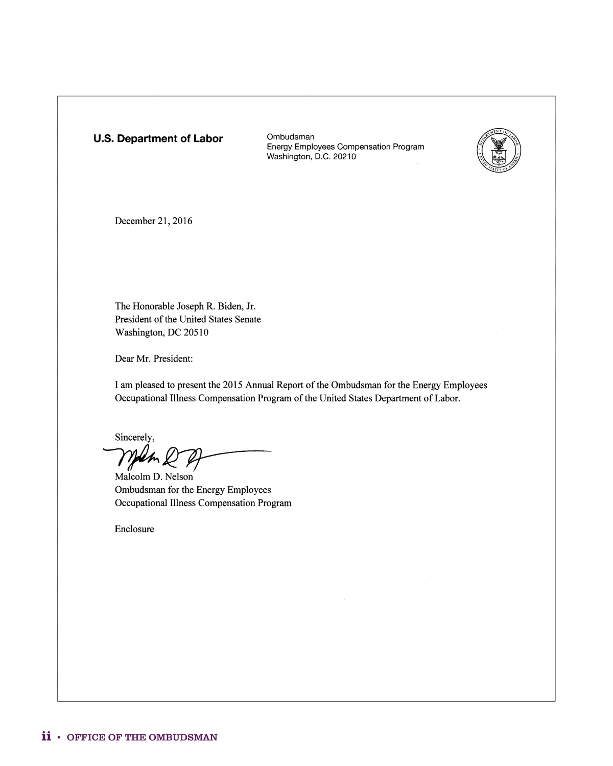#### **U.S. Department of Labor**

Ombudsman Energy Employees Compensation Program Washington, D.C. 20210



December 21, 2016

The Honorable Joseph R. Biden, Jr. President of the United States Senate Washington, DC 20510

Dear Mr. President:

I am pleased to present the 2015 Annual Report of the Ombudsman for the Energy Employees Occupational Illness Compensation Program of the United States Department of Labor.

Sincerely,

Malm 2 p

Ombudsman for the Energy Employees Occupational Illness Compensation Program

Enclosure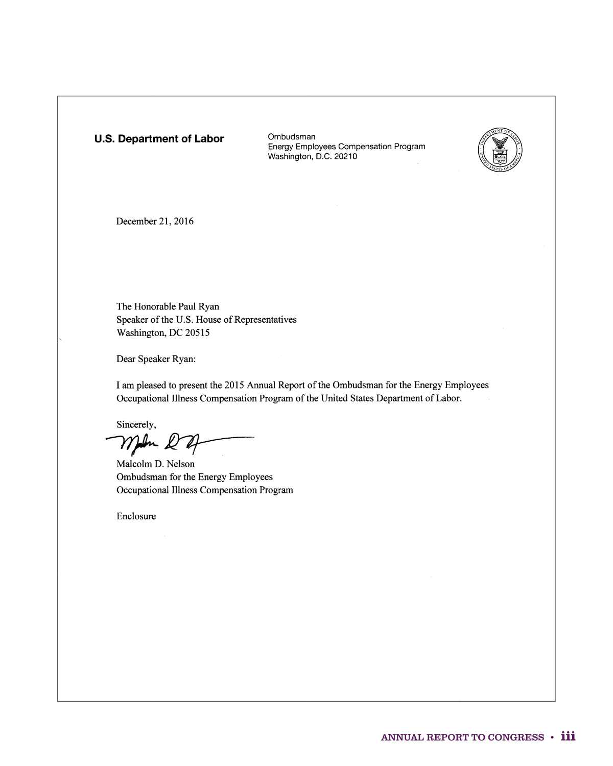#### **U.S. Department of Labor**

Ombudsman Energy Employees Compensation Program Washington, D.C. 20210



December 21, 2016

The Honorable Paul Ryan Speaker of the U.S. House of Representatives Washington, DC 20515

Dear Speaker Ryan:

I am pleased to present the 2015 Annual Report of the Ombudsman for the Energy Employees Occupational Illness Compensation Program of the United States Department of Labor.

Sincerely, Malcolm D. Nelson

Ombudsman for the Energy Employees Occupational Illness Compensation Program

Enclosure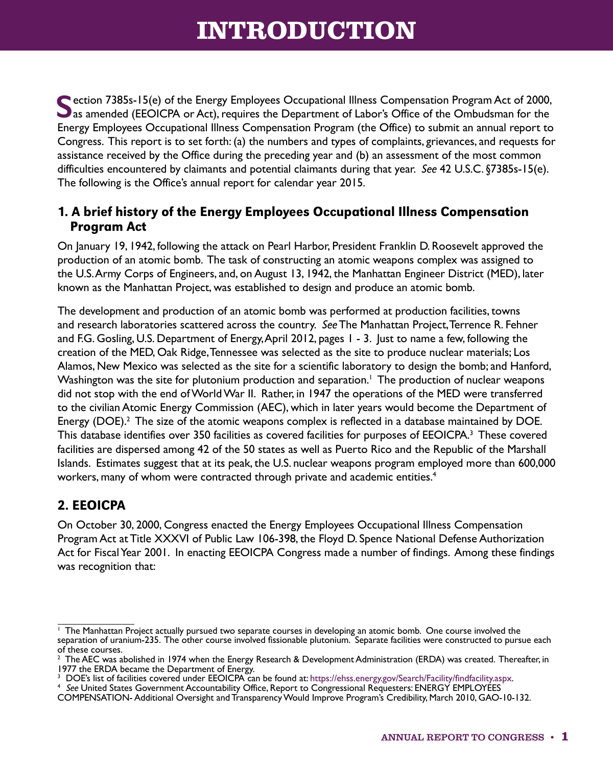## **INTRODUCTION**

<span id="page-6-0"></span>**Section 7385s-15(e) of the Energy Employees Occupational Illness Compensation Program Act of 2000, D** as amended (EEOICPA or Act), requires the Department of Labor's Office of the Ombudsman for the Energy Employees Occupational Illness Compensation Program (the Office) to submit an annual report to Congress. This report is to set forth: (a) the numbers and types of complaints, grievances, and requests for assistance received by the Office during the preceding year and (b) an assessment of the most common difficulties encountered by claimants and potential claimants during that year. *See* 42 U.S.C. §7385s-15(e). The following is the Office's annual report for calendar year 2015.

### 1. A brief history of the Energy Employees Occupational Illness Compensation Program Act

On January 19, 1942, following the attack on Pearl Harbor, President Franklin D. Roosevelt approved the production of an atomic bomb. The task of constructing an atomic weapons complex was assigned to the U.S. Army Corps of Engineers, and, on August 13, 1942, the Manhattan Engineer District (MED), later known as the Manhattan Project, was established to design and produce an atomic bomb.

The development and production of an atomic bomb was performed at production facilities, towns and research laboratories scattered across the country. *See* The Manhattan Project, Terrence R. Fehner and F.G. Gosling, U.S. Department of Energy, April 2012, pages 1 - 3. Just to name a few, following the creation of the MED, Oak Ridge, Tennessee was selected as the site to produce nuclear materials; Los Alamos, New Mexico was selected as the site for a scientific laboratory to design the bomb; and Hanford, Washington was the site for plutonium production and separation.<sup>1</sup> The production of nuclear weapons did not stop with the end of World War II. Rather, in 1947 the operations of the MED were transferred to the civilian Atomic Energy Commission (AEC), which in later years would become the Department of Energy (DOE).<sup>2</sup> The size of the atomic weapons complex is reflected in a database maintained by DOE. This database identifies over 350 facilities as covered facilities for purposes of EEOICPA.<sup>3</sup> These covered facilities are dispersed among 42 of the 50 states as well as Puerto Rico and the Republic of the Marshall Islands. Estimates suggest that at its peak, the U.S. nuclear weapons program employed more than 600,000 workers, many of whom were contracted through private and academic entities.<sup>4</sup>

### 2. EEOICPA

On October 30, 2000, Congress enacted the Energy Employees Occupational Illness Compensation Program Act at Title XXXVI of Public Law 106-398, the Floyd D. Spence National Defense Authorization Act for Fiscal Year 2001. In enacting EEOICPA Congress made a number of findings. Among these findings was recognition that:

<sup>&</sup>lt;sup>1</sup> The Manhattan Project actually pursued two separate courses in developing an atomic bomb. One course involved the separation of uranium-235. The other course involved fissionable plutonium. Separate facilities were constructed to pursue each of these courses.

 $2$  The AEC was abolished in 1974 when the Energy Research & Development Administration (ERDA) was created. Thereafter, in 1977 the ERDA became the Department of Energy.

<sup>&</sup>lt;sup>3</sup> DOE's list of facilities covered under EEOICPA can be found at: [https://ehss.energy.gov/Search/Facility/findfacility.aspx.](https://ehss.energy.gov/Search/Facility/findfacility.aspx)

<sup>4</sup>*See* United States Government Accountability Office, Report to Congressional Requesters: ENERGY EMPLOYEES

COMPENSATION- Additional Oversight and Transparency Would Improve Program's Credibility, March 2010, GAO-10-132.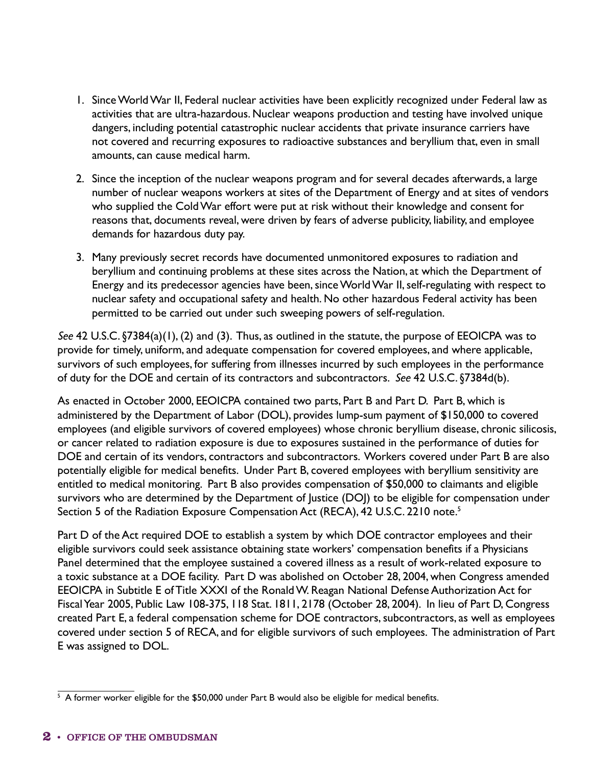- 1. Since World War II, Federal nuclear activities have been explicitly recognized under Federal law as activities that are ultra-hazardous. Nuclear weapons production and testing have involved unique dangers, including potential catastrophic nuclear accidents that private insurance carriers have not covered and recurring exposures to radioactive substances and beryllium that, even in small amounts, can cause medical harm.
- 2. Since the inception of the nuclear weapons program and for several decades afterwards, a large number of nuclear weapons workers at sites of the Department of Energy and at sites of vendors who supplied the Cold War effort were put at risk without their knowledge and consent for reasons that, documents reveal, were driven by fears of adverse publicity, liability, and employee demands for hazardous duty pay.
- 3. Many previously secret records have documented unmonitored exposures to radiation and beryllium and continuing problems at these sites across the Nation, at which the Department of Energy and its predecessor agencies have been, since World War II, self-regulating with respect to nuclear safety and occupational safety and health. No other hazardous Federal activity has been permitted to be carried out under such sweeping powers of self-regulation.

*See* 42 U.S.C. §7384(a)(1), (2) and (3). Thus, as outlined in the statute, the purpose of EEOICPA was to provide for timely, uniform, and adequate compensation for covered employees, and where applicable, survivors of such employees, for suffering from illnesses incurred by such employees in the performance of duty for the DOE and certain of its contractors and subcontractors. *See* 42 U.S.C. §7384d(b).

As enacted in October 2000, EEOICPA contained two parts, Part B and Part D. Part B, which is administered by the Department of Labor (DOL), provides lump-sum payment of \$150,000 to covered employees (and eligible survivors of covered employees) whose chronic beryllium disease, chronic silicosis, or cancer related to radiation exposure is due to exposures sustained in the performance of duties for DOE and certain of its vendors, contractors and subcontractors. Workers covered under Part B are also potentially eligible for medical benefits. Under Part B, covered employees with beryllium sensitivity are entitled to medical monitoring. Part B also provides compensation of \$50,000 to claimants and eligible survivors who are determined by the Department of Justice (DOJ) to be eligible for compensation under Section 5 of the Radiation Exposure Compensation Act (RECA), 42 U.S.C. 2210 note.<sup>5</sup>

Part D of the Act required DOE to establish a system by which DOE contractor employees and their eligible survivors could seek assistance obtaining state workers' compensation benefits if a Physicians Panel determined that the employee sustained a covered illness as a result of work-related exposure to a toxic substance at a DOE facility. Part D was abolished on October 28, 2004, when Congress amended EEOICPA in Subtitle E of Title XXXI of the Ronald W. Reagan National Defense Authorization Act for Fiscal Year 2005, Public Law 108-375, 118 Stat. 1811, 2178 (October 28, 2004). In lieu of Part D, Congress created Part E, a federal compensation scheme for DOE contractors, subcontractors, as well as employees covered under section 5 of RECA, and for eligible survivors of such employees. The administration of Part E was assigned to DOL.

 $5$  A former worker eligible for the \$50,000 under Part B would also be eligible for medical benefits.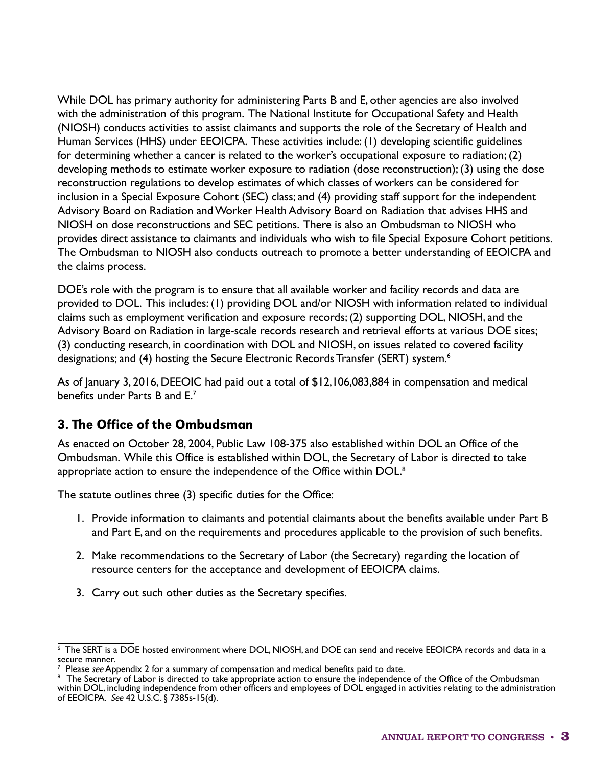While DOL has primary authority for administering Parts B and E, other agencies are also involved with the administration of this program. The National Institute for Occupational Safety and Health (NIOSH) conducts activities to assist claimants and supports the role of the Secretary of Health and Human Services (HHS) under EEOICPA. These activities include: (1) developing scientific guidelines for determining whether a cancer is related to the worker's occupational exposure to radiation; (2) developing methods to estimate worker exposure to radiation (dose reconstruction); (3) using the dose reconstruction regulations to develop estimates of which classes of workers can be considered for inclusion in a Special Exposure Cohort (SEC) class; and (4) providing staff support for the independent Advisory Board on Radiation and Worker Health Advisory Board on Radiation that advises HHS and NIOSH on dose reconstructions and SEC petitions. There is also an Ombudsman to NIOSH who provides direct assistance to claimants and individuals who wish to file Special Exposure Cohort petitions. The Ombudsman to NIOSH also conducts outreach to promote a better understanding of EEOICPA and the claims process.

DOE's role with the program is to ensure that all available worker and facility records and data are provided to DOL. This includes: (1) providing DOL and/or NIOSH with information related to individual claims such as employment verification and exposure records; (2) supporting DOL, NIOSH, and the Advisory Board on Radiation in large-scale records research and retrieval efforts at various DOE sites; (3) conducting research, in coordination with DOL and NIOSH, on issues related to covered facility designations; and (4) hosting the Secure Electronic Records Transfer (SERT) system.<sup>6</sup>

As of January 3, 2016, DEEOIC had paid out a total of \$12,106,083,884 in compensation and medical benefits under Parts B and E.7

#### 3. The Office of the Ombudsman

As enacted on October 28, 2004, Public Law 108-375 also established within DOL an Office of the Ombudsman. While this Office is established within DOL, the Secretary of Labor is directed to take appropriate action to ensure the independence of the Office within DOL.<sup>8</sup>

The statute outlines three (3) specific duties for the Office:

- 1. Provide information to claimants and potential claimants about the benefits available under Part B and Part E, and on the requirements and procedures applicable to the provision of such benefits.
- 2. Make recommendations to the Secretary of Labor (the Secretary) regarding the location of resource centers for the acceptance and development of EEOICPA claims.
- 3. Carry out such other duties as the Secretary specifies.

 $6$  The SERT is a DOE hosted environment where DOL, NIOSH, and DOE can send and receive EEOICPA records and data in a secure manner.<br><sup>7</sup> Please *see* Appendix 2 for a summary of compensation and medical benefits paid to date.

<sup>&</sup>lt;sup>8</sup> The Secretary of Labor is directed to take appropriate action to ensure the independence of the Office of the Ombudsman within DOL, including independence from other officers and employees of DOL engaged in activities relating to the administration of EEOICPA. *See* 42 U.S.C. § 7385s-15(d).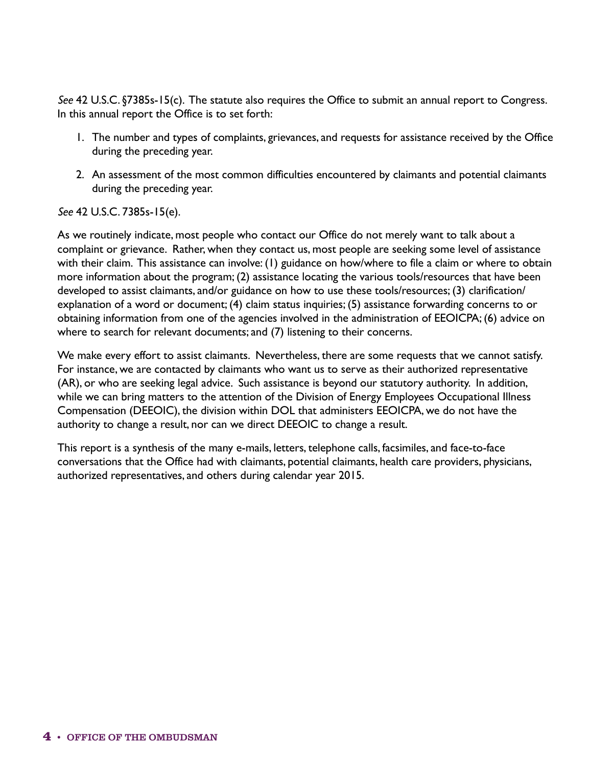*See* 42 U.S.C. §7385s-15(c). The statute also requires the Office to submit an annual report to Congress. In this annual report the Office is to set forth:

- 1. The number and types of complaints, grievances, and requests for assistance received by the Office during the preceding year.
- 2. An assessment of the most common difficulties encountered by claimants and potential claimants during the preceding year.

*See* 42 U.S.C. 7385s-15(e).

As we routinely indicate, most people who contact our Office do not merely want to talk about a complaint or grievance. Rather, when they contact us, most people are seeking some level of assistance with their claim. This assistance can involve: (1) guidance on how/where to file a claim or where to obtain more information about the program; (2) assistance locating the various tools/resources that have been developed to assist claimants, and/or guidance on how to use these tools/resources; (3) clarification/ explanation of a word or document; (4) claim status inquiries; (5) assistance forwarding concerns to or obtaining information from one of the agencies involved in the administration of EEOICPA; (6) advice on where to search for relevant documents; and (7) listening to their concerns.

We make every effort to assist claimants. Nevertheless, there are some requests that we cannot satisfy. For instance, we are contacted by claimants who want us to serve as their authorized representative (AR), or who are seeking legal advice. Such assistance is beyond our statutory authority. In addition, while we can bring matters to the attention of the Division of Energy Employees Occupational Illness Compensation (DEEOIC), the division within DOL that administers EEOICPA, we do not have the authority to change a result, nor can we direct DEEOIC to change a result.

This report is a synthesis of the many e-mails, letters, telephone calls, facsimiles, and face-to-face conversations that the Office had with claimants, potential claimants, health care providers, physicians, authorized representatives, and others during calendar year 2015.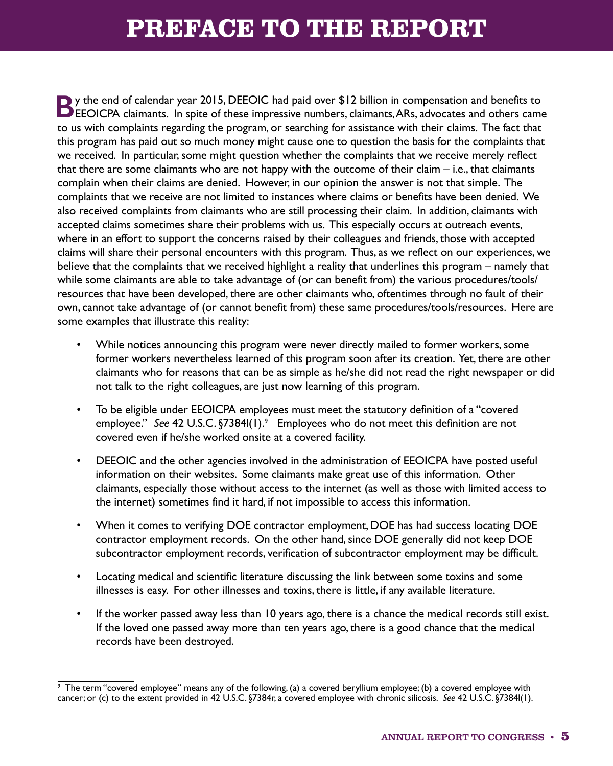# **PREFACE TO THE REPORT**

<span id="page-10-0"></span>**B**y the end of calendar year 2015, DEEOIC had paid over \$12 billion in compensation and benefits to **EXECT** CHEOICPA claimants. In spite of these impressive numbers, claimants, ARs, advocates and others came to us with complaints regarding the program, or searching for assistance with their claims. The fact that this program has paid out so much money might cause one to question the basis for the complaints that we received. In particular, some might question whether the complaints that we receive merely reflect that there are some claimants who are not happy with the outcome of their claim – i.e., that claimants complain when their claims are denied. However, in our opinion the answer is not that simple. The complaints that we receive are not limited to instances where claims or benefits have been denied. We also received complaints from claimants who are still processing their claim. In addition, claimants with accepted claims sometimes share their problems with us. This especially occurs at outreach events, where in an effort to support the concerns raised by their colleagues and friends, those with accepted claims will share their personal encounters with this program. Thus, as we reflect on our experiences, we believe that the complaints that we received highlight a reality that underlines this program – namely that while some claimants are able to take advantage of (or can benefit from) the various procedures/tools/ resources that have been developed, there are other claimants who, oftentimes through no fault of their own, cannot take advantage of (or cannot benefit from) these same procedures/tools/resources. Here are some examples that illustrate this reality:

- While notices announcing this program were never directly mailed to former workers, some former workers nevertheless learned of this program soon after its creation. Yet, there are other claimants who for reasons that can be as simple as he/she did not read the right newspaper or did not talk to the right colleagues, are just now learning of this program.
- To be eligible under EEOICPA employees must meet the statutory definition of a "covered employee." See 42 U.S.C. §7384l(1).<sup>9</sup> Employees who do not meet this definition are not covered even if he/she worked onsite at a covered facility.
- DEEOIC and the other agencies involved in the administration of EEOICPA have posted useful information on their websites. Some claimants make great use of this information. Other claimants, especially those without access to the internet (as well as those with limited access to the internet) sometimes find it hard, if not impossible to access this information.
- When it comes to verifying DOE contractor employment, DOE has had success locating DOE contractor employment records. On the other hand, since DOE generally did not keep DOE subcontractor employment records, verification of subcontractor employment may be difficult.
- Locating medical and scientific literature discussing the link between some toxins and some illnesses is easy. For other illnesses and toxins, there is little, if any available literature.
- If the worker passed away less than 10 years ago, there is a chance the medical records still exist. If the loved one passed away more than ten years ago, there is a good chance that the medical records have been destroyed.

<sup>9</sup> The term "covered employee" means any of the following, (a) a covered beryllium employee; (b) a covered employee with cancer; or (c) to the extent provided in 42 U.S.C. §7384r, a covered employee with chronic silicosis. *See* 42 U.S.C. §7384l(1).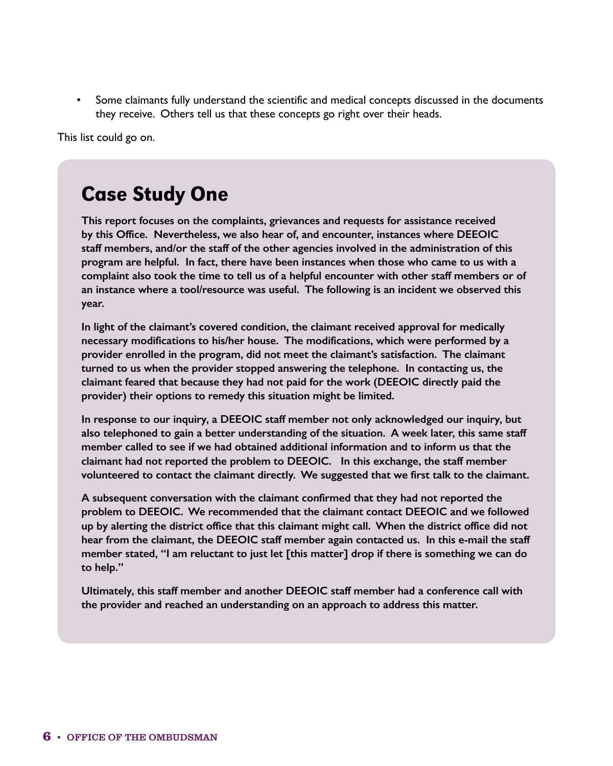• Some claimants fully understand the scientific and medical concepts discussed in the documents they receive. Others tell us that these concepts go right over their heads.

This list could go on.

## Case Study One

**This report focuses on the complaints, grievances and requests for assistance received by this Office. Nevertheless, we also hear of, and encounter, instances where DEEOIC staff members, and/or the staff of the other agencies involved in the administration of this program are helpful. In fact, there have been instances when those who came to us with a complaint also took the time to tell us of a helpful encounter with other staff members or of an instance where a tool/resource was useful. The following is an incident we observed this year.**

**In light of the claimant's covered condition, the claimant received approval for medically necessary modifications to his/her house. The modifications, which were performed by a provider enrolled in the program, did not meet the claimant's satisfaction. The claimant turned to us when the provider stopped answering the telephone. In contacting us, the claimant feared that because they had not paid for the work (DEEOIC directly paid the provider) their options to remedy this situation might be limited.** 

**In response to our inquiry, a DEEOIC staff member not only acknowledged our inquiry, but also telephoned to gain a better understanding of the situation. A week later, this same staff member called to see if we had obtained additional information and to inform us that the claimant had not reported the problem to DEEOIC. In this exchange, the staff member volunteered to contact the claimant directly. We suggested that we first talk to the claimant.** 

**A subsequent conversation with the claimant confirmed that they had not reported the problem to DEEOIC. We recommended that the claimant contact DEEOIC and we followed up by alerting the district office that this claimant might call. When the district office did not hear from the claimant, the DEEOIC staff member again contacted us. In this e-mail the staff member stated, "I am reluctant to just let [this matter] drop if there is something we can do to help."**

**Ultimately, this staff member and another DEEOIC staff member had a conference call with the provider and reached an understanding on an approach to address this matter.**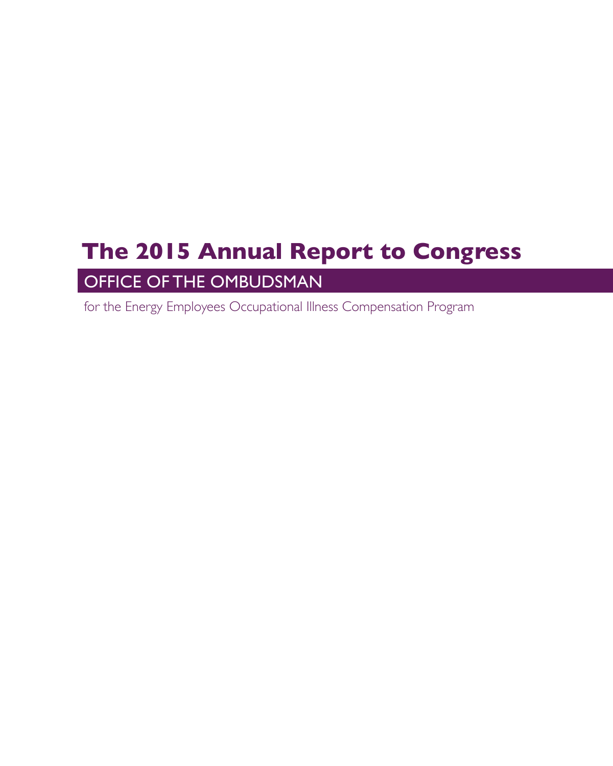# **The 2015 Annual Report to Congress**

### OFFICE OF THE OMBUDSMAN

for the Energy Employees Occupational Illness Compensation Program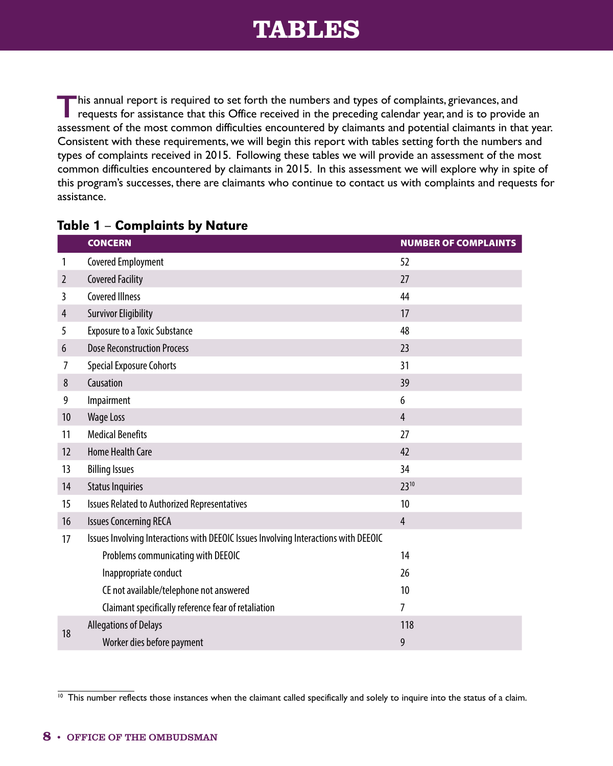## **TABLES**

<span id="page-13-0"></span>**T**his annual report is required to set forth the numbers and types of complaints, grievances, and requests for assistance that this Office received in the preceding calendar year, and is to provide an assessment of the most common difficulties encountered by claimants and potential claimants in that year. Consistent with these requirements, we will begin this report with tables setting forth the numbers and types of complaints received in 2015. Following these tables we will provide an assessment of the most common difficulties encountered by claimants in 2015. In this assessment we will explore why in spite of this program's successes, there are claimants who continue to contact us with complaints and requests for assistance.

|                | <b>CONCERN</b>                                                                      | <b>NUMBER OF COMPLAINTS</b> |  |  |
|----------------|-------------------------------------------------------------------------------------|-----------------------------|--|--|
| 1              | <b>Covered Employment</b>                                                           | 52                          |  |  |
| $\overline{2}$ | <b>Covered Facility</b>                                                             | 27                          |  |  |
| 3              | <b>Covered Illness</b>                                                              | 44                          |  |  |
| $\overline{4}$ | <b>Survivor Eligibility</b>                                                         | 17                          |  |  |
| 5              | <b>Exposure to a Toxic Substance</b>                                                | 48                          |  |  |
| 6              | <b>Dose Reconstruction Process</b>                                                  | 23                          |  |  |
| 7              | <b>Special Exposure Cohorts</b>                                                     | 31                          |  |  |
| 8              | Causation                                                                           | 39                          |  |  |
| 9              | Impairment                                                                          | 6                           |  |  |
| 10             | <b>Wage Loss</b>                                                                    | $\overline{4}$              |  |  |
| 11             | <b>Medical Benefits</b>                                                             | 27                          |  |  |
| 12             | <b>Home Health Care</b>                                                             | 42                          |  |  |
| 13             | <b>Billing Issues</b>                                                               | 34                          |  |  |
| 14             | <b>Status Inquiries</b>                                                             | 2310                        |  |  |
| 15             | Issues Related to Authorized Representatives                                        | 10                          |  |  |
| 16             | <b>Issues Concerning RECA</b>                                                       | $\overline{4}$              |  |  |
| 17             | Issues Involving Interactions with DEEOIC Issues Involving Interactions with DEEOIC |                             |  |  |
|                | Problems communicating with DEEOIC                                                  | 14                          |  |  |
|                | Inappropriate conduct                                                               | 26                          |  |  |
|                | CE not available/telephone not answered                                             | 10                          |  |  |
|                | Claimant specifically reference fear of retaliation                                 | 7                           |  |  |
| 18             | <b>Allegations of Delays</b>                                                        | 118                         |  |  |
|                | Worker dies before payment                                                          | 9                           |  |  |

#### Table  $1$  – Complaints by Nature

 $\overline{10}$  This number reflects those instances when the claimant called specifically and solely to inquire into the status of a claim.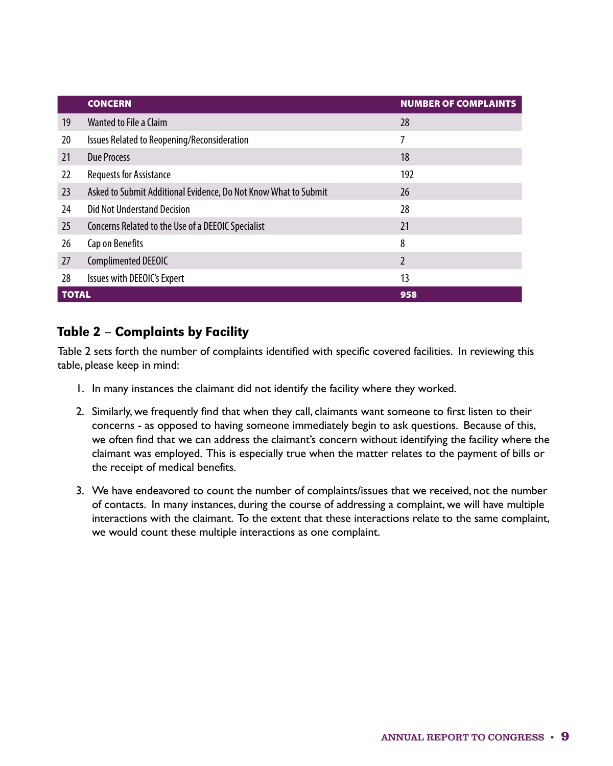<span id="page-14-0"></span>

|              | <b>CONCERN</b>                                                  | <b>NUMBER OF COMPLAINTS</b> |
|--------------|-----------------------------------------------------------------|-----------------------------|
| 19           | Wanted to File a Claim                                          | 28                          |
| 20           | Issues Related to Reopening/Reconsideration                     | 7                           |
| 21           | Due Process                                                     | 18                          |
| 22           | <b>Requests for Assistance</b>                                  | 192                         |
| 23           | Asked to Submit Additional Evidence, Do Not Know What to Submit | 26                          |
| 24           | Did Not Understand Decision                                     | 28                          |
| 25           | Concerns Related to the Use of a DEEOIC Specialist              | 21                          |
| 26           | Cap on Benefits                                                 | 8                           |
| 27           | Complimented DEEOIC                                             | $\mathfrak{p}$              |
| 28           | Issues with DEEOIC's Expert                                     | 13                          |
| <b>TOTAL</b> |                                                                 | 958                         |

### Table 2 – Complaints by Facility

Table 2 sets forth the number of complaints identified with specific covered facilities. In reviewing this table, please keep in mind:

- 1. In many instances the claimant did not identify the facility where they worked.
- 2. Similarly, we frequently find that when they call, claimants want someone to first listen to their concerns - as opposed to having someone immediately begin to ask questions. Because of this, we often find that we can address the claimant's concern without identifying the facility where the claimant was employed. This is especially true when the matter relates to the payment of bills or the receipt of medical benefits.
- 3. We have endeavored to count the number of complaints/issues that we received, not the number of contacts. In many instances, during the course of addressing a complaint, we will have multiple interactions with the claimant. To the extent that these interactions relate to the same complaint, we would count these multiple interactions as one complaint.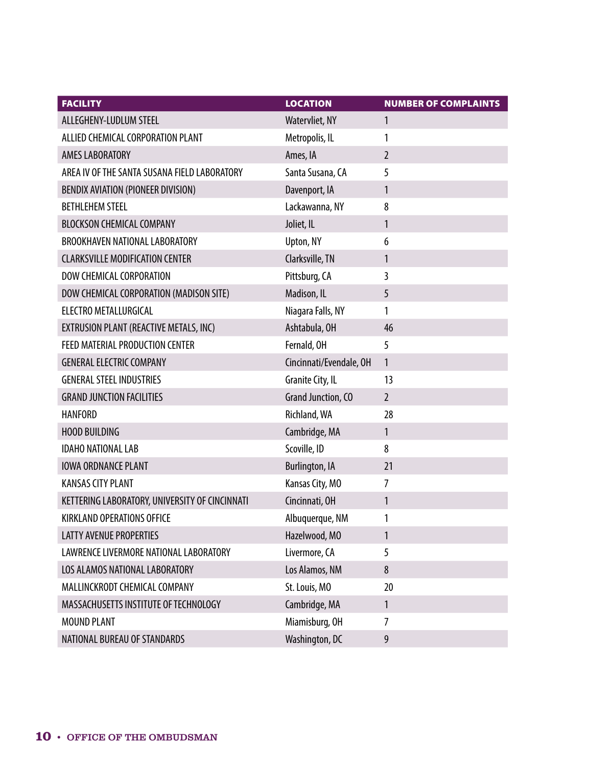| <b>FACILITY</b>                                | <b>LOCATION</b>           | <b>NUMBER OF COMPLAINTS</b> |
|------------------------------------------------|---------------------------|-----------------------------|
| ALLEGHENY-LUDLUM STEEL                         | Watervliet, NY            | 1                           |
| ALLIED CHEMICAL CORPORATION PLANT              | Metropolis, IL            | 1                           |
| AMES LABORATORY                                | Ames, IA                  | $\overline{2}$              |
| AREA IV OF THE SANTA SUSANA FIELD LABORATORY   | Santa Susana, CA          | 5                           |
| BENDIX AVIATION (PIONEER DIVISION)             | Davenport, IA             | $\mathbf{1}$                |
| <b>BETHLEHEM STEEL</b>                         | Lackawanna, NY            | 8                           |
| <b>BLOCKSON CHEMICAL COMPANY</b>               | Joliet, IL                | 1                           |
| BROOKHAVEN NATIONAL LABORATORY                 | Upton, NY                 | 6                           |
| <b>CLARKSVILLE MODIFICATION CENTER</b>         | Clarksville, TN           | $\mathbf{1}$                |
| DOW CHEMICAL CORPORATION                       | Pittsburg, CA             | $\overline{3}$              |
| DOW CHEMICAL CORPORATION (MADISON SITE)        | Madison, IL               | 5                           |
| ELECTRO METALLURGICAL                          | Niagara Falls, NY         | 1                           |
| EXTRUSION PLANT (REACTIVE METALS, INC)         | Ashtabula, OH             | 46                          |
| FEED MATERIAL PRODUCTION CENTER                | Fernald, OH               | 5                           |
| <b>GENERAL ELECTRIC COMPANY</b>                | Cincinnati/Evendale, OH   | $\mathbf{1}$                |
| <b>GENERAL STEEL INDUSTRIES</b>                | Granite City, IL          | 13                          |
| <b>GRAND JUNCTION FACILITIES</b>               | <b>Grand Junction, CO</b> | $\overline{2}$              |
| <b>HANFORD</b>                                 | Richland, WA              | 28                          |
| <b>HOOD BUILDING</b>                           | Cambridge, MA             | $\mathbf{1}$                |
| <b>IDAHO NATIONAL LAB</b>                      | Scoville, ID              | 8                           |
| <b>IOWA ORDNANCE PLANT</b>                     | <b>Burlington, IA</b>     | 21                          |
| <b>KANSAS CITY PLANT</b>                       | Kansas City, MO           | $\overline{7}$              |
| KETTERING LABORATORY, UNIVERSITY OF CINCINNATI | Cincinnati, OH            | 1                           |
| <b>KIRKLAND OPERATIONS OFFICE</b>              | Albuquerque, NM           | 1                           |
| <b>LATTY AVENUE PROPERTIES</b>                 | Hazelwood, MO             | $\mathbf{1}$                |
| LAWRENCE LIVERMORE NATIONAL LABORATORY         | Livermore, CA             | 5                           |
| LOS ALAMOS NATIONAL LABORATORY                 | Los Alamos, NM            | 8                           |
| MALLINCKRODT CHEMICAL COMPANY                  | St. Louis, MO             | 20                          |
| MASSACHUSETTS INSTITUTE OF TECHNOLOGY          | Cambridge, MA             | $\mathbf{1}$                |
| MOUND PLANT                                    | Miamisburg, OH            | $\overline{7}$              |
| NATIONAL BUREAU OF STANDARDS                   | Washington, DC            | 9                           |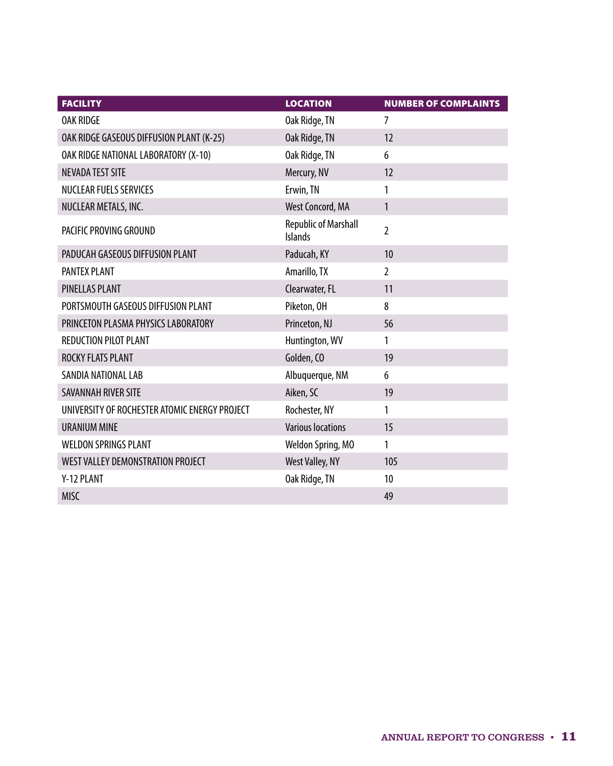| <b>FACILITY</b>                               | <b>LOCATION</b>                               | <b>NUMBER OF COMPLAINTS</b> |
|-----------------------------------------------|-----------------------------------------------|-----------------------------|
| <b>OAK RIDGE</b>                              | Oak Ridge, TN                                 | 7                           |
| OAK RIDGE GASEOUS DIFFUSION PLANT (K-25)      | Oak Ridge, TN                                 | 12                          |
| OAK RIDGE NATIONAL LABORATORY (X-10)          | Oak Ridge, TN                                 | 6                           |
| <b>NEVADA TEST SITE</b>                       | Mercury, NV                                   | 12                          |
| <b>NUCLEAR FUELS SERVICES</b>                 | Erwin, TN                                     | 1                           |
| NUCLEAR METALS, INC.                          | West Concord, MA                              | $\mathbf{1}$                |
| PACIFIC PROVING GROUND                        | <b>Republic of Marshall</b><br><b>Islands</b> | $\overline{2}$              |
| PADUCAH GASEOUS DIFFUSION PLANT               | Paducah, KY                                   | 10                          |
| <b>PANTEX PLANT</b>                           | Amarillo, TX                                  | $\overline{2}$              |
| <b>PINELLAS PLANT</b>                         | Clearwater, FL                                | 11                          |
| PORTSMOUTH GASEOUS DIFFUSION PLANT            | Piketon, OH                                   | 8                           |
| PRINCETON PLASMA PHYSICS LABORATORY           | Princeton, NJ                                 | 56                          |
| <b>REDUCTION PILOT PLANT</b>                  | Huntington, WV                                | 1                           |
| ROCKY FLATS PLANT                             | Golden, CO                                    | 19                          |
| SANDIA NATIONAL LAB                           | Albuquerque, NM                               | 6                           |
| <b>SAVANNAH RIVER SITE</b>                    | Aiken, SC                                     | 19                          |
| UNIVERSITY OF ROCHESTER ATOMIC ENERGY PROJECT | Rochester, NY                                 | 1                           |
| <b>URANIUM MINE</b>                           | <b>Various locations</b>                      | 15                          |
| <b>WELDON SPRINGS PLANT</b>                   | Weldon Spring, MO                             | 1                           |
| WEST VALLEY DEMONSTRATION PROJECT             | West Valley, NY                               | 105                         |
| Y-12 PLANT                                    | Oak Ridge, TN                                 | 10                          |
| <b>MISC</b>                                   |                                               | 49                          |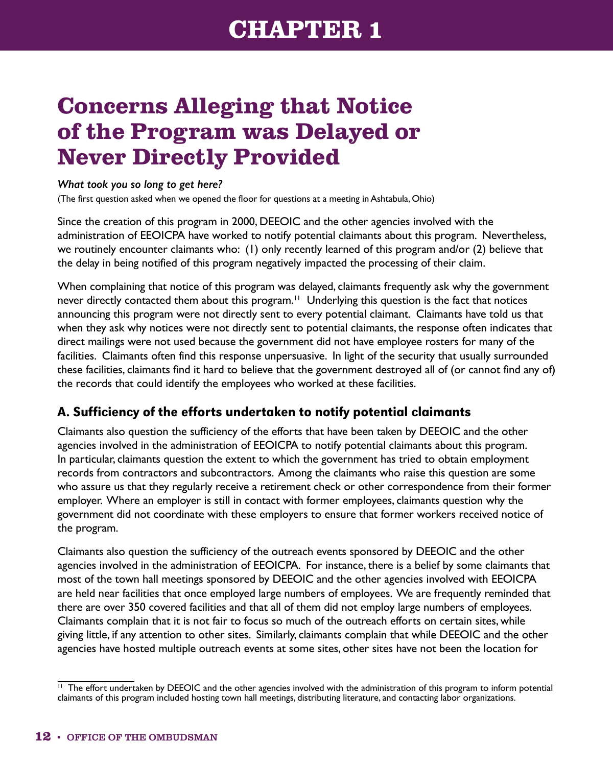# <span id="page-17-0"></span>**Concerns Alleging that Notice of the Program was Delayed or Never Directly Provided**

#### *What took you so long to get here?*

(The first question asked when we opened the floor for questions at a meeting in Ashtabula, Ohio)

Since the creation of this program in 2000, DEEOIC and the other agencies involved with the administration of EEOICPA have worked to notify potential claimants about this program. Nevertheless, we routinely encounter claimants who: (1) only recently learned of this program and/or (2) believe that the delay in being notified of this program negatively impacted the processing of their claim.

When complaining that notice of this program was delayed, claimants frequently ask why the government never directly contacted them about this program.<sup>11</sup> Underlying this question is the fact that notices announcing this program were not directly sent to every potential claimant. Claimants have told us that when they ask why notices were not directly sent to potential claimants, the response often indicates that direct mailings were not used because the government did not have employee rosters for many of the facilities. Claimants often find this response unpersuasive. In light of the security that usually surrounded these facilities, claimants find it hard to believe that the government destroyed all of (or cannot find any of) the records that could identify the employees who worked at these facilities.

#### A. Sufficiency of the efforts undertaken to notify potential claimants

Claimants also question the sufficiency of the efforts that have been taken by DEEOIC and the other agencies involved in the administration of EEOICPA to notify potential claimants about this program. In particular, claimants question the extent to which the government has tried to obtain employment records from contractors and subcontractors. Among the claimants who raise this question are some who assure us that they regularly receive a retirement check or other correspondence from their former employer. Where an employer is still in contact with former employees, claimants question why the government did not coordinate with these employers to ensure that former workers received notice of the program.

Claimants also question the sufficiency of the outreach events sponsored by DEEOIC and the other agencies involved in the administration of EEOICPA. For instance, there is a belief by some claimants that most of the town hall meetings sponsored by DEEOIC and the other agencies involved with EEOICPA are held near facilities that once employed large numbers of employees. We are frequently reminded that there are over 350 covered facilities and that all of them did not employ large numbers of employees. Claimants complain that it is not fair to focus so much of the outreach efforts on certain sites, while giving little, if any attention to other sites. Similarly, claimants complain that while DEEOIC and the other agencies have hosted multiple outreach events at some sites, other sites have not been the location for

<sup>&</sup>lt;sup>11</sup> The effort undertaken by DEEOIC and the other agencies involved with the administration of this program to inform potential claimants of this program included hosting town hall meetings, distributing literature, and contacting labor organizations.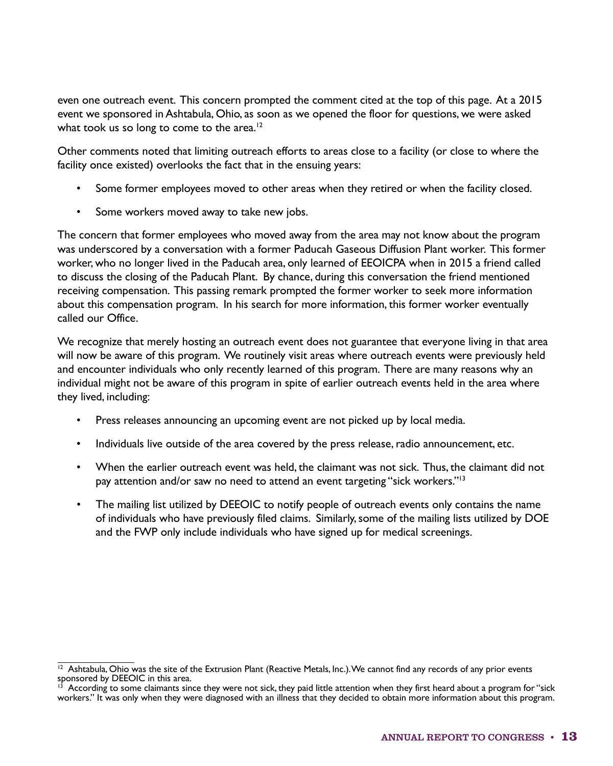even one outreach event. This concern prompted the comment cited at the top of this page. At a 2015 event we sponsored in Ashtabula, Ohio, as soon as we opened the floor for questions, we were asked what took us so long to come to the area.<sup>12</sup>

Other comments noted that limiting outreach efforts to areas close to a facility (or close to where the facility once existed) overlooks the fact that in the ensuing years:

- Some former employees moved to other areas when they retired or when the facility closed.
- Some workers moved away to take new jobs.

The concern that former employees who moved away from the area may not know about the program was underscored by a conversation with a former Paducah Gaseous Diffusion Plant worker. This former worker, who no longer lived in the Paducah area, only learned of EEOICPA when in 2015 a friend called to discuss the closing of the Paducah Plant. By chance, during this conversation the friend mentioned receiving compensation. This passing remark prompted the former worker to seek more information about this compensation program. In his search for more information, this former worker eventually called our Office.

We recognize that merely hosting an outreach event does not guarantee that everyone living in that area will now be aware of this program. We routinely visit areas where outreach events were previously held and encounter individuals who only recently learned of this program. There are many reasons why an individual might not be aware of this program in spite of earlier outreach events held in the area where they lived, including:

- Press releases announcing an upcoming event are not picked up by local media.
- Individuals live outside of the area covered by the press release, radio announcement, etc.
- When the earlier outreach event was held, the claimant was not sick. Thus, the claimant did not pay attention and/or saw no need to attend an event targeting "sick workers."13
- The mailing list utilized by DEEOIC to notify people of outreach events only contains the name of individuals who have previously filed claims. Similarly, some of the mailing lists utilized by DOE and the FWP only include individuals who have signed up for medical screenings.

 $\frac{12}{12}$  Ashtabula, Ohio was the site of the Extrusion Plant (Reactive Metals, Inc.). We cannot find any records of any prior events sponsored by DEEOIC in this area.

According to some claimants since they were not sick, they paid little attention when they first heard about a program for "sick workers." It was only when they were diagnosed with an illness that they decided to obtain more information about this program.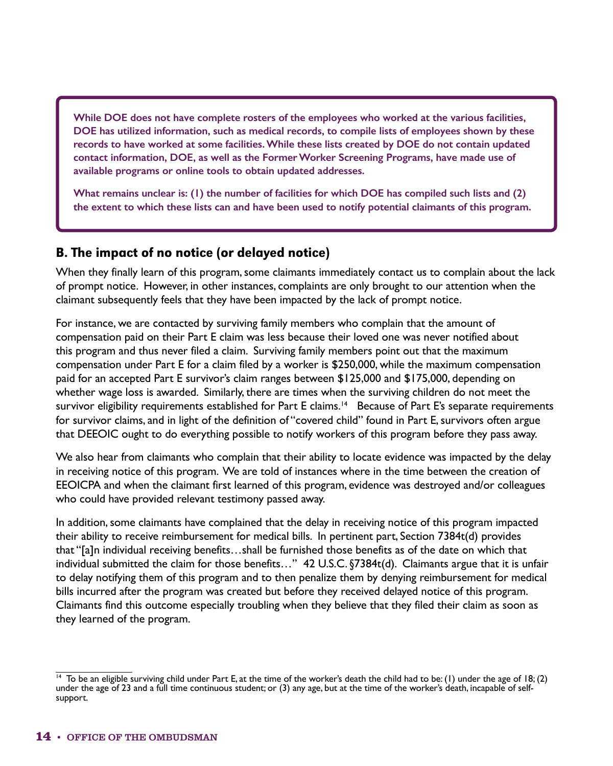**While DOE does not have complete rosters of the employees who worked at the various facilities, DOE has utilized information, such as medical records, to compile lists of employees shown by these records to have worked at some facilities. While these lists created by DOE do not contain updated contact information, DOE, as well as the Former Worker Screening Programs, have made use of available programs or online tools to obtain updated addresses.**

**What remains unclear is: (1) the number of facilities for which DOE has compiled such lists and (2) the extent to which these lists can and have been used to notify potential claimants of this program.**

#### B. The impact of no notice (or delayed notice)

When they finally learn of this program, some claimants immediately contact us to complain about the lack of prompt notice. However, in other instances, complaints are only brought to our attention when the claimant subsequently feels that they have been impacted by the lack of prompt notice.

For instance, we are contacted by surviving family members who complain that the amount of compensation paid on their Part E claim was less because their loved one was never notified about this program and thus never filed a claim. Surviving family members point out that the maximum compensation under Part E for a claim filed by a worker is \$250,000, while the maximum compensation paid for an accepted Part E survivor's claim ranges between \$125,000 and \$175,000, depending on whether wage loss is awarded. Similarly, there are times when the surviving children do not meet the survivor eligibility requirements established for Part E claims.<sup>14</sup> Because of Part E's separate requirements for survivor claims, and in light of the definition of "covered child" found in Part E, survivors often argue that DEEOIC ought to do everything possible to notify workers of this program before they pass away.

We also hear from claimants who complain that their ability to locate evidence was impacted by the delay in receiving notice of this program. We are told of instances where in the time between the creation of EEOICPA and when the claimant first learned of this program, evidence was destroyed and/or colleagues who could have provided relevant testimony passed away.

In addition, some claimants have complained that the delay in receiving notice of this program impacted their ability to receive reimbursement for medical bills. In pertinent part, Section 7384t(d) provides that "[a]n individual receiving benefits…shall be furnished those benefits as of the date on which that individual submitted the claim for those benefits…" 42 U.S.C. §7384t(d). Claimants argue that it is unfair to delay notifying them of this program and to then penalize them by denying reimbursement for medical bills incurred after the program was created but before they received delayed notice of this program. Claimants find this outcome especially troubling when they believe that they filed their claim as soon as they learned of the program.

 $14$  To be an eligible surviving child under Part E, at the time of the worker's death the child had to be: (1) under the age of 18; (2) under the age of 23 and a full time continuous student; or (3) any age, but at the time of the worker's death, incapable of selfsupport.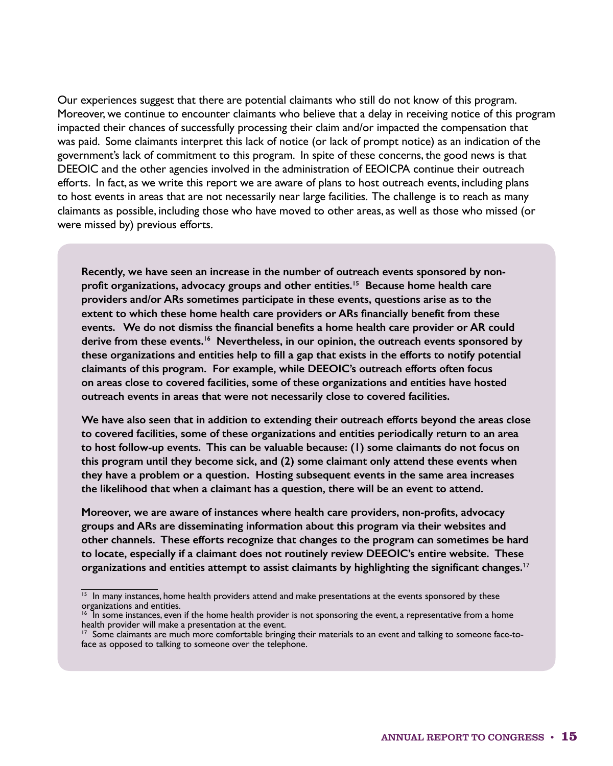Our experiences suggest that there are potential claimants who still do not know of this program. Moreover, we continue to encounter claimants who believe that a delay in receiving notice of this program impacted their chances of successfully processing their claim and/or impacted the compensation that was paid. Some claimants interpret this lack of notice (or lack of prompt notice) as an indication of the government's lack of commitment to this program. In spite of these concerns, the good news is that DEEOIC and the other agencies involved in the administration of EEOICPA continue their outreach efforts. In fact, as we write this report we are aware of plans to host outreach events, including plans to host events in areas that are not necessarily near large facilities. The challenge is to reach as many claimants as possible, including those who have moved to other areas, as well as those who missed (or were missed by) previous efforts.

**Recently, we have seen an increase in the number of outreach events sponsored by nonprofit organizations, advocacy groups and other entities.15 Because home health care providers and/or ARs sometimes participate in these events, questions arise as to the extent to which these home health care providers or ARs financially benefit from these events. We do not dismiss the financial benefits a home health care provider or AR could derive from these events.16 Nevertheless, in our opinion, the outreach events sponsored by these organizations and entities help to fill a gap that exists in the efforts to notify potential claimants of this program. For example, while DEEOIC's outreach efforts often focus on areas close to covered facilities, some of these organizations and entities have hosted outreach events in areas that were not necessarily close to covered facilities.**

**We have also seen that in addition to extending their outreach efforts beyond the areas close to covered facilities, some of these organizations and entities periodically return to an area to host follow-up events. This can be valuable because: (1) some claimants do not focus on this program until they become sick, and (2) some claimant only attend these events when they have a problem or a question. Hosting subsequent events in the same area increases the likelihood that when a claimant has a question, there will be an event to attend.** 

**Moreover, we are aware of instances where health care providers, non-profits, advocacy groups and ARs are disseminating information about this program via their websites and other channels. These efforts recognize that changes to the program can sometimes be hard to locate, especially if a claimant does not routinely review DEEOIC's entire website. These organizations and entities attempt to assist claimants by highlighting the significant changes.**<sup>17</sup>

<sup>&</sup>lt;sup>15</sup> In many instances, home health providers attend and make presentations at the events sponsored by these organizations and entities.

<sup>&</sup>lt;sup>16</sup> In some instances, even if the home health provider is not sponsoring the event, a representative from a home health provider will make a presentation at the event.

 $17$  Some claimants are much more comfortable bringing their materials to an event and talking to someone face-toface as opposed to talking to someone over the telephone.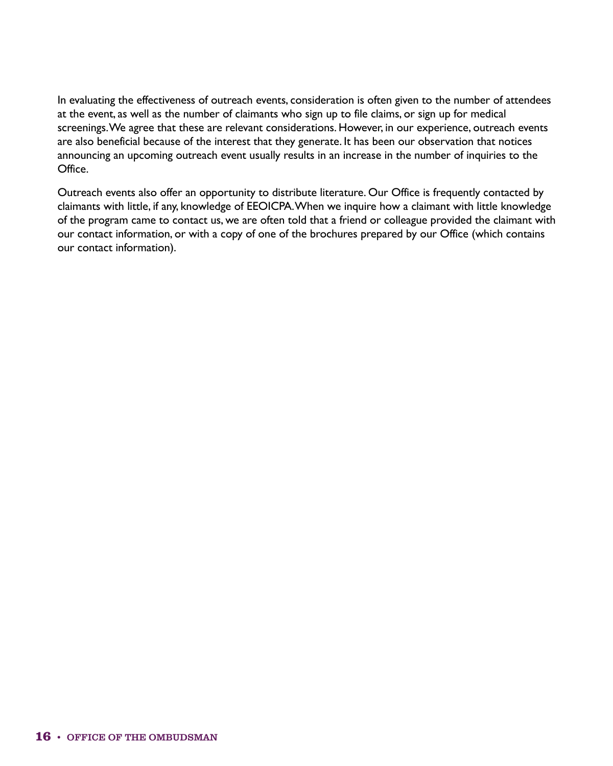In evaluating the effectiveness of outreach events, consideration is often given to the number of attendees at the event, as well as the number of claimants who sign up to file claims, or sign up for medical screenings. We agree that these are relevant considerations. However, in our experience, outreach events are also beneficial because of the interest that they generate. It has been our observation that notices announcing an upcoming outreach event usually results in an increase in the number of inquiries to the Office.

Outreach events also offer an opportunity to distribute literature. Our Office is frequently contacted by claimants with little, if any, knowledge of EEOICPA. When we inquire how a claimant with little knowledge of the program came to contact us, we are often told that a friend or colleague provided the claimant with our contact information, or with a copy of one of the brochures prepared by our Office (which contains our contact information).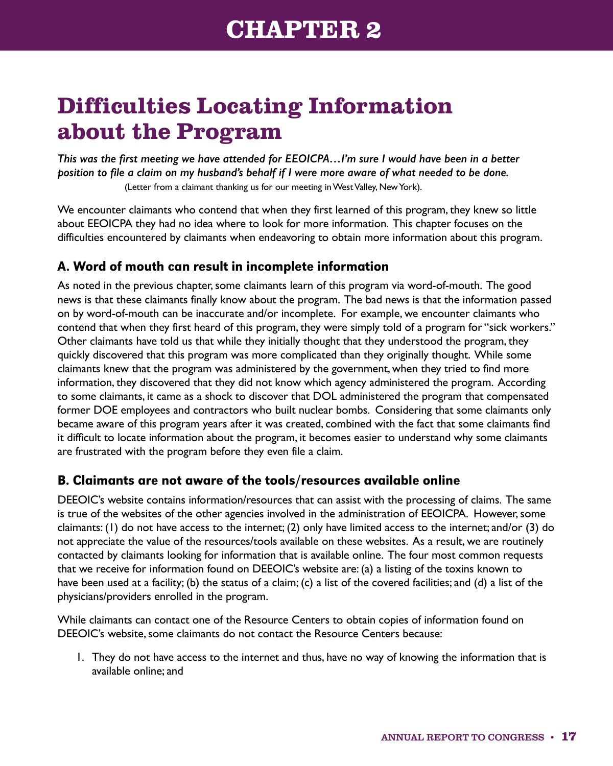# <span id="page-22-0"></span>**Difficulties Locating Information about the Program**

*This was the first meeting we have attended for EEOICPA…I'm sure I would have been in a better position to file a claim on my husband's behalf if I were more aware of what needed to be done.* (Letter from a claimant thanking us for our meeting in West Valley, New York).

We encounter claimants who contend that when they first learned of this program, they knew so little about EEOICPA they had no idea where to look for more information. This chapter focuses on the difficulties encountered by claimants when endeavoring to obtain more information about this program.

#### A. Word of mouth can result in incomplete information

As noted in the previous chapter, some claimants learn of this program via word-of-mouth. The good news is that these claimants finally know about the program. The bad news is that the information passed on by word-of-mouth can be inaccurate and/or incomplete. For example, we encounter claimants who contend that when they first heard of this program, they were simply told of a program for "sick workers." Other claimants have told us that while they initially thought that they understood the program, they quickly discovered that this program was more complicated than they originally thought. While some claimants knew that the program was administered by the government, when they tried to find more information, they discovered that they did not know which agency administered the program. According to some claimants, it came as a shock to discover that DOL administered the program that compensated former DOE employees and contractors who built nuclear bombs. Considering that some claimants only became aware of this program years after it was created, combined with the fact that some claimants find it difficult to locate information about the program, it becomes easier to understand why some claimants are frustrated with the program before they even file a claim.

#### B. Claimants are not aware of the tools/resources available online

DEEOIC's website contains information/resources that can assist with the processing of claims. The same is true of the websites of the other agencies involved in the administration of EEOICPA. However, some claimants: (1) do not have access to the internet; (2) only have limited access to the internet; and/or (3) do not appreciate the value of the resources/tools available on these websites. As a result, we are routinely contacted by claimants looking for information that is available online. The four most common requests that we receive for information found on DEEOIC's website are: (a) a listing of the toxins known to have been used at a facility; (b) the status of a claim; (c) a list of the covered facilities; and (d) a list of the physicians/providers enrolled in the program.

While claimants can contact one of the Resource Centers to obtain copies of information found on DEEOIC's website, some claimants do not contact the Resource Centers because:

1. They do not have access to the internet and thus, have no way of knowing the information that is available online; and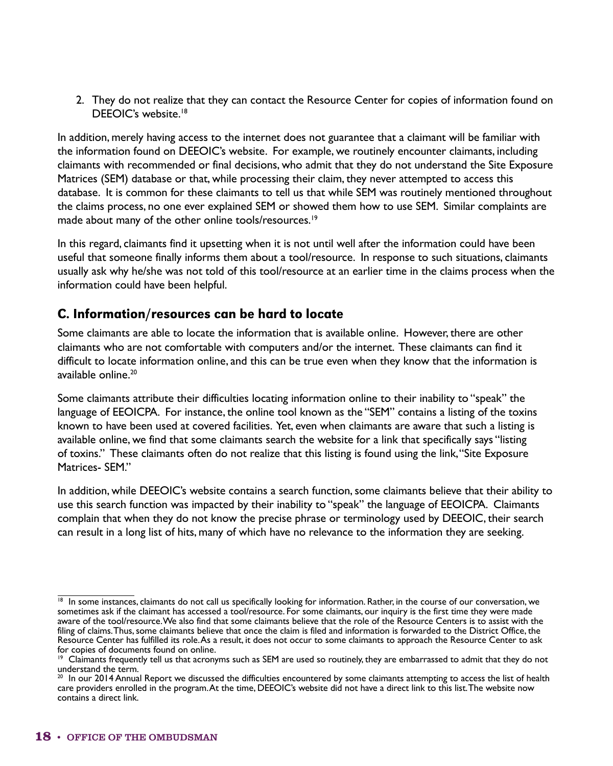2. They do not realize that they can contact the Resource Center for copies of information found on DEEOIC's website.<sup>18</sup>

In addition, merely having access to the internet does not guarantee that a claimant will be familiar with the information found on DEEOIC's website. For example, we routinely encounter claimants, including claimants with recommended or final decisions, who admit that they do not understand the Site Exposure Matrices (SEM) database or that, while processing their claim, they never attempted to access this database. It is common for these claimants to tell us that while SEM was routinely mentioned throughout the claims process, no one ever explained SEM or showed them how to use SEM. Similar complaints are made about many of the other online tools/resources.<sup>19</sup>

In this regard, claimants find it upsetting when it is not until well after the information could have been useful that someone finally informs them about a tool/resource. In response to such situations, claimants usually ask why he/she was not told of this tool/resource at an earlier time in the claims process when the information could have been helpful.

#### C. Information/resources can be hard to locate

Some claimants are able to locate the information that is available online. However, there are other claimants who are not comfortable with computers and/or the internet. These claimants can find it difficult to locate information online, and this can be true even when they know that the information is available online.<sup>20</sup>

Some claimants attribute their difficulties locating information online to their inability to "speak" the language of EEOICPA. For instance, the online tool known as the "SEM" contains a listing of the toxins known to have been used at covered facilities. Yet, even when claimants are aware that such a listing is available online, we find that some claimants search the website for a link that specifically says "listing of toxins." These claimants often do not realize that this listing is found using the link, "Site Exposure Matrices- SFM"

In addition, while DEEOIC's website contains a search function, some claimants believe that their ability to use this search function was impacted by their inability to "speak" the language of EEOICPA. Claimants complain that when they do not know the precise phrase or terminology used by DEEOIC, their search can result in a long list of hits, many of which have no relevance to the information they are seeking.

<sup>&</sup>lt;sup>18</sup> In some instances, claimants do not call us specifically looking for information. Rather, in the course of our conversation, we sometimes ask if the claimant has accessed a tool/resource. For some claimants, our inquiry is the first time they were made aware of the tool/resource. We also find that some claimants believe that the role of the Resource Centers is to assist with the filing of claims. Thus, some claimants believe that once the claim is filed and information is forwarded to the District Office, the Resource Center has fulfilled its role. As a result, it does not occur to some claimants to approach the Resource Center to ask for copies of documents found on online.

 $19$  Claimants frequently tell us that acronyms such as SEM are used so routinely, they are embarrassed to admit that they do not understand the term.

<sup>20</sup> In our 2014 Annual Report we discussed the difficulties encountered by some claimants attempting to access the list of health care providers enrolled in the program. At the time, DEEOIC's website did not have a direct link to this list. The website now contains a direct link.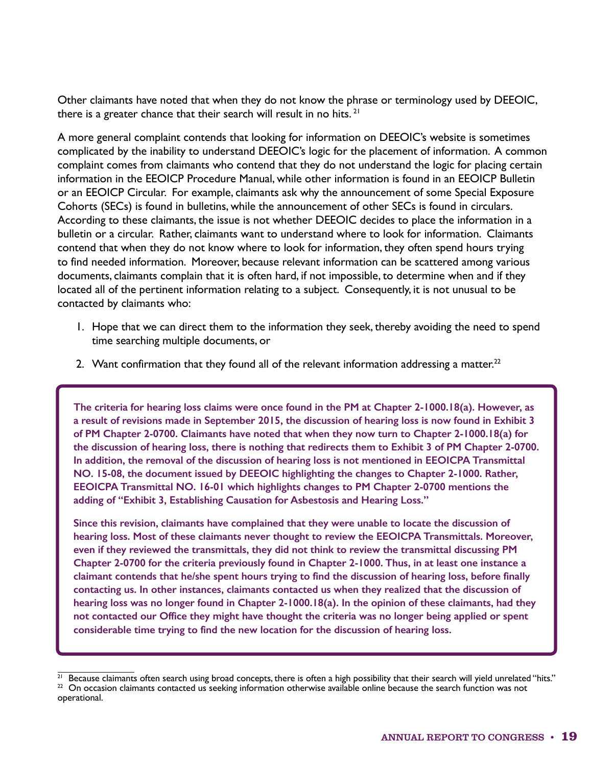Other claimants have noted that when they do not know the phrase or terminology used by DEEOIC, there is a greater chance that their search will result in no hits.  $21$ 

A more general complaint contends that looking for information on DEEOIC's website is sometimes complicated by the inability to understand DEEOIC's logic for the placement of information. A common complaint comes from claimants who contend that they do not understand the logic for placing certain information in the EEOICP Procedure Manual, while other information is found in an EEOICP Bulletin or an EEOICP Circular. For example, claimants ask why the announcement of some Special Exposure Cohorts (SECs) is found in bulletins, while the announcement of other SECs is found in circulars. According to these claimants, the issue is not whether DEEOIC decides to place the information in a bulletin or a circular. Rather, claimants want to understand where to look for information. Claimants contend that when they do not know where to look for information, they often spend hours trying to find needed information. Moreover, because relevant information can be scattered among various documents, claimants complain that it is often hard, if not impossible, to determine when and if they located all of the pertinent information relating to a subject. Consequently, it is not unusual to be contacted by claimants who:

- 1. Hope that we can direct them to the information they seek, thereby avoiding the need to spend time searching multiple documents, or
- 2. Want confirmation that they found all of the relevant information addressing a matter.<sup>22</sup>

**The criteria for hearing loss claims were once found in the PM at Chapter 2-1000.18(a). However, as a result of revisions made in September 2015, the discussion of hearing loss is now found in Exhibit 3 of PM Chapter 2-0700. Claimants have noted that when they now turn to Chapter 2-1000.18(a) for the discussion of hearing loss, there is nothing that redirects them to Exhibit 3 of PM Chapter 2-0700. In addition, the removal of the discussion of hearing loss is not mentioned in EEOICPA Transmittal NO. 15-08, the document issued by DEEOIC highlighting the changes to Chapter 2-1000. Rather, EEOICPA Transmittal NO. 16-01 which highlights changes to PM Chapter 2-0700 mentions the adding of "Exhibit 3, Establishing Causation for Asbestosis and Hearing Loss."**

**Since this revision, claimants have complained that they were unable to locate the discussion of hearing loss. Most of these claimants never thought to review the EEOICPA Transmittals. Moreover, even if they reviewed the transmittals, they did not think to review the transmittal discussing PM Chapter 2-0700 for the criteria previously found in Chapter 2-1000. Thus, in at least one instance a claimant contends that he/she spent hours trying to find the discussion of hearing loss, before finally contacting us. In other instances, claimants contacted us when they realized that the discussion of hearing loss was no longer found in Chapter 2-1000.18(a). In the opinion of these claimants, had they not contacted our Office they might have thought the criteria was no longer being applied or spent considerable time trying to find the new location for the discussion of hearing loss.**

 $21$  Because claimants often search using broad concepts, there is often a high possibility that their search will yield unrelated "hits."  $22$  On occasion claimants contacted us seeking information otherwise available online because the search function was not operational.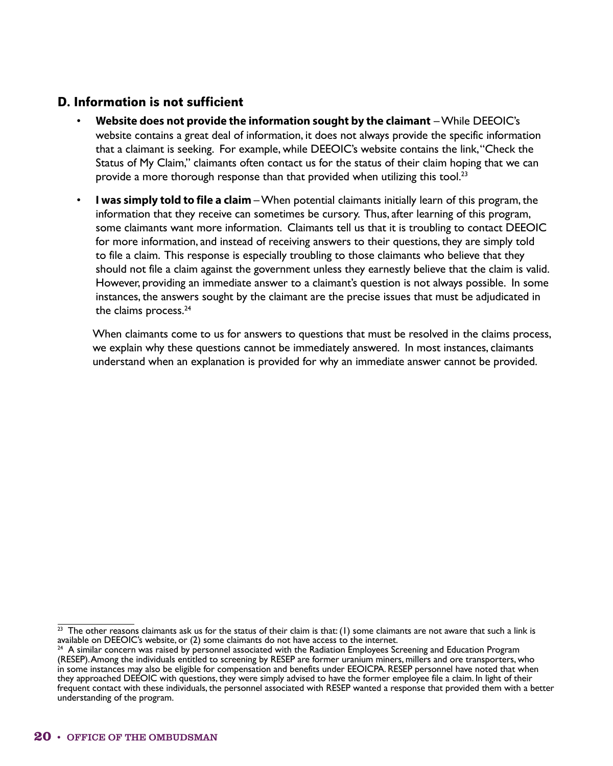#### D. Information is not sufficient

- **Website does not provide the information sought by the claimant** While DEEOIC's website contains a great deal of information, it does not always provide the specific information that a claimant is seeking. For example, while DEEOIC's website contains the link, "Check the Status of My Claim," claimants often contact us for the status of their claim hoping that we can provide a more thorough response than that provided when utilizing this tool.<sup>23</sup>
- **I was simply told to file a claim**  When potential claimants initially learn of this program, the information that they receive can sometimes be cursory. Thus, after learning of this program, some claimants want more information. Claimants tell us that it is troubling to contact DEEOIC for more information, and instead of receiving answers to their questions, they are simply told to file a claim. This response is especially troubling to those claimants who believe that they should not file a claim against the government unless they earnestly believe that the claim is valid. However, providing an immediate answer to a claimant's question is not always possible. In some instances, the answers sought by the claimant are the precise issues that must be adjudicated in the claims process.<sup>24</sup>

When claimants come to us for answers to questions that must be resolved in the claims process, we explain why these questions cannot be immediately answered. In most instances, claimants understand when an explanation is provided for why an immediate answer cannot be provided.

 $\frac{23}{23}$  The other reasons claimants ask us for the status of their claim is that: (1) some claimants are not aware that such a link is available on DEEOIC's website, or (2) some claimants do not have access to the internet.

 $24$  A similar concern was raised by personnel associated with the Radiation Employees Screening and Education Program (RESEP). Among the individuals entitled to screening by RESEP are former uranium miners, millers and ore transporters, who in some instances may also be eligible for compensation and benefits under EEOICPA. RESEP personnel have noted that when they approached DEEOIC with questions, they were simply advised to have the former employee file a claim. In light of their frequent contact with these individuals, the personnel associated with RESEP wanted a response that provided them with a better understanding of the program.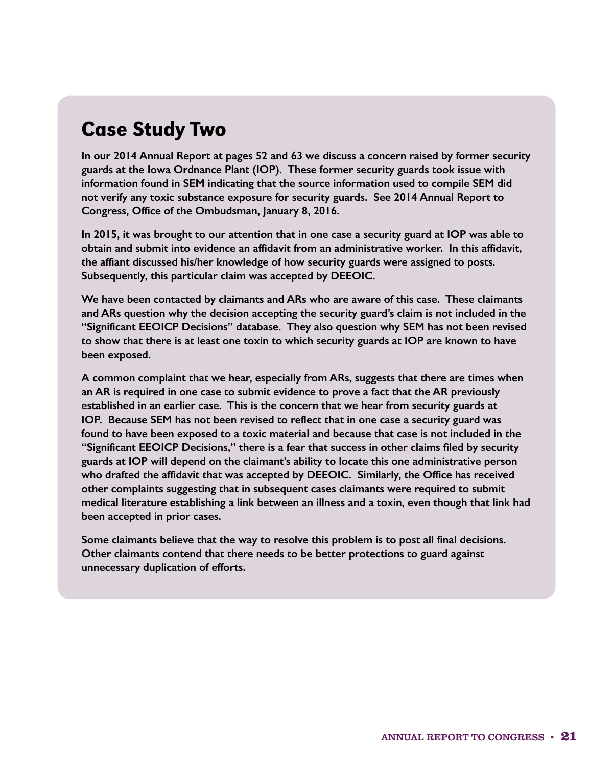## Case Study Two

**In our 2014 Annual Report at pages 52 and 63 we discuss a concern raised by former security guards at the Iowa Ordnance Plant (IOP). These former security guards took issue with information found in SEM indicating that the source information used to compile SEM did not verify any toxic substance exposure for security guards. See 2014 Annual Report to Congress, Office of the Ombudsman, January 8, 2016.**

**In 2015, it was brought to our attention that in one case a security guard at IOP was able to obtain and submit into evidence an affidavit from an administrative worker. In this affidavit, the affiant discussed his/her knowledge of how security guards were assigned to posts. Subsequently, this particular claim was accepted by DEEOIC.**

**We have been contacted by claimants and ARs who are aware of this case. These claimants and ARs question why the decision accepting the security guard's claim is not included in the "Significant EEOICP Decisions" database. They also question why SEM has not been revised to show that there is at least one toxin to which security guards at IOP are known to have been exposed.**

**A common complaint that we hear, especially from ARs, suggests that there are times when an AR is required in one case to submit evidence to prove a fact that the AR previously established in an earlier case. This is the concern that we hear from security guards at IOP. Because SEM has not been revised to reflect that in one case a security guard was found to have been exposed to a toxic material and because that case is not included in the "Significant EEOICP Decisions," there is a fear that success in other claims filed by security guards at IOP will depend on the claimant's ability to locate this one administrative person who drafted the affidavit that was accepted by DEEOIC. Similarly, the Office has received other complaints suggesting that in subsequent cases claimants were required to submit medical literature establishing a link between an illness and a toxin, even though that link had been accepted in prior cases.**

**Some claimants believe that the way to resolve this problem is to post all final decisions. Other claimants contend that there needs to be better protections to guard against unnecessary duplication of efforts.**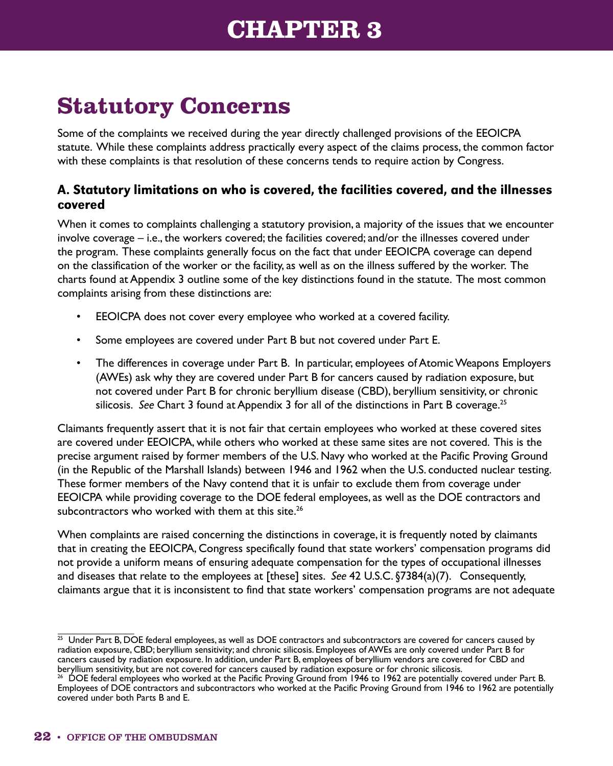## **CHAPTER 3**

# <span id="page-27-0"></span>**Statutory Concerns**

Some of the complaints we received during the year directly challenged provisions of the EEOICPA statute. While these complaints address practically every aspect of the claims process, the common factor with these complaints is that resolution of these concerns tends to require action by Congress.

### A. Statutory limitations on who is covered, the facilities covered, and the illnesses covered

When it comes to complaints challenging a statutory provision, a majority of the issues that we encounter involve coverage – i.e., the workers covered; the facilities covered; and/or the illnesses covered under the program. These complaints generally focus on the fact that under EEOICPA coverage can depend on the classification of the worker or the facility, as well as on the illness suffered by the worker. The charts found at Appendix 3 outline some of the key distinctions found in the statute. The most common complaints arising from these distinctions are:

- EEOICPA does not cover every employee who worked at a covered facility.
- Some employees are covered under Part B but not covered under Part E.
- The differences in coverage under Part B. In particular, employees of Atomic Weapons Employers (AWEs) ask why they are covered under Part B for cancers caused by radiation exposure, but not covered under Part B for chronic beryllium disease (CBD), beryllium sensitivity, or chronic silicosis. *See* Chart 3 found at Appendix 3 for all of the distinctions in Part B coverage.<sup>25</sup>

Claimants frequently assert that it is not fair that certain employees who worked at these covered sites are covered under EEOICPA, while others who worked at these same sites are not covered. This is the precise argument raised by former members of the U.S. Navy who worked at the Pacific Proving Ground (in the Republic of the Marshall Islands) between 1946 and 1962 when the U.S. conducted nuclear testing. These former members of the Navy contend that it is unfair to exclude them from coverage under EEOICPA while providing coverage to the DOE federal employees, as well as the DOE contractors and subcontractors who worked with them at this site.<sup>26</sup>

When complaints are raised concerning the distinctions in coverage, it is frequently noted by claimants that in creating the EEOICPA, Congress specifically found that state workers' compensation programs did not provide a uniform means of ensuring adequate compensation for the types of occupational illnesses and diseases that relate to the employees at [these] sites. *See* 42 U.S.C. §7384(a)(7). Consequently, claimants argue that it is inconsistent to find that state workers' compensation programs are not adequate

 $25$  Under Part B, DOE federal employees, as well as DOE contractors and subcontractors are covered for cancers caused by radiation exposure, CBD; beryllium sensitivity; and chronic silicosis. Employees of AWEs are only covered under Part B for cancers caused by radiation exposure. In addition, under Part B, employees of beryllium vendors are covered for CBD and beryllium sensitivity, but are not covered for cancers caused by radiation exposure or for chronic silicosis.

<sup>26</sup> DOE federal employees who worked at the Pacific Proving Ground from 1946 to 1962 are potentially covered under Part B. Employees of DOE contractors and subcontractors who worked at the Pacific Proving Ground from 1946 to 1962 are potentially covered under both Parts B and E.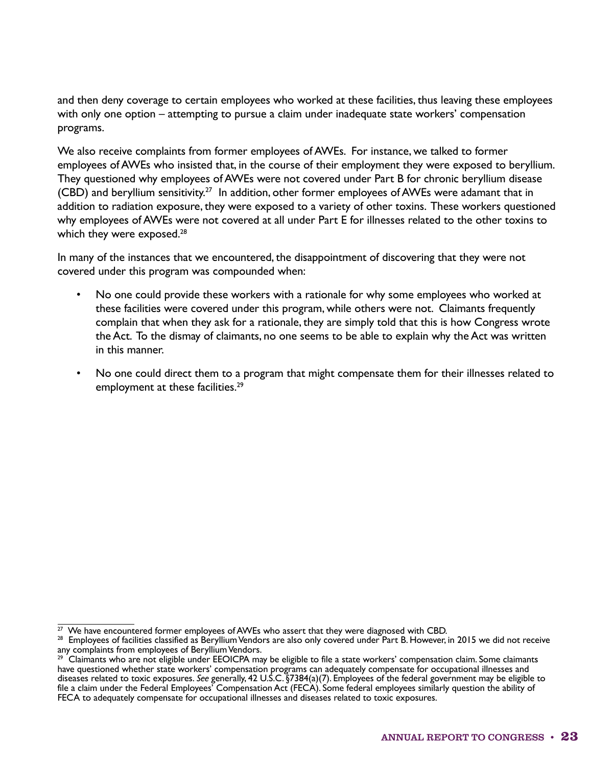and then deny coverage to certain employees who worked at these facilities, thus leaving these employees with only one option – attempting to pursue a claim under inadequate state workers' compensation programs.

We also receive complaints from former employees of AWEs. For instance, we talked to former employees of AWEs who insisted that, in the course of their employment they were exposed to beryllium. They questioned why employees of AWEs were not covered under Part B for chronic beryllium disease (CBD) and beryllium sensitivity.<sup>27</sup> In addition, other former employees of AWEs were adamant that in addition to radiation exposure, they were exposed to a variety of other toxins. These workers questioned why employees of AWEs were not covered at all under Part E for illnesses related to the other toxins to which they were exposed.<sup>28</sup>

In many of the instances that we encountered, the disappointment of discovering that they were not covered under this program was compounded when:

- No one could provide these workers with a rationale for why some employees who worked at these facilities were covered under this program, while others were not. Claimants frequently complain that when they ask for a rationale, they are simply told that this is how Congress wrote the Act. To the dismay of claimants, no one seems to be able to explain why the Act was written in this manner.
- No one could direct them to a program that might compensate them for their illnesses related to employment at these facilities.<sup>29</sup>

 $\frac{27}{27}$  We have encountered former employees of AWEs who assert that they were diagnosed with CBD.

<sup>&</sup>lt;sup>28</sup> Employees of facilities classified as Beryllium Vendors are also only covered under Part B. However, in 2015 we did not receive any complaints from employees of Beryllium Vendors.

 $^{29}$  Claimants who are not eligible under EEOICPA may be eligible to file a state workers' compensation claim. Some claimants have questioned whether state workers' compensation programs can adequately compensate for occupational illnesses and diseases related to toxic exposures. *See* generally, 42 U.S.C. §7384(a)(7). Employees of the federal government may be eligible to file a claim under the Federal Employees' Compensation Act (FECA). Some federal employees similarly question the ability of FECA to adequately compensate for occupational illnesses and diseases related to toxic exposures.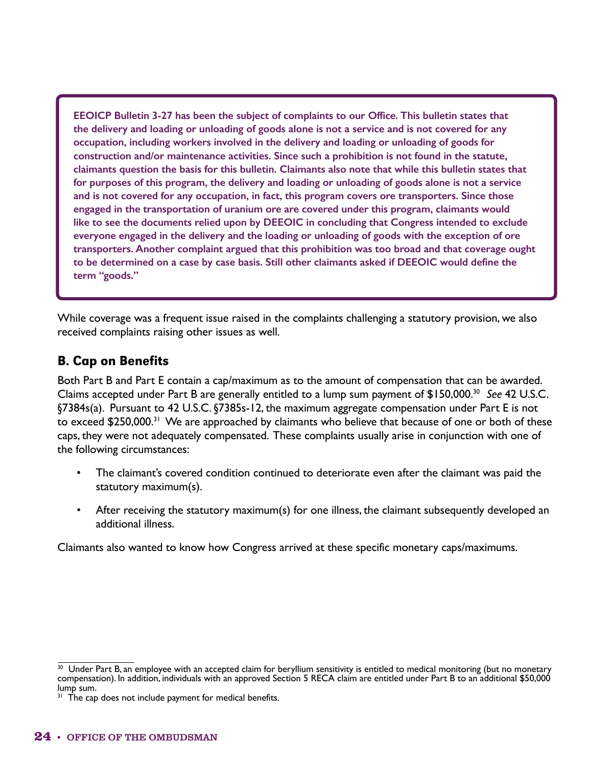**EEOICP Bulletin 3-27 has been the subject of complaints to our Office. This bulletin states that the delivery and loading or unloading of goods alone is not a service and is not covered for any occupation, including workers involved in the delivery and loading or unloading of goods for construction and/or maintenance activities. Since such a prohibition is not found in the statute, claimants question the basis for this bulletin. Claimants also note that while this bulletin states that for purposes of this program, the delivery and loading or unloading of goods alone is not a service and is not covered for any occupation, in fact, this program covers ore transporters. Since those engaged in the transportation of uranium ore are covered under this program, claimants would like to see the documents relied upon by DEEOIC in concluding that Congress intended to exclude everyone engaged in the delivery and the loading or unloading of goods with the exception of ore transporters. Another complaint argued that this prohibition was too broad and that coverage ought to be determined on a case by case basis. Still other claimants asked if DEEOIC would define the term "goods."**

While coverage was a frequent issue raised in the complaints challenging a statutory provision, we also received complaints raising other issues as well.

#### B. Cap on Benefits

Both Part B and Part E contain a cap/maximum as to the amount of compensation that can be awarded. Claims accepted under Part B are generally entitled to a lump sum payment of \$150,000.30 *See* 42 U.S.C. §7384s(a). Pursuant to 42 U.S.C. §7385s-12, the maximum aggregate compensation under Part E is not to exceed \$250,000.<sup>31</sup> We are approached by claimants who believe that because of one or both of these caps, they were not adequately compensated. These complaints usually arise in conjunction with one of the following circumstances:

- The claimant's covered condition continued to deteriorate even after the claimant was paid the statutory maximum(s).
- After receiving the statutory maximum(s) for one illness, the claimant subsequently developed an additional illness.

Claimants also wanted to know how Congress arrived at these specific monetary caps/maximums.

 $30$  Under Part B, an employee with an accepted claim for beryllium sensitivity is entitled to medical monitoring (but no monetary compensation). In addition, individuals with an approved Section 5 RECA claim are entitled under Part B to an additional \$50,000 lump sum.

<sup>&</sup>lt;sup>31</sup> The cap does not include payment for medical benefits.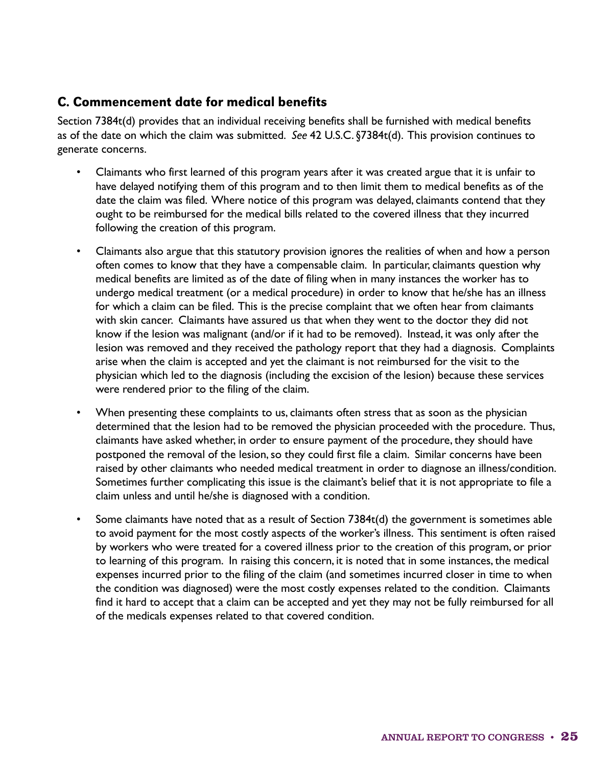#### C. Commencement date for medical benefits

Section 7384t(d) provides that an individual receiving benefits shall be furnished with medical benefits as of the date on which the claim was submitted. *See* 42 U.S.C. §7384t(d). This provision continues to generate concerns.

- Claimants who first learned of this program years after it was created argue that it is unfair to have delayed notifying them of this program and to then limit them to medical benefits as of the date the claim was filed. Where notice of this program was delayed, claimants contend that they ought to be reimbursed for the medical bills related to the covered illness that they incurred following the creation of this program.
- Claimants also argue that this statutory provision ignores the realities of when and how a person often comes to know that they have a compensable claim. In particular, claimants question why medical benefits are limited as of the date of filing when in many instances the worker has to undergo medical treatment (or a medical procedure) in order to know that he/she has an illness for which a claim can be filed. This is the precise complaint that we often hear from claimants with skin cancer. Claimants have assured us that when they went to the doctor they did not know if the lesion was malignant (and/or if it had to be removed). Instead, it was only after the lesion was removed and they received the pathology report that they had a diagnosis. Complaints arise when the claim is accepted and yet the claimant is not reimbursed for the visit to the physician which led to the diagnosis (including the excision of the lesion) because these services were rendered prior to the filing of the claim.
- When presenting these complaints to us, claimants often stress that as soon as the physician determined that the lesion had to be removed the physician proceeded with the procedure. Thus, claimants have asked whether, in order to ensure payment of the procedure, they should have postponed the removal of the lesion, so they could first file a claim. Similar concerns have been raised by other claimants who needed medical treatment in order to diagnose an illness/condition. Sometimes further complicating this issue is the claimant's belief that it is not appropriate to file a claim unless and until he/she is diagnosed with a condition.
- Some claimants have noted that as a result of Section 7384t(d) the government is sometimes able to avoid payment for the most costly aspects of the worker's illness. This sentiment is often raised by workers who were treated for a covered illness prior to the creation of this program, or prior to learning of this program. In raising this concern, it is noted that in some instances, the medical expenses incurred prior to the filing of the claim (and sometimes incurred closer in time to when the condition was diagnosed) were the most costly expenses related to the condition. Claimants find it hard to accept that a claim can be accepted and yet they may not be fully reimbursed for all of the medicals expenses related to that covered condition.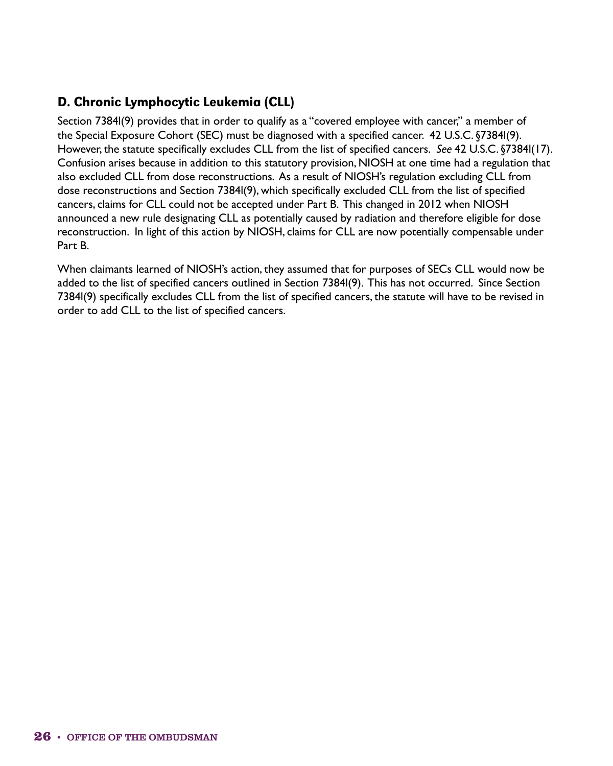### D. Chronic Lymphocytic Leukemia (CLL)

Section 7384l(9) provides that in order to qualify as a "covered employee with cancer," a member of the Special Exposure Cohort (SEC) must be diagnosed with a specified cancer. 42 U.S.C. §7384l(9). However, the statute specifically excludes CLL from the list of specified cancers. *See* 42 U.S.C. §7384l(17). Confusion arises because in addition to this statutory provision, NIOSH at one time had a regulation that also excluded CLL from dose reconstructions. As a result of NIOSH's regulation excluding CLL from dose reconstructions and Section 7384l(9), which specifically excluded CLL from the list of specified cancers, claims for CLL could not be accepted under Part B. This changed in 2012 when NIOSH announced a new rule designating CLL as potentially caused by radiation and therefore eligible for dose reconstruction. In light of this action by NIOSH, claims for CLL are now potentially compensable under Part B.

When claimants learned of NIOSH's action, they assumed that for purposes of SECs CLL would now be added to the list of specified cancers outlined in Section 7384l(9). This has not occurred. Since Section 7384l(9) specifically excludes CLL from the list of specified cancers, the statute will have to be revised in order to add CLL to the list of specified cancers.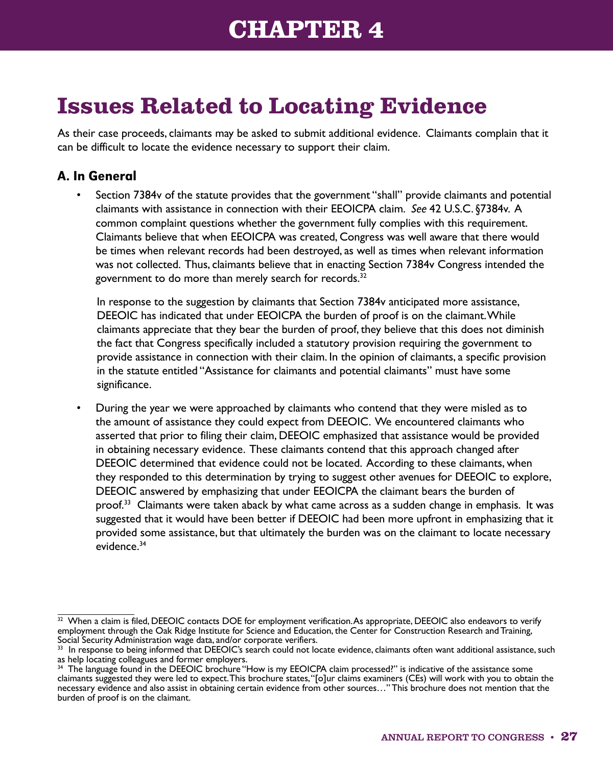## **CHAPTER 4**

# <span id="page-32-0"></span>**Issues Related to Locating Evidence**

As their case proceeds, claimants may be asked to submit additional evidence. Claimants complain that it can be difficult to locate the evidence necessary to support their claim.

### A. In General

• Section 7384v of the statute provides that the government "shall" provide claimants and potential claimants with assistance in connection with their EEOICPA claim. *See* 42 U.S.C. §7384v. A common complaint questions whether the government fully complies with this requirement. Claimants believe that when EEOICPA was created, Congress was well aware that there would be times when relevant records had been destroyed, as well as times when relevant information was not collected. Thus, claimants believe that in enacting Section 7384v Congress intended the government to do more than merely search for records.<sup>32</sup>

In response to the suggestion by claimants that Section 7384v anticipated more assistance, DEEOIC has indicated that under EEOICPA the burden of proof is on the claimant. While claimants appreciate that they bear the burden of proof, they believe that this does not diminish the fact that Congress specifically included a statutory provision requiring the government to provide assistance in connection with their claim. In the opinion of claimants, a specific provision in the statute entitled "Assistance for claimants and potential claimants" must have some significance.

• During the year we were approached by claimants who contend that they were misled as to the amount of assistance they could expect from DEEOIC. We encountered claimants who asserted that prior to filing their claim, DEEOIC emphasized that assistance would be provided in obtaining necessary evidence. These claimants contend that this approach changed after DEEOIC determined that evidence could not be located. According to these claimants, when they responded to this determination by trying to suggest other avenues for DEEOIC to explore, DEEOIC answered by emphasizing that under EEOICPA the claimant bears the burden of proof.<sup>33</sup> Claimants were taken aback by what came across as a sudden change in emphasis. It was suggested that it would have been better if DEEOIC had been more upfront in emphasizing that it provided some assistance, but that ultimately the burden was on the claimant to locate necessary evidence.<sup>34</sup>

 $\frac{32}{2}$  When a claim is filed, DEEOIC contacts DOE for employment verification. As appropriate, DEEOIC also endeavors to verify employment through the Oak Ridge Institute for Science and Education, the Center for Construction Research and Training, Social Security Administration wage data, and/or corporate verifiers.

 $33$  In response to being informed that DEEOIC's search could not locate evidence, claimants often want additional assistance, such as help locating colleagues and former employers.

<sup>34</sup> The language found in the DEEOIC brochure "How is my EEOICPA claim processed?" is indicative of the assistance some claimants suggested they were led to expect. This brochure states, "[o]ur claims examiners (CEs) will work with you to obtain the necessary evidence and also assist in obtaining certain evidence from other sources…" This brochure does not mention that the burden of proof is on the claimant.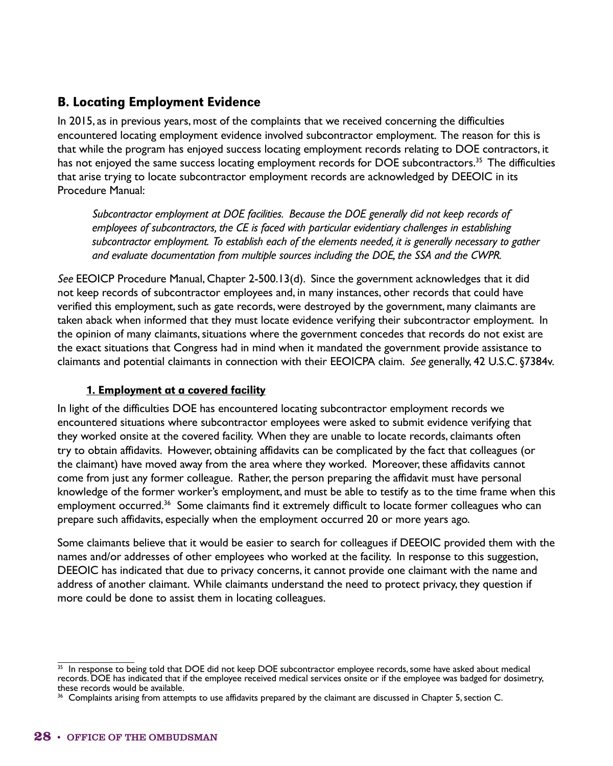### B. Locating Employment Evidence

In 2015, as in previous years, most of the complaints that we received concerning the difficulties encountered locating employment evidence involved subcontractor employment. The reason for this is that while the program has enjoyed success locating employment records relating to DOE contractors, it has not enjoyed the same success locating employment records for DOE subcontractors.<sup>35</sup> The difficulties that arise trying to locate subcontractor employment records are acknowledged by DEEOIC in its Procedure Manual:

*Subcontractor employment at DOE facilities. Because the DOE generally did not keep records of employees of subcontractors, the CE is faced with particular evidentiary challenges in establishing subcontractor employment. To establish each of the elements needed, it is generally necessary to gather and evaluate documentation from multiple sources including the DOE, the SSA and the CWPR.*

*See* EEOICP Procedure Manual, Chapter 2-500.13(d). Since the government acknowledges that it did not keep records of subcontractor employees and, in many instances, other records that could have verified this employment, such as gate records, were destroyed by the government, many claimants are taken aback when informed that they must locate evidence verifying their subcontractor employment. In the opinion of many claimants, situations where the government concedes that records do not exist are the exact situations that Congress had in mind when it mandated the government provide assistance to claimants and potential claimants in connection with their EEOICPA claim. *See* generally, 42 U.S.C. §7384v.

#### 1. Employment at a covered facility

In light of the difficulties DOE has encountered locating subcontractor employment records we encountered situations where subcontractor employees were asked to submit evidence verifying that they worked onsite at the covered facility. When they are unable to locate records, claimants often try to obtain affidavits. However, obtaining affidavits can be complicated by the fact that colleagues (or the claimant) have moved away from the area where they worked. Moreover, these affidavits cannot come from just any former colleague. Rather, the person preparing the affidavit must have personal knowledge of the former worker's employment, and must be able to testify as to the time frame when this employment occurred.<sup>36</sup> Some claimants find it extremely difficult to locate former colleagues who can prepare such affidavits, especially when the employment occurred 20 or more years ago.

Some claimants believe that it would be easier to search for colleagues if DEEOIC provided them with the names and/or addresses of other employees who worked at the facility. In response to this suggestion, DEEOIC has indicated that due to privacy concerns, it cannot provide one claimant with the name and address of another claimant. While claimants understand the need to protect privacy, they question if more could be done to assist them in locating colleagues.

<sup>&</sup>lt;sup>35</sup> In response to being told that DOE did not keep DOE subcontractor employee records, some have asked about medical records. DOE has indicated that if the employee received medical services onsite or if the employee was badged for dosimetry, these records would be available.

<sup>&</sup>lt;sup>36</sup> Complaints arising from attempts to use affidavits prepared by the claimant are discussed in Chapter 5, section C.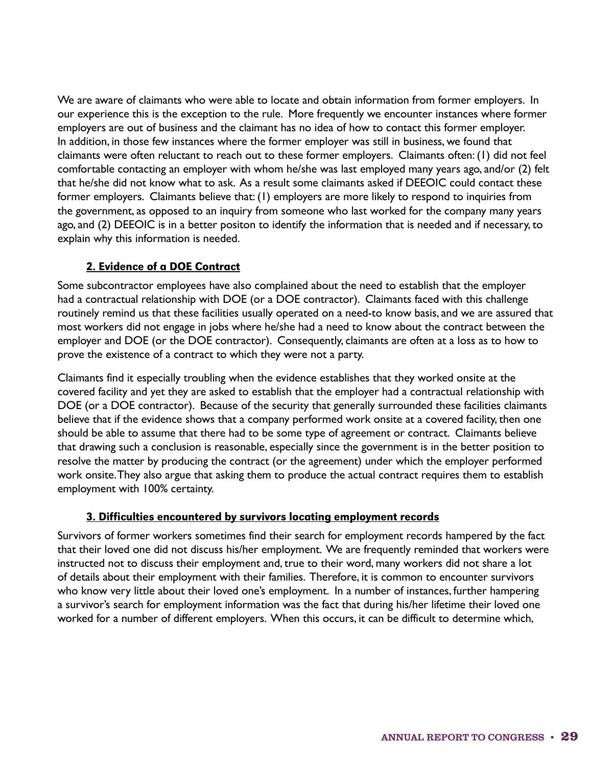We are aware of claimants who were able to locate and obtain information from former employers. In our experience this is the exception to the rule. More frequently we encounter instances where former employers are out of business and the claimant has no idea of how to contact this former employer. In addition, in those few instances where the former employer was still in business, we found that claimants were often reluctant to reach out to these former employers. Claimants often: (1) did not feel comfortable contacting an employer with whom he/she was last employed many years ago, and/or (2) felt that he/she did not know what to ask. As a result some claimants asked if DEEOIC could contact these former employers. Claimants believe that: (1) employers are more likely to respond to inquiries from the government, as opposed to an inquiry from someone who last worked for the company many years ago, and (2) DEEOIC is in a better positon to identify the information that is needed and if necessary, to explain why this information is needed.

#### 2. Evidence of a DOE Contract

Some subcontractor employees have also complained about the need to establish that the employer had a contractual relationship with DOE (or a DOE contractor). Claimants faced with this challenge routinely remind us that these facilities usually operated on a need-to know basis, and we are assured that most workers did not engage in jobs where he/she had a need to know about the contract between the employer and DOE (or the DOE contractor). Consequently, claimants are often at a loss as to how to prove the existence of a contract to which they were not a party.

Claimants find it especially troubling when the evidence establishes that they worked onsite at the covered facility and yet they are asked to establish that the employer had a contractual relationship with DOE (or a DOE contractor). Because of the security that generally surrounded these facilities claimants believe that if the evidence shows that a company performed work onsite at a covered facility, then one should be able to assume that there had to be some type of agreement or contract. Claimants believe that drawing such a conclusion is reasonable, especially since the government is in the better position to resolve the matter by producing the contract (or the agreement) under which the employer performed work onsite. They also argue that asking them to produce the actual contract requires them to establish employment with 100% certainty.

#### 3. Difficulties encountered by survivors locating employment records

Survivors of former workers sometimes find their search for employment records hampered by the fact that their loved one did not discuss his/her employment. We are frequently reminded that workers were instructed not to discuss their employment and, true to their word, many workers did not share a lot of details about their employment with their families. Therefore, it is common to encounter survivors who know very little about their loved one's employment. In a number of instances, further hampering a survivor's search for employment information was the fact that during his/her lifetime their loved one worked for a number of different employers. When this occurs, it can be difficult to determine which,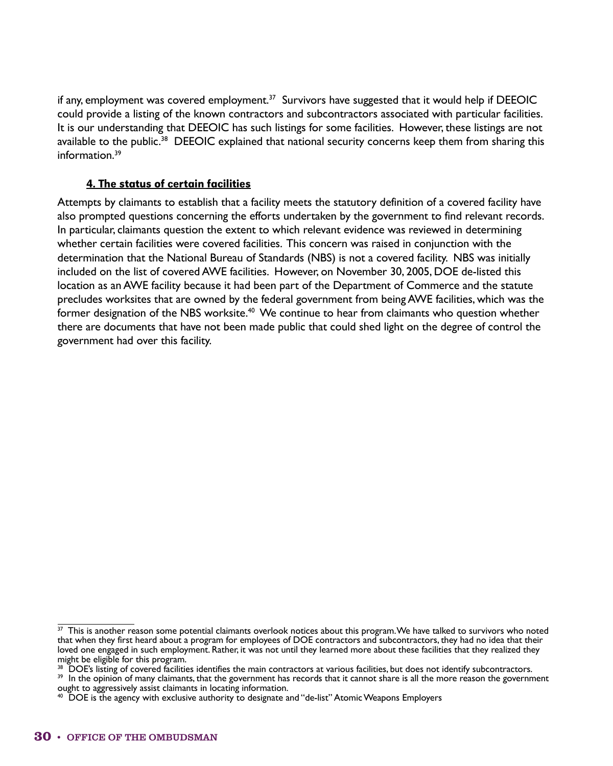if any, employment was covered employment.<sup>37</sup> Survivors have suggested that it would help if DEEOIC could provide a listing of the known contractors and subcontractors associated with particular facilities. It is our understanding that DEEOIC has such listings for some facilities. However, these listings are not available to the public.<sup>38</sup> DEEOIC explained that national security concerns keep them from sharing this information.39

#### 4. The status of certain facilities

Attempts by claimants to establish that a facility meets the statutory definition of a covered facility have also prompted questions concerning the efforts undertaken by the government to find relevant records. In particular, claimants question the extent to which relevant evidence was reviewed in determining whether certain facilities were covered facilities. This concern was raised in conjunction with the determination that the National Bureau of Standards (NBS) is not a covered facility. NBS was initially included on the list of covered AWE facilities. However, on November 30, 2005, DOE de-listed this location as an AWE facility because it had been part of the Department of Commerce and the statute precludes worksites that are owned by the federal government from being AWE facilities, which was the former designation of the NBS worksite.<sup>40</sup> We continue to hear from claimants who question whether there are documents that have not been made public that could shed light on the degree of control the government had over this facility.

 $37$  This is another reason some potential claimants overlook notices about this program. We have talked to survivors who noted that when they first heard about a program for employees of DOE contractors and subcontractors, they had no idea that their loved one engaged in such employment. Rather, it was not until they learned more about these facilities that they realized they might be eligible for this program.

<sup>&</sup>lt;sup>38</sup> DOE's listing of covered facilities identifies the main contractors at various facilities, but does not identify subcontractors.

<sup>&</sup>lt;sup>39</sup> In the opinion of many claimants, that the government has records that it cannot share is all the more reason the government ought to aggressively assist claimants in locating information.

 $40\,$  DOE is the agency with exclusive authority to designate and "de-list" Atomic Weapons Employers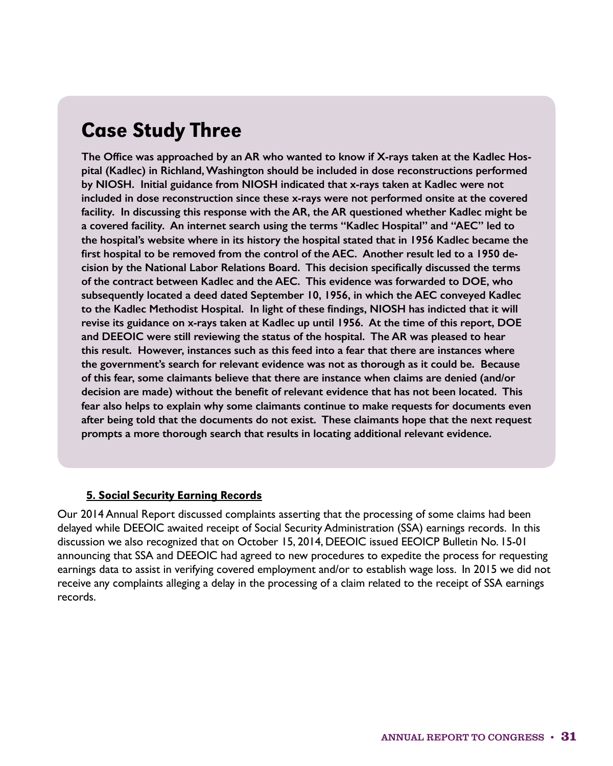## Case Study Three

**The Office was approached by an AR who wanted to know if X-rays taken at the Kadlec Hospital (Kadlec) in Richland, Washington should be included in dose reconstructions performed by NIOSH. Initial guidance from NIOSH indicated that x-rays taken at Kadlec were not included in dose reconstruction since these x-rays were not performed onsite at the covered facility. In discussing this response with the AR, the AR questioned whether Kadlec might be a covered facility. An internet search using the terms "Kadlec Hospital" and "AEC" led to the hospital's website where in its history the hospital stated that in 1956 Kadlec became the first hospital to be removed from the control of the AEC. Another result led to a 1950 decision by the National Labor Relations Board. This decision specifically discussed the terms of the contract between Kadlec and the AEC. This evidence was forwarded to DOE, who subsequently located a deed dated September 10, 1956, in which the AEC conveyed Kadlec to the Kadlec Methodist Hospital. In light of these findings, NIOSH has indicted that it will revise its guidance on x-rays taken at Kadlec up until 1956. At the time of this report, DOE and DEEOIC were still reviewing the status of the hospital. The AR was pleased to hear this result. However, instances such as this feed into a fear that there are instances where the government's search for relevant evidence was not as thorough as it could be. Because of this fear, some claimants believe that there are instance when claims are denied (and/or decision are made) without the benefit of relevant evidence that has not been located. This fear also helps to explain why some claimants continue to make requests for documents even after being told that the documents do not exist. These claimants hope that the next request prompts a more thorough search that results in locating additional relevant evidence.**

#### 5. Social Security Earning Records

Our 2014 Annual Report discussed complaints asserting that the processing of some claims had been delayed while DEEOIC awaited receipt of Social Security Administration (SSA) earnings records. In this discussion we also recognized that on October 15, 2014, DEEOIC issued EEOICP Bulletin No. 15-01 announcing that SSA and DEEOIC had agreed to new procedures to expedite the process for requesting earnings data to assist in verifying covered employment and/or to establish wage loss. In 2015 we did not receive any complaints alleging a delay in the processing of a claim related to the receipt of SSA earnings records.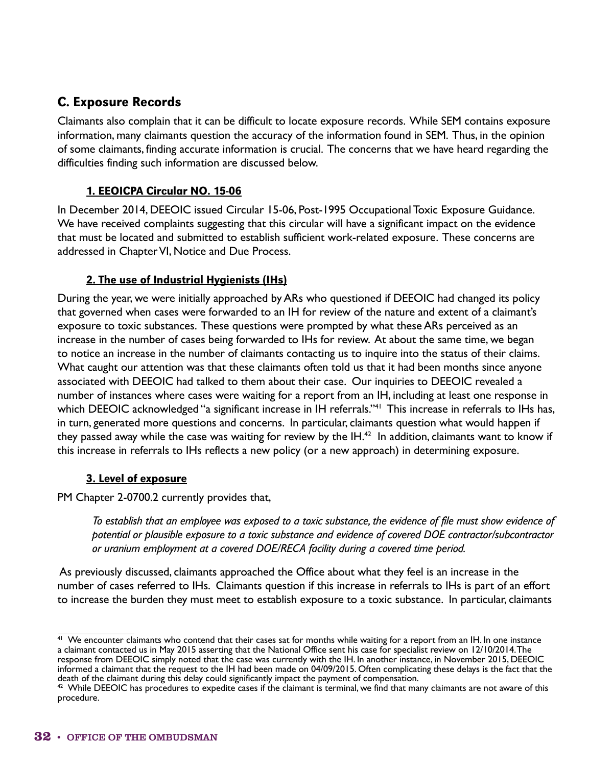## C. Exposure Records

Claimants also complain that it can be difficult to locate exposure records. While SEM contains exposure information, many claimants question the accuracy of the information found in SEM. Thus, in the opinion of some claimants, finding accurate information is crucial. The concerns that we have heard regarding the difficulties finding such information are discussed below.

#### 1. EEOICPA Circular NO. 15-06

In December 2014, DEEOIC issued Circular 15-06, Post-1995 Occupational Toxic Exposure Guidance. We have received complaints suggesting that this circular will have a significant impact on the evidence that must be located and submitted to establish sufficient work-related exposure. These concerns are addressed in Chapter VI, Notice and Due Process.

#### 2. The use of Industrial Hygienists (IHs)

During the year, we were initially approached by ARs who questioned if DEEOIC had changed its policy that governed when cases were forwarded to an IH for review of the nature and extent of a claimant's exposure to toxic substances. These questions were prompted by what these ARs perceived as an increase in the number of cases being forwarded to IHs for review. At about the same time, we began to notice an increase in the number of claimants contacting us to inquire into the status of their claims. What caught our attention was that these claimants often told us that it had been months since anyone associated with DEEOIC had talked to them about their case. Our inquiries to DEEOIC revealed a number of instances where cases were waiting for a report from an IH, including at least one response in which DEEOIC acknowledged "a significant increase in IH referrals."<sup>41</sup> This increase in referrals to IHs has, in turn, generated more questions and concerns. In particular, claimants question what would happen if they passed away while the case was waiting for review by the  $IH^{42}$  In addition, claimants want to know if this increase in referrals to IHs reflects a new policy (or a new approach) in determining exposure.

#### 3. Level of exposure

PM Chapter 2-0700.2 currently provides that,

*To establish that an employee was exposed to a toxic substance, the evidence of file must show evidence of potential or plausible exposure to a toxic substance and evidence of covered DOE contractor/subcontractor or uranium employment at a covered DOE/RECA facility during a covered time period.*

 As previously discussed, claimants approached the Office about what they feel is an increase in the number of cases referred to IHs. Claimants question if this increase in referrals to IHs is part of an effort to increase the burden they must meet to establish exposure to a toxic substance. In particular, claimants

 $41$  We encounter claimants who contend that their cases sat for months while waiting for a report from an IH. In one instance a claimant contacted us in May 2015 asserting that the National Office sent his case for specialist review on 12/10/2014. The response from DEEOIC simply noted that the case was currently with the IH. In another instance, in November 2015, DEEOIC informed a claimant that the request to the IH had been made on 04/09/2015. Often complicating these delays is the fact that the death of the claimant during this delay could significantly impact the payment of compensation.

 $42$  While DEEOIC has procedures to expedite cases if the claimant is terminal, we find that many claimants are not aware of this procedure.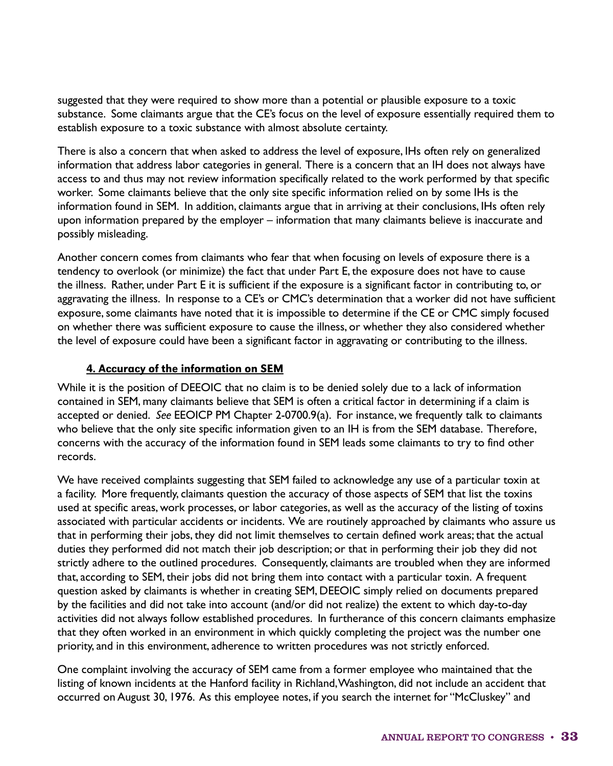suggested that they were required to show more than a potential or plausible exposure to a toxic substance. Some claimants argue that the CE's focus on the level of exposure essentially required them to establish exposure to a toxic substance with almost absolute certainty.

There is also a concern that when asked to address the level of exposure, IHs often rely on generalized information that address labor categories in general. There is a concern that an IH does not always have access to and thus may not review information specifically related to the work performed by that specific worker. Some claimants believe that the only site specific information relied on by some IHs is the information found in SEM. In addition, claimants argue that in arriving at their conclusions, IHs often rely upon information prepared by the employer – information that many claimants believe is inaccurate and possibly misleading.

Another concern comes from claimants who fear that when focusing on levels of exposure there is a tendency to overlook (or minimize) the fact that under Part E, the exposure does not have to cause the illness. Rather, under Part E it is sufficient if the exposure is a significant factor in contributing to, or aggravating the illness. In response to a CE's or CMC's determination that a worker did not have sufficient exposure, some claimants have noted that it is impossible to determine if the CE or CMC simply focused on whether there was sufficient exposure to cause the illness, or whether they also considered whether the level of exposure could have been a significant factor in aggravating or contributing to the illness.

#### 4. Accuracy of the information on SEM

While it is the position of DEEOIC that no claim is to be denied solely due to a lack of information contained in SEM, many claimants believe that SEM is often a critical factor in determining if a claim is accepted or denied. *See* EEOICP PM Chapter 2-0700.9(a). For instance, we frequently talk to claimants who believe that the only site specific information given to an IH is from the SEM database. Therefore, concerns with the accuracy of the information found in SEM leads some claimants to try to find other records.

We have received complaints suggesting that SEM failed to acknowledge any use of a particular toxin at a facility. More frequently, claimants question the accuracy of those aspects of SEM that list the toxins used at specific areas, work processes, or labor categories, as well as the accuracy of the listing of toxins associated with particular accidents or incidents. We are routinely approached by claimants who assure us that in performing their jobs, they did not limit themselves to certain defined work areas; that the actual duties they performed did not match their job description; or that in performing their job they did not strictly adhere to the outlined procedures. Consequently, claimants are troubled when they are informed that, according to SEM, their jobs did not bring them into contact with a particular toxin. A frequent question asked by claimants is whether in creating SEM, DEEOIC simply relied on documents prepared by the facilities and did not take into account (and/or did not realize) the extent to which day-to-day activities did not always follow established procedures. In furtherance of this concern claimants emphasize that they often worked in an environment in which quickly completing the project was the number one priority, and in this environment, adherence to written procedures was not strictly enforced.

One complaint involving the accuracy of SEM came from a former employee who maintained that the listing of known incidents at the Hanford facility in Richland, Washington, did not include an accident that occurred on August 30, 1976. As this employee notes, if you search the internet for "McCluskey" and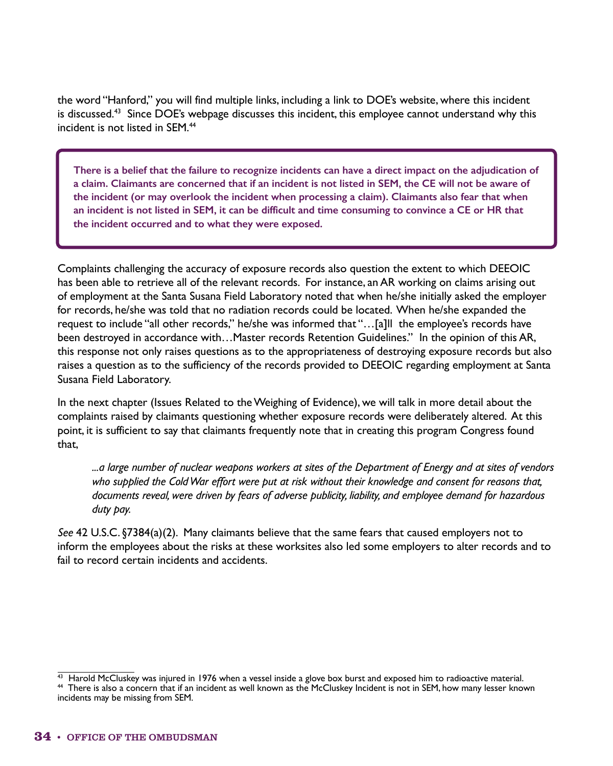the word "Hanford," you will find multiple links, including a link to DOE's website, where this incident is discussed.<sup>43</sup> Since DOE's webpage discusses this incident, this employee cannot understand why this incident is not listed in SEM.44

**There is a belief that the failure to recognize incidents can have a direct impact on the adjudication of a claim. Claimants are concerned that if an incident is not listed in SEM, the CE will not be aware of the incident (or may overlook the incident when processing a claim). Claimants also fear that when an incident is not listed in SEM, it can be difficult and time consuming to convince a CE or HR that the incident occurred and to what they were exposed.**

Complaints challenging the accuracy of exposure records also question the extent to which DEEOIC has been able to retrieve all of the relevant records. For instance, an AR working on claims arising out of employment at the Santa Susana Field Laboratory noted that when he/she initially asked the employer for records, he/she was told that no radiation records could be located. When he/she expanded the request to include "all other records," he/she was informed that "…[a]ll the employee's records have been destroyed in accordance with…Master records Retention Guidelines." In the opinion of this AR, this response not only raises questions as to the appropriateness of destroying exposure records but also raises a question as to the sufficiency of the records provided to DEEOIC regarding employment at Santa Susana Field Laboratory.

In the next chapter (Issues Related to the Weighing of Evidence), we will talk in more detail about the complaints raised by claimants questioning whether exposure records were deliberately altered. At this point, it is sufficient to say that claimants frequently note that in creating this program Congress found that,

*...a large number of nuclear weapons workers at sites of the Department of Energy and at sites of vendors who supplied the Cold War effort were put at risk without their knowledge and consent for reasons that, documents reveal, were driven by fears of adverse publicity, liability, and employee demand for hazardous duty pay.*

*See* 42 U.S.C. §7384(a)(2). Many claimants believe that the same fears that caused employers not to inform the employees about the risks at these worksites also led some employers to alter records and to fail to record certain incidents and accidents.

<sup>&</sup>lt;sup>43</sup> Harold McCluskey was injured in 1976 when a vessel inside a glove box burst and exposed him to radioactive material. 44 There is also a concern that if an incident as well known as the McCluskey Incident is not in SEM, how many lesser known incidents may be missing from SEM.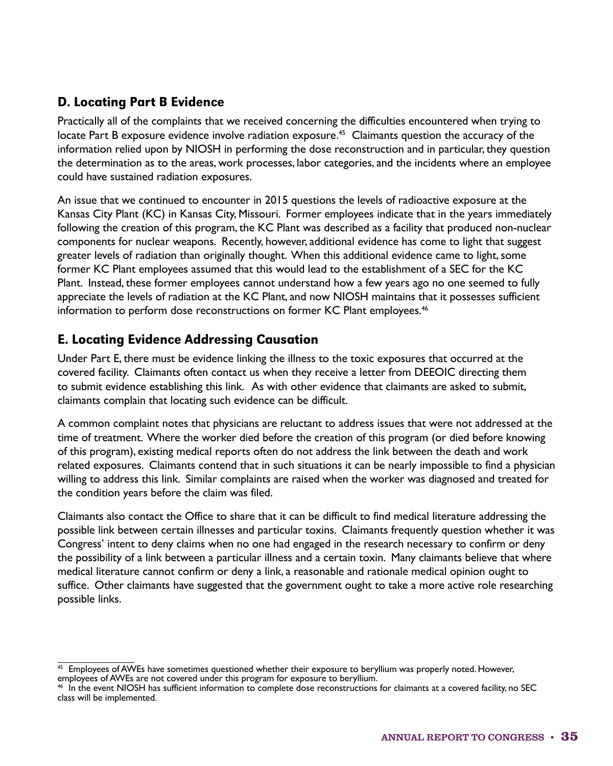## D. Locating Part B Evidence

Practically all of the complaints that we received concerning the difficulties encountered when trying to locate Part B exposure evidence involve radiation exposure.<sup>45</sup> Claimants question the accuracy of the information relied upon by NIOSH in performing the dose reconstruction and in particular, they question the determination as to the areas, work processes, labor categories, and the incidents where an employee could have sustained radiation exposures.

An issue that we continued to encounter in 2015 questions the levels of radioactive exposure at the Kansas City Plant (KC) in Kansas City, Missouri. Former employees indicate that in the years immediately following the creation of this program, the KC Plant was described as a facility that produced non-nuclear components for nuclear weapons. Recently, however, additional evidence has come to light that suggest greater levels of radiation than originally thought. When this additional evidence came to light, some former KC Plant employees assumed that this would lead to the establishment of a SEC for the KC Plant. Instead, these former employees cannot understand how a few years ago no one seemed to fully appreciate the levels of radiation at the KC Plant, and now NIOSH maintains that it possesses sufficient information to perform dose reconstructions on former KC Plant employees.<sup>46</sup>

## E. Locating Evidence Addressing Causation

Under Part E, there must be evidence linking the illness to the toxic exposures that occurred at the covered facility. Claimants often contact us when they receive a letter from DEEOIC directing them to submit evidence establishing this link. As with other evidence that claimants are asked to submit, claimants complain that locating such evidence can be difficult.

A common complaint notes that physicians are reluctant to address issues that were not addressed at the time of treatment. Where the worker died before the creation of this program (or died before knowing of this program), existing medical reports often do not address the link between the death and work related exposures. Claimants contend that in such situations it can be nearly impossible to find a physician willing to address this link. Similar complaints are raised when the worker was diagnosed and treated for the condition years before the claim was filed.

Claimants also contact the Office to share that it can be difficult to find medical literature addressing the possible link between certain illnesses and particular toxins. Claimants frequently question whether it was Congress' intent to deny claims when no one had engaged in the research necessary to confirm or deny the possibility of a link between a particular illness and a certain toxin. Many claimants believe that where medical literature cannot confirm or deny a link, a reasonable and rationale medical opinion ought to suffice. Other claimants have suggested that the government ought to take a more active role researching possible links.

<sup>&</sup>lt;sup>45</sup> Employees of AWEs have sometimes questioned whether their exposure to beryllium was properly noted. However, employees of AWEs are not covered under this program for exposure to beryllium.

<sup>46</sup> In the event NIOSH has sufficient information to complete dose reconstructions for claimants at a covered facility, no SEC class will be implemented.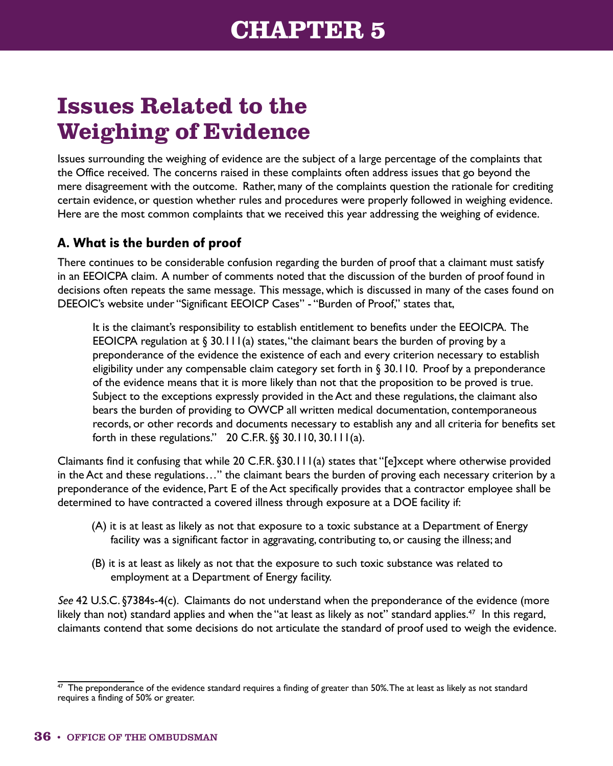# **Issues Related to the Weighing of Evidence**

Issues surrounding the weighing of evidence are the subject of a large percentage of the complaints that the Office received. The concerns raised in these complaints often address issues that go beyond the mere disagreement with the outcome. Rather, many of the complaints question the rationale for crediting certain evidence, or question whether rules and procedures were properly followed in weighing evidence. Here are the most common complaints that we received this year addressing the weighing of evidence.

## A. What is the burden of proof

There continues to be considerable confusion regarding the burden of proof that a claimant must satisfy in an EEOICPA claim. A number of comments noted that the discussion of the burden of proof found in decisions often repeats the same message. This message, which is discussed in many of the cases found on DEEOIC's website under "Significant EEOICP Cases" - "Burden of Proof," states that,

It is the claimant's responsibility to establish entitlement to benefits under the EEOICPA. The EEOICPA regulation at  $\S$  30.111(a) states, "the claimant bears the burden of proving by a preponderance of the evidence the existence of each and every criterion necessary to establish eligibility under any compensable claim category set forth in § 30.110. Proof by a preponderance of the evidence means that it is more likely than not that the proposition to be proved is true. Subject to the exceptions expressly provided in the Act and these regulations, the claimant also bears the burden of providing to OWCP all written medical documentation, contemporaneous records, or other records and documents necessary to establish any and all criteria for benefits set forth in these regulations."  $20$  C.F.R. §§ 30.110, 30.111(a).

Claimants find it confusing that while 20 C.F.R. §30.111(a) states that "[e]xcept where otherwise provided in the Act and these regulations…" the claimant bears the burden of proving each necessary criterion by a preponderance of the evidence, Part E of the Act specifically provides that a contractor employee shall be determined to have contracted a covered illness through exposure at a DOE facility if:

- (A) it is at least as likely as not that exposure to a toxic substance at a Department of Energy facility was a significant factor in aggravating, contributing to, or causing the illness; and
- (B) it is at least as likely as not that the exposure to such toxic substance was related to employment at a Department of Energy facility.

*See* 42 U.S.C. §7384s-4(c). Claimants do not understand when the preponderance of the evidence (more likely than not) standard applies and when the "at least as likely as not" standard applies.<sup>47</sup> In this regard, claimants contend that some decisions do not articulate the standard of proof used to weigh the evidence.

 $\frac{47}{1}$  The preponderance of the evidence standard requires a finding of greater than 50%. The at least as likely as not standard requires a finding of 50% or greater.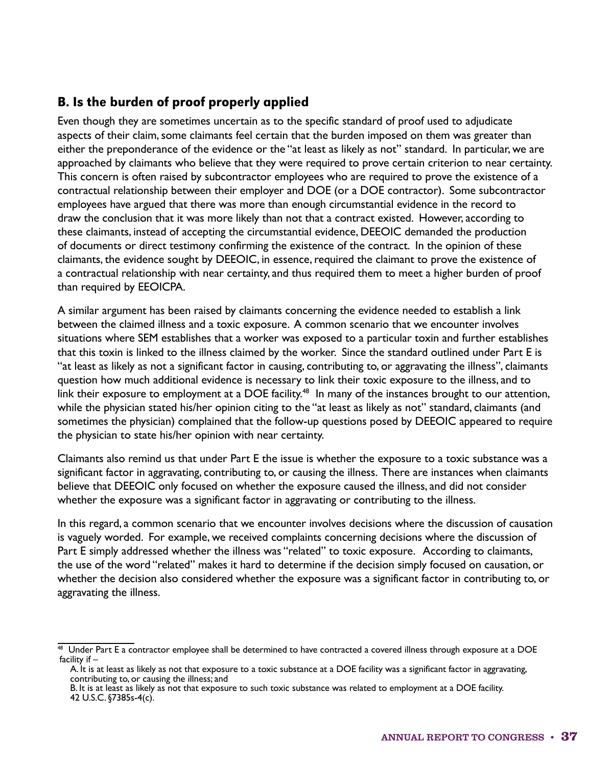## B. Is the burden of proof properly applied

Even though they are sometimes uncertain as to the specific standard of proof used to adjudicate aspects of their claim, some claimants feel certain that the burden imposed on them was greater than either the preponderance of the evidence or the "at least as likely as not" standard. In particular, we are approached by claimants who believe that they were required to prove certain criterion to near certainty. This concern is often raised by subcontractor employees who are required to prove the existence of a contractual relationship between their employer and DOE (or a DOE contractor). Some subcontractor employees have argued that there was more than enough circumstantial evidence in the record to draw the conclusion that it was more likely than not that a contract existed. However, according to these claimants, instead of accepting the circumstantial evidence, DEEOIC demanded the production of documents or direct testimony confirming the existence of the contract. In the opinion of these claimants, the evidence sought by DEEOIC, in essence, required the claimant to prove the existence of a contractual relationship with near certainty, and thus required them to meet a higher burden of proof than required by EEOICPA.

A similar argument has been raised by claimants concerning the evidence needed to establish a link between the claimed illness and a toxic exposure. A common scenario that we encounter involves situations where SEM establishes that a worker was exposed to a particular toxin and further establishes that this toxin is linked to the illness claimed by the worker. Since the standard outlined under Part E is "at least as likely as not a significant factor in causing, contributing to, or aggravating the illness", claimants question how much additional evidence is necessary to link their toxic exposure to the illness, and to link their exposure to employment at a DOE facility.<sup>48</sup> In many of the instances brought to our attention, while the physician stated his/her opinion citing to the "at least as likely as not" standard, claimants (and sometimes the physician) complained that the follow-up questions posed by DEEOIC appeared to require the physician to state his/her opinion with near certainty.

Claimants also remind us that under Part E the issue is whether the exposure to a toxic substance was a significant factor in aggravating, contributing to, or causing the illness. There are instances when claimants believe that DEEOIC only focused on whether the exposure caused the illness, and did not consider whether the exposure was a significant factor in aggravating or contributing to the illness.

In this regard, a common scenario that we encounter involves decisions where the discussion of causation is vaguely worded. For example, we received complaints concerning decisions where the discussion of Part E simply addressed whether the illness was "related" to toxic exposure. According to claimants, the use of the word "related" makes it hard to determine if the decision simply focused on causation, or whether the decision also considered whether the exposure was a significant factor in contributing to, or aggravating the illness.

 $48$  Under Part E a contractor employee shall be determined to have contracted a covered illness through exposure at a DOE facility if –

A. It is at least as likely as not that exposure to a toxic substance at a DOE facility was a significant factor in aggravating, contributing to, or causing the illness; and

B. It is at least as likely as not that exposure to such toxic substance was related to employment at a DOE facility. 42 U.S.C. §7385s-4(c).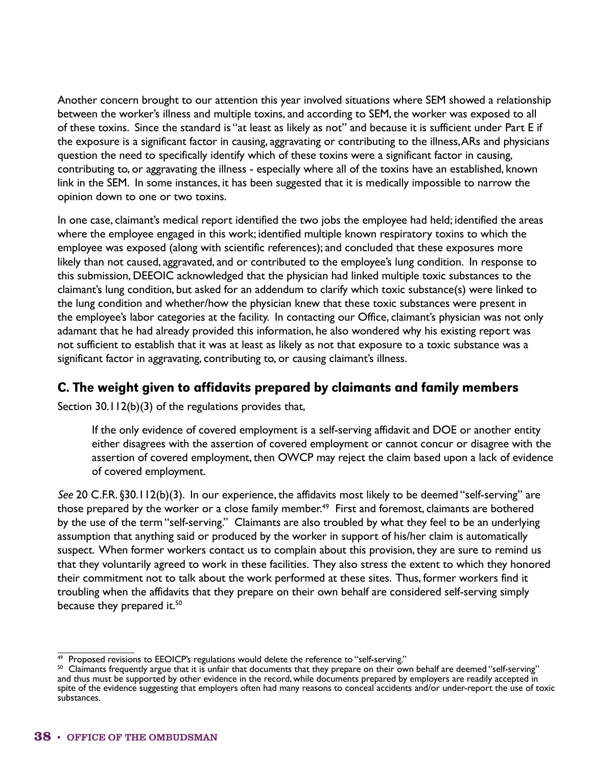Another concern brought to our attention this year involved situations where SEM showed a relationship between the worker's illness and multiple toxins, and according to SEM, the worker was exposed to all of these toxins. Since the standard is "at least as likely as not" and because it is sufficient under Part E if the exposure is a significant factor in causing, aggravating or contributing to the illness, ARs and physicians question the need to specifically identify which of these toxins were a significant factor in causing, contributing to, or aggravating the illness - especially where all of the toxins have an established, known link in the SEM. In some instances, it has been suggested that it is medically impossible to narrow the opinion down to one or two toxins.

In one case, claimant's medical report identified the two jobs the employee had held; identified the areas where the employee engaged in this work; identified multiple known respiratory toxins to which the employee was exposed (along with scientific references); and concluded that these exposures more likely than not caused, aggravated, and or contributed to the employee's lung condition. In response to this submission, DEEOIC acknowledged that the physician had linked multiple toxic substances to the claimant's lung condition, but asked for an addendum to clarify which toxic substance(s) were linked to the lung condition and whether/how the physician knew that these toxic substances were present in the employee's labor categories at the facility. In contacting our Office, claimant's physician was not only adamant that he had already provided this information, he also wondered why his existing report was not sufficient to establish that it was at least as likely as not that exposure to a toxic substance was a significant factor in aggravating, contributing to, or causing claimant's illness.

#### C. The weight given to affidavits prepared by claimants and family members

Section 30.112(b)(3) of the regulations provides that,

If the only evidence of covered employment is a self-serving affidavit and DOE or another entity either disagrees with the assertion of covered employment or cannot concur or disagree with the assertion of covered employment, then OWCP may reject the claim based upon a lack of evidence of covered employment.

*See* 20 C.F.R. §30.112(b)(3). In our experience, the affidavits most likely to be deemed "self-serving" are those prepared by the worker or a close family member.<sup>49</sup> First and foremost, claimants are bothered by the use of the term "self-serving." Claimants are also troubled by what they feel to be an underlying assumption that anything said or produced by the worker in support of his/her claim is automatically suspect. When former workers contact us to complain about this provision, they are sure to remind us that they voluntarily agreed to work in these facilities. They also stress the extent to which they honored their commitment not to talk about the work performed at these sites. Thus, former workers find it troubling when the affidavits that they prepare on their own behalf are considered self-serving simply because they prepared it.<sup>50</sup>

<sup>&</sup>lt;sup>49</sup> Proposed revisions to EEOICP's regulations would delete the reference to "self-serving."  $\,$  Claimants frequently argue that it is unfair that documents that they prepare on their own behalf are deemed "self-serving and thus must be supported by other evidence in the record, while documents prepared by employers are readily accepted in spite of the evidence suggesting that employers often had many reasons to conceal accidents and/or under-report the use of toxic substances.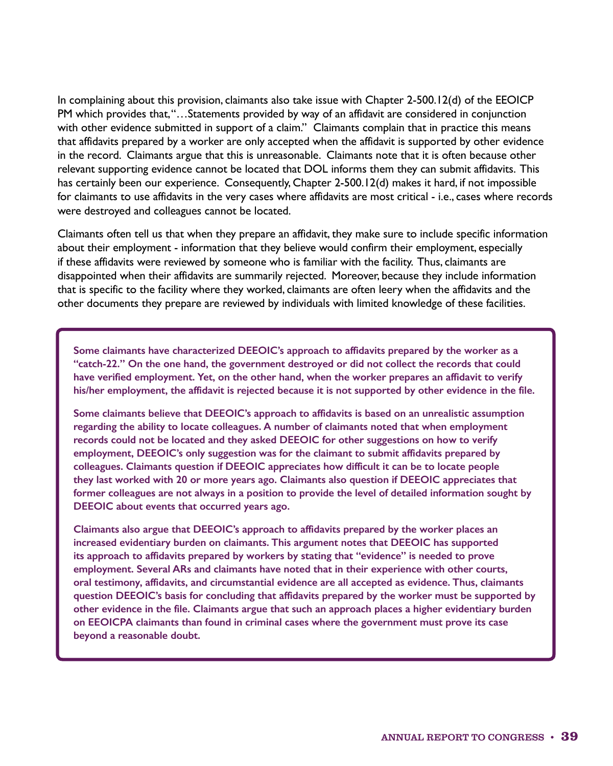In complaining about this provision, claimants also take issue with Chapter 2-500.12(d) of the EEOICP PM which provides that, "…Statements provided by way of an affidavit are considered in conjunction with other evidence submitted in support of a claim." Claimants complain that in practice this means that affidavits prepared by a worker are only accepted when the affidavit is supported by other evidence in the record. Claimants argue that this is unreasonable. Claimants note that it is often because other relevant supporting evidence cannot be located that DOL informs them they can submit affidavits. This has certainly been our experience. Consequently, Chapter 2-500.12(d) makes it hard, if not impossible for claimants to use affidavits in the very cases where affidavits are most critical - i.e., cases where records were destroyed and colleagues cannot be located.

Claimants often tell us that when they prepare an affidavit, they make sure to include specific information about their employment - information that they believe would confirm their employment, especially if these affidavits were reviewed by someone who is familiar with the facility. Thus, claimants are disappointed when their affidavits are summarily rejected. Moreover, because they include information that is specific to the facility where they worked, claimants are often leery when the affidavits and the other documents they prepare are reviewed by individuals with limited knowledge of these facilities.

**Some claimants have characterized DEEOIC's approach to affidavits prepared by the worker as a "catch-22." On the one hand, the government destroyed or did not collect the records that could have verified employment. Yet, on the other hand, when the worker prepares an affidavit to verify his/her employment, the affidavit is rejected because it is not supported by other evidence in the file.**

**Some claimants believe that DEEOIC's approach to affidavits is based on an unrealistic assumption regarding the ability to locate colleagues. A number of claimants noted that when employment records could not be located and they asked DEEOIC for other suggestions on how to verify employment, DEEOIC's only suggestion was for the claimant to submit affidavits prepared by colleagues. Claimants question if DEEOIC appreciates how difficult it can be to locate people they last worked with 20 or more years ago. Claimants also question if DEEOIC appreciates that former colleagues are not always in a position to provide the level of detailed information sought by DEEOIC about events that occurred years ago.**

**Claimants also argue that DEEOIC's approach to affidavits prepared by the worker places an increased evidentiary burden on claimants. This argument notes that DEEOIC has supported its approach to affidavits prepared by workers by stating that "evidence" is needed to prove employment. Several ARs and claimants have noted that in their experience with other courts, oral testimony, affidavits, and circumstantial evidence are all accepted as evidence. Thus, claimants question DEEOIC's basis for concluding that affidavits prepared by the worker must be supported by other evidence in the file. Claimants argue that such an approach places a higher evidentiary burden on EEOICPA claimants than found in criminal cases where the government must prove its case beyond a reasonable doubt.**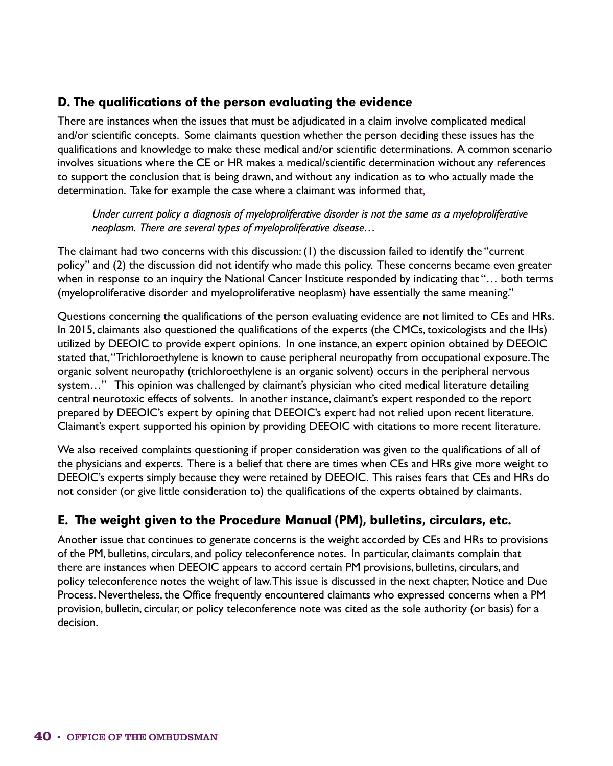## D. The qualifications of the person evaluating the evidence

There are instances when the issues that must be adjudicated in a claim involve complicated medical and/or scientific concepts. Some claimants question whether the person deciding these issues has the qualifications and knowledge to make these medical and/or scientific determinations. A common scenario involves situations where the CE or HR makes a medical/scientific determination without any references to support the conclusion that is being drawn, and without any indication as to who actually made the determination. Take for example the case where a claimant was informed tha**t,**

*Under current policy a diagnosis of myeloproliferative disorder is not the same as a myeloproliferative neoplasm. There are several types of myeloproliferative disease…*

The claimant had two concerns with this discussion: (1) the discussion failed to identify the "current policy" and (2) the discussion did not identify who made this policy. These concerns became even greater when in response to an inquiry the National Cancer Institute responded by indicating that "… both terms (myeloproliferative disorder and myeloproliferative neoplasm) have essentially the same meaning."

Questions concerning the qualifications of the person evaluating evidence are not limited to CEs and HRs. In 2015, claimants also questioned the qualifications of the experts (the CMCs, toxicologists and the IHs) utilized by DEEOIC to provide expert opinions. In one instance, an expert opinion obtained by DEEOIC stated that, "Trichloroethylene is known to cause peripheral neuropathy from occupational exposure. The organic solvent neuropathy (trichloroethylene is an organic solvent) occurs in the peripheral nervous system…" This opinion was challenged by claimant's physician who cited medical literature detailing central neurotoxic effects of solvents. In another instance, claimant's expert responded to the report prepared by DEEOIC's expert by opining that DEEOIC's expert had not relied upon recent literature. Claimant's expert supported his opinion by providing DEEOIC with citations to more recent literature.

We also received complaints questioning if proper consideration was given to the qualifications of all of the physicians and experts. There is a belief that there are times when CEs and HRs give more weight to DEEOIC's experts simply because they were retained by DEEOIC. This raises fears that CEs and HRs do not consider (or give little consideration to) the qualifications of the experts obtained by claimants.

## E. The weight given to the Procedure Manual (PM), bulletins, circulars, etc.

Another issue that continues to generate concerns is the weight accorded by CEs and HRs to provisions of the PM, bulletins, circulars, and policy teleconference notes. In particular, claimants complain that there are instances when DEEOIC appears to accord certain PM provisions, bulletins, circulars, and policy teleconference notes the weight of law. This issue is discussed in the next chapter, Notice and Due Process. Nevertheless, the Office frequently encountered claimants who expressed concerns when a PM provision, bulletin, circular, or policy teleconference note was cited as the sole authority (or basis) for a decision.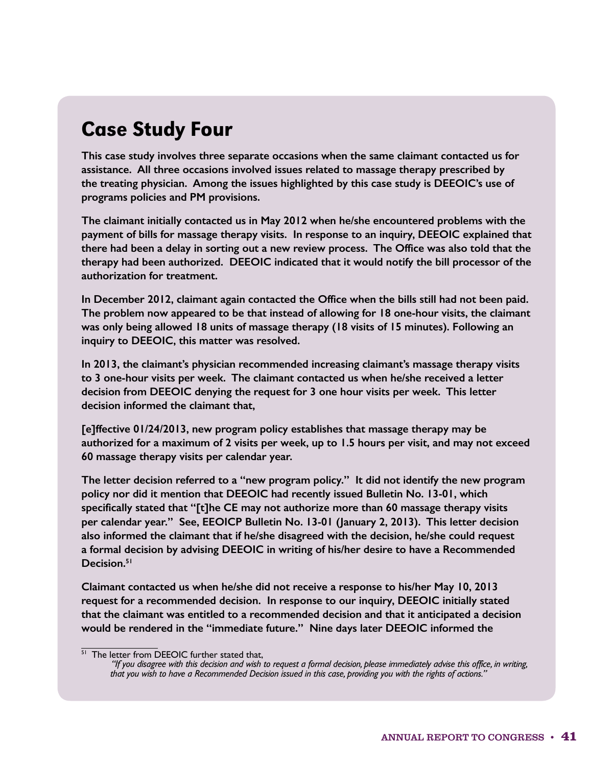## Case Study Four

**This case study involves three separate occasions when the same claimant contacted us for assistance. All three occasions involved issues related to massage therapy prescribed by the treating physician. Among the issues highlighted by this case study is DEEOIC's use of programs policies and PM provisions.**

**The claimant initially contacted us in May 2012 when he/she encountered problems with the payment of bills for massage therapy visits. In response to an inquiry, DEEOIC explained that there had been a delay in sorting out a new review process. The Office was also told that the therapy had been authorized. DEEOIC indicated that it would notify the bill processor of the authorization for treatment.**

**In December 2012, claimant again contacted the Office when the bills still had not been paid. The problem now appeared to be that instead of allowing for 18 one-hour visits, the claimant was only being allowed 18 units of massage therapy (18 visits of 15 minutes). Following an inquiry to DEEOIC, this matter was resolved.** 

**In 2013, the claimant's physician recommended increasing claimant's massage therapy visits to 3 one-hour visits per week. The claimant contacted us when he/she received a letter decision from DEEOIC denying the request for 3 one hour visits per week. This letter decision informed the claimant that,** 

**[e]ffective 01/24/2013, new program policy establishes that massage therapy may be authorized for a maximum of 2 visits per week, up to 1.5 hours per visit, and may not exceed 60 massage therapy visits per calendar year.**

**The letter decision referred to a "new program policy." It did not identify the new program policy nor did it mention that DEEOIC had recently issued Bulletin No. 13-01, which specifically stated that "[t]he CE may not authorize more than 60 massage therapy visits per calendar year." See, EEOICP Bulletin No. 13-01 (January 2, 2013). This letter decision also informed the claimant that if he/she disagreed with the decision, he/she could request a formal decision by advising DEEOIC in writing of his/her desire to have a Recommended Decision.51** 

**Claimant contacted us when he/she did not receive a response to his/her May 10, 2013 request for a recommended decision. In response to our inquiry, DEEOIC initially stated that the claimant was entitled to a recommended decision and that it anticipated a decision would be rendered in the "immediate future." Nine days later DEEOIC informed the** 

<sup>&</sup>lt;sup>51</sup> The letter from DEEOIC further stated that,

*<sup>&</sup>quot;If you disagree with this decision and wish to request a formal decision, please immediately advise this office, in writing, that you wish to have a Recommended Decision issued in this case, providing you with the rights of actions."*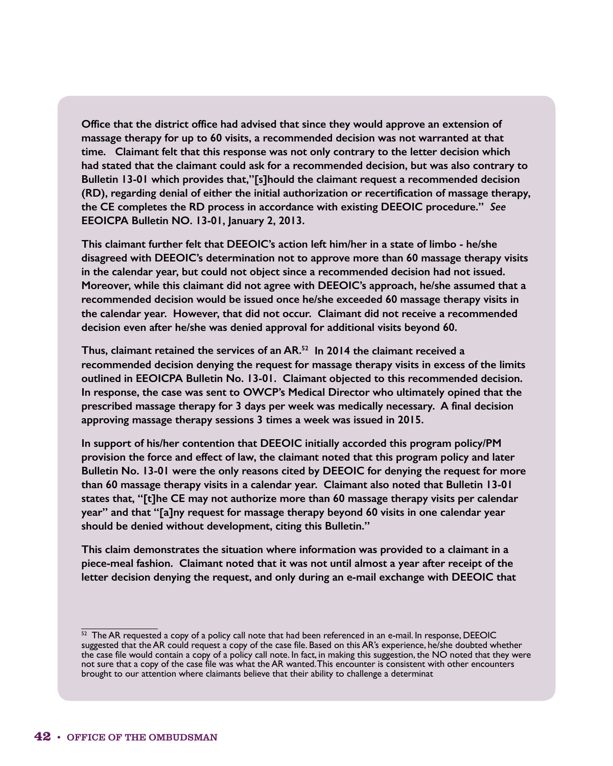**Office that the district office had advised that since they would approve an extension of massage therapy for up to 60 visits, a recommended decision was not warranted at that time. Claimant felt that this response was not only contrary to the letter decision which had stated that the claimant could ask for a recommended decision, but was also contrary to Bulletin 13-01 which provides that,"[s]hould the claimant request a recommended decision (RD), regarding denial of either the initial authorization or recertification of massage therapy, the CE completes the RD process in accordance with existing DEEOIC procedure."** *See* **EEOICPA Bulletin NO. 13-01, January 2, 2013.** 

**This claimant further felt that DEEOIC's action left him/her in a state of limbo - he/she disagreed with DEEOIC's determination not to approve more than 60 massage therapy visits in the calendar year, but could not object since a recommended decision had not issued. Moreover, while this claimant did not agree with DEEOIC's approach, he/she assumed that a recommended decision would be issued once he/she exceeded 60 massage therapy visits in the calendar year. However, that did not occur. Claimant did not receive a recommended decision even after he/she was denied approval for additional visits beyond 60.**

**Thus, claimant retained the services of an AR.52 In 2014 the claimant received a recommended decision denying the request for massage therapy visits in excess of the limits outlined in EEOICPA Bulletin No. 13-01. Claimant objected to this recommended decision. In response, the case was sent to OWCP's Medical Director who ultimately opined that the prescribed massage therapy for 3 days per week was medically necessary. A final decision approving massage therapy sessions 3 times a week was issued in 2015.**

**In support of his/her contention that DEEOIC initially accorded this program policy/PM provision the force and effect of law, the claimant noted that this program policy and later Bulletin No. 13-01 were the only reasons cited by DEEOIC for denying the request for more than 60 massage therapy visits in a calendar year. Claimant also noted that Bulletin 13-01 states that, "[t]he CE may not authorize more than 60 massage therapy visits per calendar year" and that "[a]ny request for massage therapy beyond 60 visits in one calendar year should be denied without development, citing this Bulletin."**

**This claim demonstrates the situation where information was provided to a claimant in a piece-meal fashion. Claimant noted that it was not until almost a year after receipt of the letter decision denying the request, and only during an e-mail exchange with DEEOIC that** 

 $52$  The AR requested a copy of a policy call note that had been referenced in an e-mail. In response, DEEOIC suggested that the AR could request a copy of the case file. Based on this AR's experience, he/she doubted whether the case file would contain a copy of a policy call note. In fact, in making this suggestion, the NO noted that they were not sure that a copy of the case file was what the AR wanted. This encounter is consistent with other encounters brought to our attention where claimants believe that their ability to challenge a determinat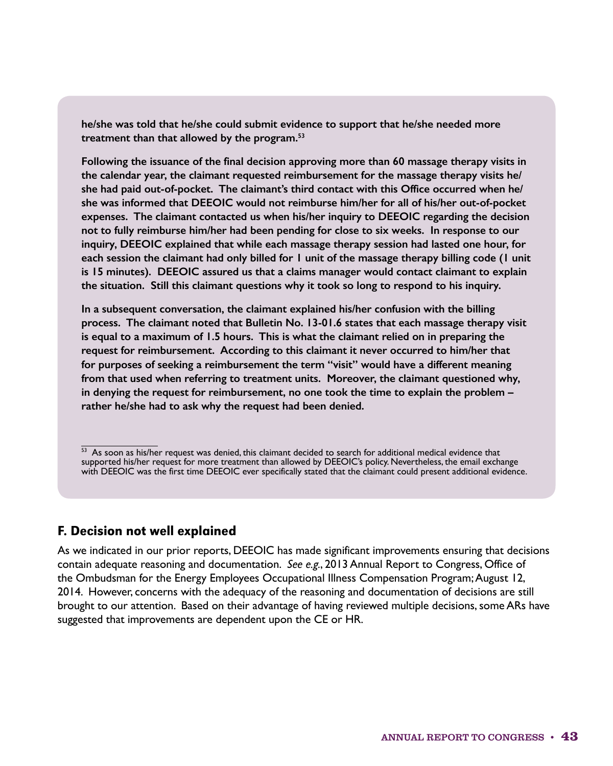**he/she was told that he/she could submit evidence to support that he/she needed more treatment than that allowed by the program.53**

**Following the issuance of the final decision approving more than 60 massage therapy visits in the calendar year, the claimant requested reimbursement for the massage therapy visits he/ she had paid out-of-pocket. The claimant's third contact with this Office occurred when he/ she was informed that DEEOIC would not reimburse him/her for all of his/her out-of-pocket expenses. The claimant contacted us when his/her inquiry to DEEOIC regarding the decision not to fully reimburse him/her had been pending for close to six weeks. In response to our inquiry, DEEOIC explained that while each massage therapy session had lasted one hour, for each session the claimant had only billed for 1 unit of the massage therapy billing code (1 unit is 15 minutes). DEEOIC assured us that a claims manager would contact claimant to explain the situation. Still this claimant questions why it took so long to respond to his inquiry.**

**In a subsequent conversation, the claimant explained his/her confusion with the billing process. The claimant noted that Bulletin No. 13-01.6 states that each massage therapy visit is equal to a maximum of 1.5 hours. This is what the claimant relied on in preparing the request for reimbursement. According to this claimant it never occurred to him/her that for purposes of seeking a reimbursement the term "visit" would have a different meaning from that used when referring to treatment units. Moreover, the claimant questioned why, in denying the request for reimbursement, no one took the time to explain the problem – rather he/she had to ask why the request had been denied.**

#### F. Decision not well explained

As we indicated in our prior reports, DEEOIC has made significant improvements ensuring that decisions contain adequate reasoning and documentation. *See e.g.*, 2013 Annual Report to Congress, Office of the Ombudsman for the Energy Employees Occupational Illness Compensation Program; August 12, 2014. However, concerns with the adequacy of the reasoning and documentation of decisions are still brought to our attention. Based on their advantage of having reviewed multiple decisions, some ARs have suggested that improvements are dependent upon the CE or HR.

<sup>53</sup> As soon as his/her request was denied, this claimant decided to search for additional medical evidence that supported his/her request for more treatment than allowed by DEEOIC's policy. Nevertheless, the email exchange with DEEOIC was the first time DEEOIC ever specifically stated that the claimant could present additional evidence.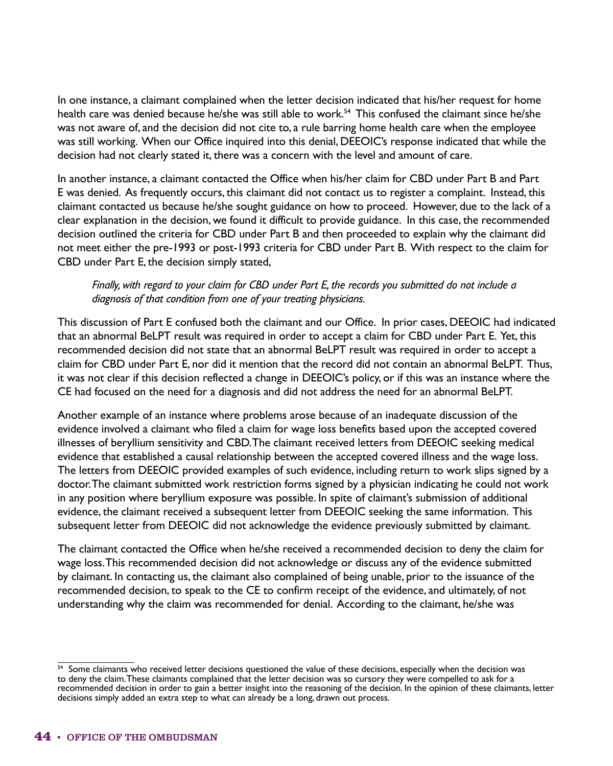In one instance, a claimant complained when the letter decision indicated that his/her request for home health care was denied because he/she was still able to work.<sup>54</sup> This confused the claimant since he/she was not aware of, and the decision did not cite to, a rule barring home health care when the employee was still working. When our Office inquired into this denial, DEEOIC's response indicated that while the decision had not clearly stated it, there was a concern with the level and amount of care.

In another instance, a claimant contacted the Office when his/her claim for CBD under Part B and Part E was denied. As frequently occurs, this claimant did not contact us to register a complaint. Instead, this claimant contacted us because he/she sought guidance on how to proceed. However, due to the lack of a clear explanation in the decision, we found it difficult to provide guidance. In this case, the recommended decision outlined the criteria for CBD under Part B and then proceeded to explain why the claimant did not meet either the pre-1993 or post-1993 criteria for CBD under Part B. With respect to the claim for CBD under Part E, the decision simply stated,

#### *Finally, with regard to your claim for CBD under Part E, the records you submitted do not include a diagnosis of that condition from one of your treating physicians.*

This discussion of Part E confused both the claimant and our Office. In prior cases, DEEOIC had indicated that an abnormal BeLPT result was required in order to accept a claim for CBD under Part E. Yet, this recommended decision did not state that an abnormal BeLPT result was required in order to accept a claim for CBD under Part E, nor did it mention that the record did not contain an abnormal BeLPT. Thus, it was not clear if this decision reflected a change in DEEOIC's policy, or if this was an instance where the CE had focused on the need for a diagnosis and did not address the need for an abnormal BeLPT.

Another example of an instance where problems arose because of an inadequate discussion of the evidence involved a claimant who filed a claim for wage loss benefits based upon the accepted covered illnesses of beryllium sensitivity and CBD. The claimant received letters from DEEOIC seeking medical evidence that established a causal relationship between the accepted covered illness and the wage loss. The letters from DEEOIC provided examples of such evidence, including return to work slips signed by a doctor. The claimant submitted work restriction forms signed by a physician indicating he could not work in any position where beryllium exposure was possible. In spite of claimant's submission of additional evidence, the claimant received a subsequent letter from DEEOIC seeking the same information. This subsequent letter from DEEOIC did not acknowledge the evidence previously submitted by claimant.

The claimant contacted the Office when he/she received a recommended decision to deny the claim for wage loss. This recommended decision did not acknowledge or discuss any of the evidence submitted by claimant. In contacting us, the claimant also complained of being unable, prior to the issuance of the recommended decision, to speak to the CE to confirm receipt of the evidence, and ultimately, of not understanding why the claim was recommended for denial. According to the claimant, he/she was

<sup>&</sup>lt;sup>54</sup> Some claimants who received letter decisions questioned the value of these decisions, especially when the decision was to deny the claim. These claimants complained that the letter decision was so cursory they were compelled to ask for a recommended decision in order to gain a better insight into the reasoning of the decision. In the opinion of these claimants, letter decisions simply added an extra step to what can already be a long, drawn out process.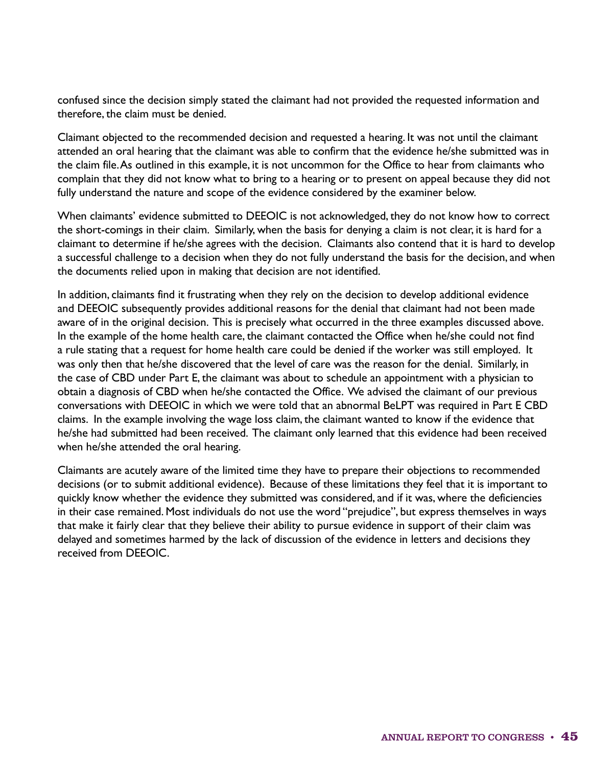confused since the decision simply stated the claimant had not provided the requested information and therefore, the claim must be denied.

Claimant objected to the recommended decision and requested a hearing. It was not until the claimant attended an oral hearing that the claimant was able to confirm that the evidence he/she submitted was in the claim file. As outlined in this example, it is not uncommon for the Office to hear from claimants who complain that they did not know what to bring to a hearing or to present on appeal because they did not fully understand the nature and scope of the evidence considered by the examiner below.

When claimants' evidence submitted to DEEOIC is not acknowledged, they do not know how to correct the short-comings in their claim. Similarly, when the basis for denying a claim is not clear, it is hard for a claimant to determine if he/she agrees with the decision. Claimants also contend that it is hard to develop a successful challenge to a decision when they do not fully understand the basis for the decision, and when the documents relied upon in making that decision are not identified.

In addition, claimants find it frustrating when they rely on the decision to develop additional evidence and DEEOIC subsequently provides additional reasons for the denial that claimant had not been made aware of in the original decision. This is precisely what occurred in the three examples discussed above. In the example of the home health care, the claimant contacted the Office when he/she could not find a rule stating that a request for home health care could be denied if the worker was still employed. It was only then that he/she discovered that the level of care was the reason for the denial. Similarly, in the case of CBD under Part E, the claimant was about to schedule an appointment with a physician to obtain a diagnosis of CBD when he/she contacted the Office. We advised the claimant of our previous conversations with DEEOIC in which we were told that an abnormal BeLPT was required in Part E CBD claims. In the example involving the wage loss claim, the claimant wanted to know if the evidence that he/she had submitted had been received. The claimant only learned that this evidence had been received when he/she attended the oral hearing.

Claimants are acutely aware of the limited time they have to prepare their objections to recommended decisions (or to submit additional evidence). Because of these limitations they feel that it is important to quickly know whether the evidence they submitted was considered, and if it was, where the deficiencies in their case remained. Most individuals do not use the word "prejudice", but express themselves in ways that make it fairly clear that they believe their ability to pursue evidence in support of their claim was delayed and sometimes harmed by the lack of discussion of the evidence in letters and decisions they received from DEEOIC.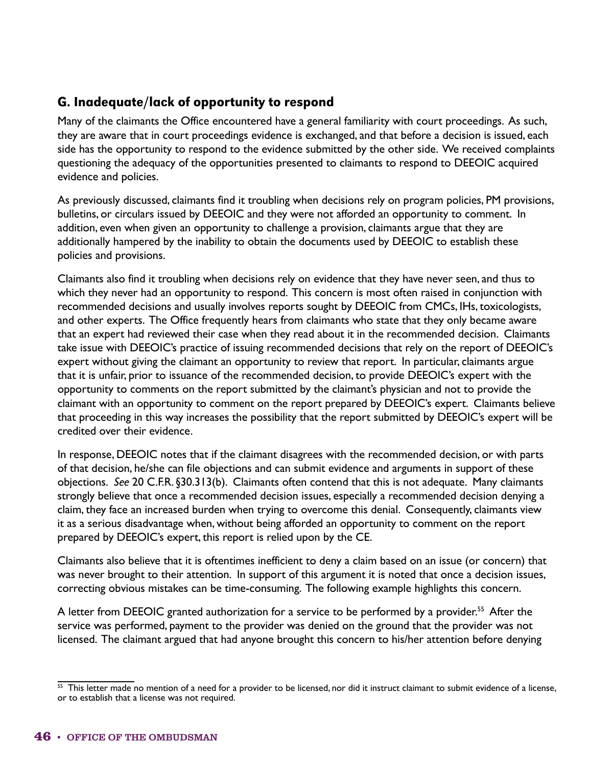## G. Inadequate/lack of opportunity to respond

Many of the claimants the Office encountered have a general familiarity with court proceedings. As such, they are aware that in court proceedings evidence is exchanged, and that before a decision is issued, each side has the opportunity to respond to the evidence submitted by the other side. We received complaints questioning the adequacy of the opportunities presented to claimants to respond to DEEOIC acquired evidence and policies.

As previously discussed, claimants find it troubling when decisions rely on program policies, PM provisions, bulletins, or circulars issued by DEEOIC and they were not afforded an opportunity to comment. In addition, even when given an opportunity to challenge a provision, claimants argue that they are additionally hampered by the inability to obtain the documents used by DEEOIC to establish these policies and provisions.

Claimants also find it troubling when decisions rely on evidence that they have never seen, and thus to which they never had an opportunity to respond. This concern is most often raised in conjunction with recommended decisions and usually involves reports sought by DEEOIC from CMCs, IHs, toxicologists, and other experts. The Office frequently hears from claimants who state that they only became aware that an expert had reviewed their case when they read about it in the recommended decision. Claimants take issue with DEEOIC's practice of issuing recommended decisions that rely on the report of DEEOIC's expert without giving the claimant an opportunity to review that report. In particular, claimants argue that it is unfair, prior to issuance of the recommended decision, to provide DEEOIC's expert with the opportunity to comments on the report submitted by the claimant's physician and not to provide the claimant with an opportunity to comment on the report prepared by DEEOIC's expert. Claimants believe that proceeding in this way increases the possibility that the report submitted by DEEOIC's expert will be credited over their evidence.

In response, DEEOIC notes that if the claimant disagrees with the recommended decision, or with parts of that decision, he/she can file objections and can submit evidence and arguments in support of these objections. *See* 20 C.F.R. §30.313(b). Claimants often contend that this is not adequate. Many claimants strongly believe that once a recommended decision issues, especially a recommended decision denying a claim, they face an increased burden when trying to overcome this denial. Consequently, claimants view it as a serious disadvantage when, without being afforded an opportunity to comment on the report prepared by DEEOIC's expert, this report is relied upon by the CE.

Claimants also believe that it is oftentimes inefficient to deny a claim based on an issue (or concern) that was never brought to their attention. In support of this argument it is noted that once a decision issues, correcting obvious mistakes can be time-consuming. The following example highlights this concern.

A letter from DEEOIC granted authorization for a service to be performed by a provider.<sup>55</sup> After the service was performed, payment to the provider was denied on the ground that the provider was not licensed. The claimant argued that had anyone brought this concern to his/her attention before denying

 $55$  This letter made no mention of a need for a provider to be licensed, nor did it instruct claimant to submit evidence of a license, or to establish that a license was not required.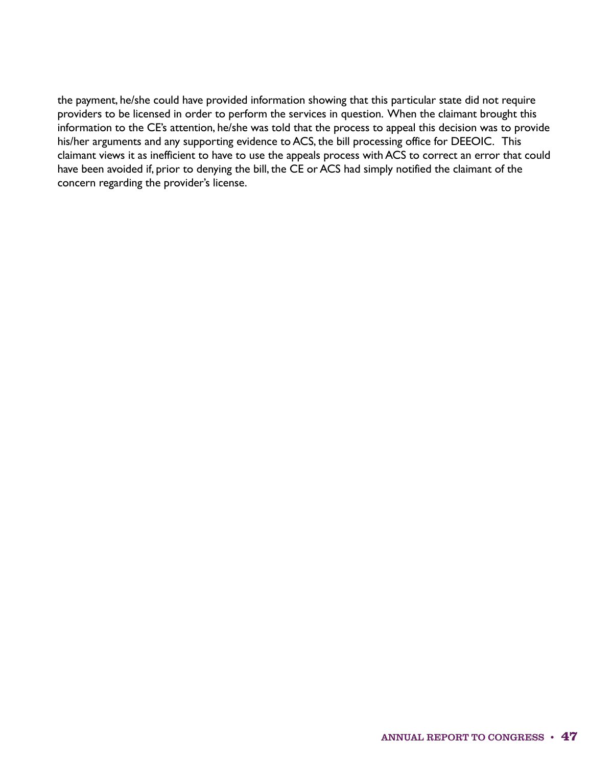the payment, he/she could have provided information showing that this particular state did not require providers to be licensed in order to perform the services in question. When the claimant brought this information to the CE's attention, he/she was told that the process to appeal this decision was to provide his/her arguments and any supporting evidence to ACS, the bill processing office for DEEOIC. This claimant views it as inefficient to have to use the appeals process with ACS to correct an error that could have been avoided if, prior to denying the bill, the CE or ACS had simply notified the claimant of the concern regarding the provider's license.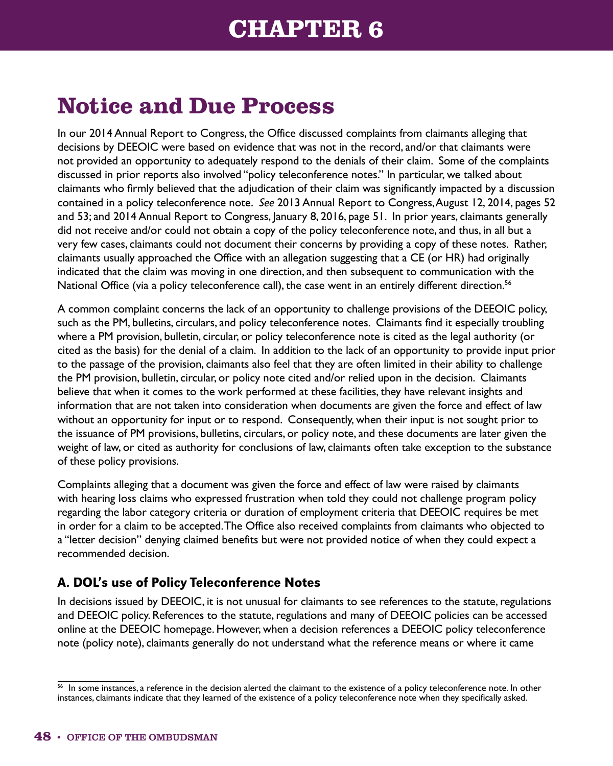## **CHAPTER 6**

# **Notice and Due Process**

In our 2014 Annual Report to Congress, the Office discussed complaints from claimants alleging that decisions by DEEOIC were based on evidence that was not in the record, and/or that claimants were not provided an opportunity to adequately respond to the denials of their claim. Some of the complaints discussed in prior reports also involved "policy teleconference notes." In particular, we talked about claimants who firmly believed that the adjudication of their claim was significantly impacted by a discussion contained in a policy teleconference note. *See* 2013 Annual Report to Congress, August 12, 2014, pages 52 and 53; and 2014 Annual Report to Congress, January 8, 2016, page 51. In prior years, claimants generally did not receive and/or could not obtain a copy of the policy teleconference note, and thus, in all but a very few cases, claimants could not document their concerns by providing a copy of these notes. Rather, claimants usually approached the Office with an allegation suggesting that a CE (or HR) had originally indicated that the claim was moving in one direction, and then subsequent to communication with the National Office (via a policy teleconference call), the case went in an entirely different direction.<sup>56</sup>

A common complaint concerns the lack of an opportunity to challenge provisions of the DEEOIC policy, such as the PM, bulletins, circulars, and policy teleconference notes. Claimants find it especially troubling where a PM provision, bulletin, circular, or policy teleconference note is cited as the legal authority (or cited as the basis) for the denial of a claim. In addition to the lack of an opportunity to provide input prior to the passage of the provision, claimants also feel that they are often limited in their ability to challenge the PM provision, bulletin, circular, or policy note cited and/or relied upon in the decision. Claimants believe that when it comes to the work performed at these facilities, they have relevant insights and information that are not taken into consideration when documents are given the force and effect of law without an opportunity for input or to respond. Consequently, when their input is not sought prior to the issuance of PM provisions, bulletins, circulars, or policy note, and these documents are later given the weight of law, or cited as authority for conclusions of law, claimants often take exception to the substance of these policy provisions.

Complaints alleging that a document was given the force and effect of law were raised by claimants with hearing loss claims who expressed frustration when told they could not challenge program policy regarding the labor category criteria or duration of employment criteria that DEEOIC requires be met in order for a claim to be accepted. The Office also received complaints from claimants who objected to a "letter decision" denying claimed benefits but were not provided notice of when they could expect a recommended decision.

## A. DOL's use of Policy Teleconference Notes

In decisions issued by DEEOIC, it is not unusual for claimants to see references to the statute, regulations and DEEOIC policy. References to the statute, regulations and many of DEEOIC policies can be accessed online at the DEEOIC homepage. However, when a decision references a DEEOIC policy teleconference note (policy note), claimants generally do not understand what the reference means or where it came

<sup>&</sup>lt;sup>56</sup> In some instances, a reference in the decision alerted the claimant to the existence of a policy teleconference note. In other instances, claimants indicate that they learned of the existence of a policy teleconference note when they specifically asked.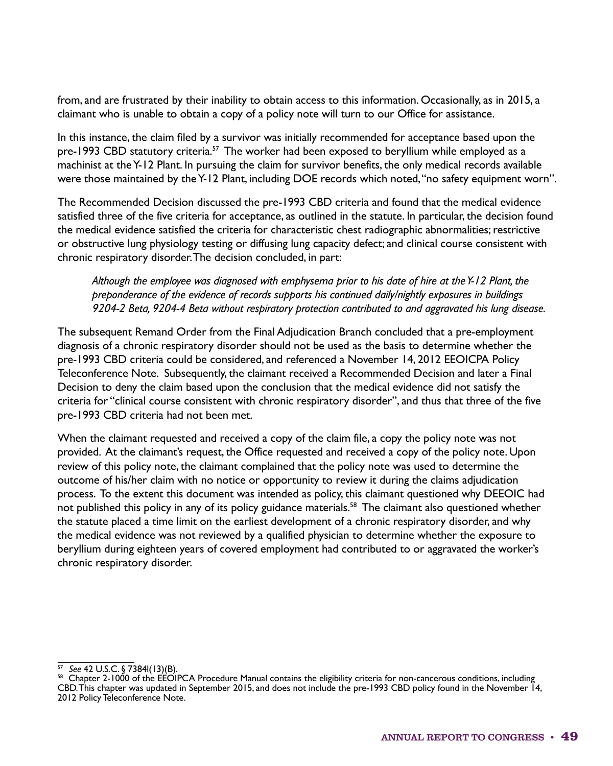from, and are frustrated by their inability to obtain access to this information. Occasionally, as in 2015, a claimant who is unable to obtain a copy of a policy note will turn to our Office for assistance.

In this instance, the claim filed by a survivor was initially recommended for acceptance based upon the pre-1993 CBD statutory criteria.<sup>57</sup> The worker had been exposed to beryllium while employed as a machinist at the Y-12 Plant. In pursuing the claim for survivor benefits, the only medical records available were those maintained by the Y-12 Plant, including DOE records which noted, "no safety equipment worn".

The Recommended Decision discussed the pre-1993 CBD criteria and found that the medical evidence satisfied three of the five criteria for acceptance, as outlined in the statute. In particular, the decision found the medical evidence satisfied the criteria for characteristic chest radiographic abnormalities; restrictive or obstructive lung physiology testing or diffusing lung capacity defect; and clinical course consistent with chronic respiratory disorder. The decision concluded, in part:

*Although the employee was diagnosed with emphysema prior to his date of hire at the Y-12 Plant, the preponderance of the evidence of records supports his continued daily/nightly exposures in buildings 9204-2 Beta, 9204-4 Beta without respiratory protection contributed to and aggravated his lung disease.*

The subsequent Remand Order from the Final Adjudication Branch concluded that a pre-employment diagnosis of a chronic respiratory disorder should not be used as the basis to determine whether the pre-1993 CBD criteria could be considered, and referenced a November 14, 2012 EEOICPA Policy Teleconference Note. Subsequently, the claimant received a Recommended Decision and later a Final Decision to deny the claim based upon the conclusion that the medical evidence did not satisfy the criteria for "clinical course consistent with chronic respiratory disorder", and thus that three of the five pre-1993 CBD criteria had not been met.

When the claimant requested and received a copy of the claim file, a copy the policy note was not provided. At the claimant's request, the Office requested and received a copy of the policy note. Upon review of this policy note, the claimant complained that the policy note was used to determine the outcome of his/her claim with no notice or opportunity to review it during the claims adjudication process. To the extent this document was intended as policy, this claimant questioned why DEEOIC had not published this policy in any of its policy guidance materials.<sup>58</sup> The claimant also questioned whether the statute placed a time limit on the earliest development of a chronic respiratory disorder, and why the medical evidence was not reviewed by a qualified physician to determine whether the exposure to beryllium during eighteen years of covered employment had contributed to or aggravated the worker's chronic respiratory disorder.

<sup>57</sup>*See* 42 U.S.C. § 7384l(13)(B).

 $58$  Chapter 2-1000 of the EEOIPCA Procedure Manual contains the eligibility criteria for non-cancerous conditions, including CBD. This chapter was updated in September 2015, and does not include the pre-1993 CBD policy found in the November 14, 2012 Policy Teleconference Note.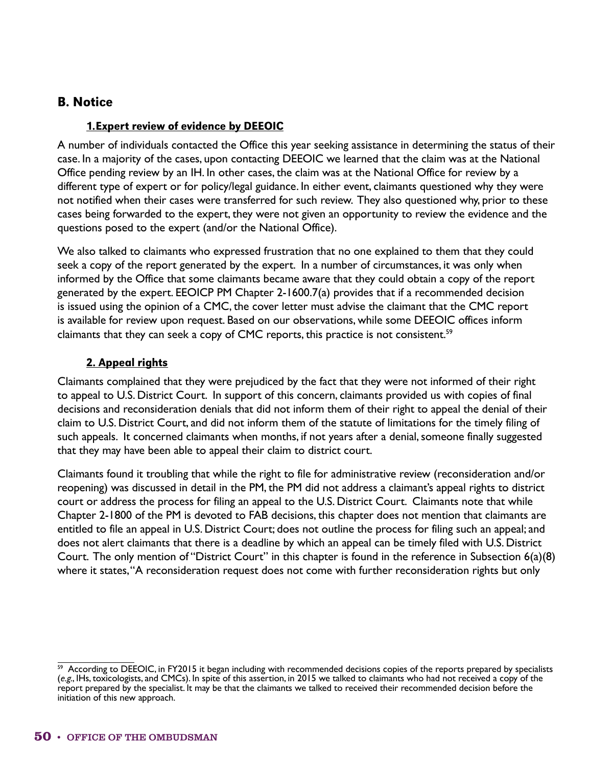#### B. Notice

#### 1. Expert review of evidence by DEEOIC

A number of individuals contacted the Office this year seeking assistance in determining the status of their case. In a majority of the cases, upon contacting DEEOIC we learned that the claim was at the National Office pending review by an IH. In other cases, the claim was at the National Office for review by a different type of expert or for policy/legal guidance. In either event, claimants questioned why they were not notified when their cases were transferred for such review. They also questioned why, prior to these cases being forwarded to the expert, they were not given an opportunity to review the evidence and the questions posed to the expert (and/or the National Office).

We also talked to claimants who expressed frustration that no one explained to them that they could seek a copy of the report generated by the expert. In a number of circumstances, it was only when informed by the Office that some claimants became aware that they could obtain a copy of the report generated by the expert. EEOICP PM Chapter 2-1600.7(a) provides that if a recommended decision is issued using the opinion of a CMC, the cover letter must advise the claimant that the CMC report is available for review upon request. Based on our observations, while some DEEOIC offices inform claimants that they can seek a copy of CMC reports, this practice is not consistent.<sup>59</sup>

#### 2. Appeal rights

Claimants complained that they were prejudiced by the fact that they were not informed of their right to appeal to U.S. District Court. In support of this concern, claimants provided us with copies of final decisions and reconsideration denials that did not inform them of their right to appeal the denial of their claim to U.S. District Court, and did not inform them of the statute of limitations for the timely filing of such appeals. It concerned claimants when months, if not years after a denial, someone finally suggested that they may have been able to appeal their claim to district court.

Claimants found it troubling that while the right to file for administrative review (reconsideration and/or reopening) was discussed in detail in the PM, the PM did not address a claimant's appeal rights to district court or address the process for filing an appeal to the U.S. District Court. Claimants note that while Chapter 2-1800 of the PM is devoted to FAB decisions, this chapter does not mention that claimants are entitled to file an appeal in U.S. District Court; does not outline the process for filing such an appeal; and does not alert claimants that there is a deadline by which an appeal can be timely filed with U.S. District Court. The only mention of "District Court" in this chapter is found in the reference in Subsection 6(a)(8) where it states, "A reconsideration request does not come with further reconsideration rights but only

<sup>&</sup>lt;sup>59</sup> According to DEEOIC, in FY2015 it began including with recommended decisions copies of the reports prepared by specialists (*e.g.*, IHs, toxicologists, and CMCs). In spite of this assertion, in 2015 we talked to claimants who had not received a copy of the report prepared by the specialist. It may be that the claimants we talked to received their recommended decision before the initiation of this new approach.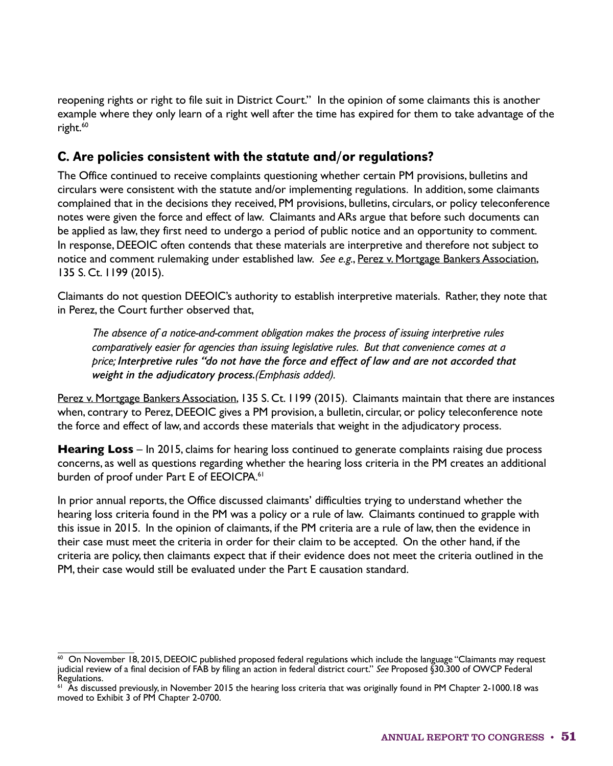reopening rights or right to file suit in District Court." In the opinion of some claimants this is another example where they only learn of a right well after the time has expired for them to take advantage of the right.<sup>60</sup>

### C. Are policies consistent with the statute and/or regulations?

The Office continued to receive complaints questioning whether certain PM provisions, bulletins and circulars were consistent with the statute and/or implementing regulations. In addition, some claimants complained that in the decisions they received, PM provisions, bulletins, circulars, or policy teleconference notes were given the force and effect of law. Claimants and ARs argue that before such documents can be applied as law, they first need to undergo a period of public notice and an opportunity to comment. In response, DEEOIC often contends that these materials are interpretive and therefore not subject to notice and comment rulemaking under established law. *See e.g.*, Perez v. Mortgage Bankers Association, 135 S. Ct. 1199 (2015).

Claimants do not question DEEOIC's authority to establish interpretive materials. Rather, they note that in Perez, the Court further observed that,

*The absence of a notice-and-comment obligation makes the process of issuing interpretive rules comparatively easier for agencies than issuing legislative rules. But that convenience comes at a price; Interpretive rules "do not have the force and effect of law and are not accorded that weight in the adjudicatory process.(Emphasis added).*

Perez v. Mortgage Bankers Association, 135 S. Ct. 1199 (2015). Claimants maintain that there are instances when, contrary to Perez, DEEOIC gives a PM provision, a bulletin, circular, or policy teleconference note the force and effect of law, and accords these materials that weight in the adjudicatory process.

**Hearing Loss** – In 2015, claims for hearing loss continued to generate complaints raising due process concerns, as well as questions regarding whether the hearing loss criteria in the PM creates an additional burden of proof under Part E of EEOICPA.<sup>61</sup>

In prior annual reports, the Office discussed claimants' difficulties trying to understand whether the hearing loss criteria found in the PM was a policy or a rule of law. Claimants continued to grapple with this issue in 2015. In the opinion of claimants, if the PM criteria are a rule of law, then the evidence in their case must meet the criteria in order for their claim to be accepted. On the other hand, if the criteria are policy, then claimants expect that if their evidence does not meet the criteria outlined in the PM, their case would still be evaluated under the Part E causation standard.

 $60$  On November 18, 2015, DEEOIC published proposed federal regulations which include the language "Claimants may request judicial review of a final decision of FAB by filing an action in federal district court." *See* Proposed §30.300 of OWCP Federal Regulations.

 $61$  As discussed previously, in November 2015 the hearing loss criteria that was originally found in PM Chapter 2-1000.18 was moved to Exhibit 3 of PM Chapter 2-0700.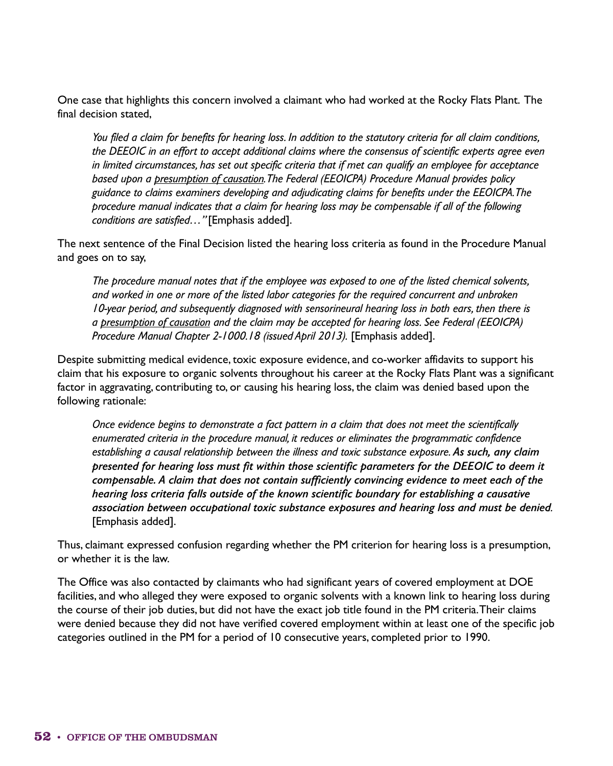One case that highlights this concern involved a claimant who had worked at the Rocky Flats Plant. The final decision stated,

*You filed a claim for benefits for hearing loss. In addition to the statutory criteria for all claim conditions, the DEEOIC in an effort to accept additional claims where the consensus of scientific experts agree even in limited circumstances, has set out specific criteria that if met can qualify an employee for acceptance based upon a presumption of causation. The Federal (EEOICPA) Procedure Manual provides policy guidance to claims examiners developing and adjudicating claims for benefits under the EEOICPA. The procedure manual indicates that a claim for hearing loss may be compensable if all of the following conditions are satisfied…"* [Emphasis added].

The next sentence of the Final Decision listed the hearing loss criteria as found in the Procedure Manual and goes on to say,

*The procedure manual notes that if the employee was exposed to one of the listed chemical solvents, and worked in one or more of the listed labor categories for the required concurrent and unbroken 10-year period, and subsequently diagnosed with sensorineural hearing loss in both ears, then there is a presumption of causation and the claim may be accepted for hearing loss. See Federal (EEOICPA) Procedure Manual Chapter 2-1000.18 (issued April 2013).* [Emphasis added].

Despite submitting medical evidence, toxic exposure evidence, and co-worker affidavits to support his claim that his exposure to organic solvents throughout his career at the Rocky Flats Plant was a significant factor in aggravating, contributing to, or causing his hearing loss, the claim was denied based upon the following rationale:

*Once evidence begins to demonstrate a fact pattern in a claim that does not meet the scientifically enumerated criteria in the procedure manual, it reduces or eliminates the programmatic confidence establishing a causal relationship between the illness and toxic substance exposure. As such, any claim presented for hearing loss must fit within those scientific parameters for the DEEOIC to deem it compensable. A claim that does not contain sufficiently convincing evidence to meet each of the hearing loss criteria falls outside of the known scientific boundary for establishing a causative association between occupational toxic substance exposures and hearing loss and must be denied.* [Emphasis added].

Thus, claimant expressed confusion regarding whether the PM criterion for hearing loss is a presumption, or whether it is the law.

The Office was also contacted by claimants who had significant years of covered employment at DOE facilities, and who alleged they were exposed to organic solvents with a known link to hearing loss during the course of their job duties, but did not have the exact job title found in the PM criteria. Their claims were denied because they did not have verified covered employment within at least one of the specific job categories outlined in the PM for a period of 10 consecutive years, completed prior to 1990.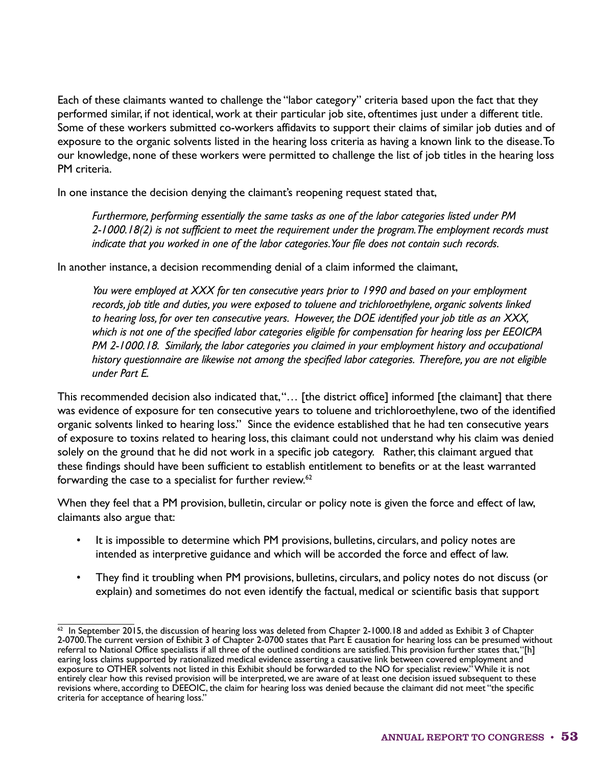Each of these claimants wanted to challenge the "labor category" criteria based upon the fact that they performed similar, if not identical, work at their particular job site, oftentimes just under a different title. Some of these workers submitted co-workers affidavits to support their claims of similar job duties and of exposure to the organic solvents listed in the hearing loss criteria as having a known link to the disease. To our knowledge, none of these workers were permitted to challenge the list of job titles in the hearing loss PM criteria.

In one instance the decision denying the claimant's reopening request stated that,

*Furthermore, performing essentially the same tasks as one of the labor categories listed under PM 2-1000.18(2) is not sufficient to meet the requirement under the program. The employment records must indicate that you worked in one of the labor categories. Your file does not contain such records.*

In another instance, a decision recommending denial of a claim informed the claimant,

*You were employed at XXX for ten consecutive years prior to 1990 and based on your employment records, job title and duties, you were exposed to toluene and trichloroethylene, organic solvents linked to hearing loss, for over ten consecutive years. However, the DOE identified your job title as an XXX, which is not one of the specified labor categories eligible for compensation for hearing loss per EEOICPA PM 2-1000.18. Similarly, the labor categories you claimed in your employment history and occupational history questionnaire are likewise not among the specified labor categories. Therefore, you are not eligible under Part E.*

This recommended decision also indicated that, "… [the district office] informed [the claimant] that there was evidence of exposure for ten consecutive years to toluene and trichloroethylene, two of the identified organic solvents linked to hearing loss." Since the evidence established that he had ten consecutive years of exposure to toxins related to hearing loss, this claimant could not understand why his claim was denied solely on the ground that he did not work in a specific job category. Rather, this claimant argued that these findings should have been sufficient to establish entitlement to benefits or at the least warranted forwarding the case to a specialist for further review.<sup>62</sup>

When they feel that a PM provision, bulletin, circular or policy note is given the force and effect of law, claimants also argue that:

- It is impossible to determine which PM provisions, bulletins, circulars, and policy notes are intended as interpretive guidance and which will be accorded the force and effect of law.
- They find it troubling when PM provisions, bulletins, circulars, and policy notes do not discuss (or explain) and sometimes do not even identify the factual, medical or scientific basis that support

 $^{62}$  In September 2015, the discussion of hearing loss was deleted from Chapter 2-1000.18 and added as Exhibit 3 of Chapter 2-0700. The current version of Exhibit 3 of Chapter 2-0700 states that Part E causation for hearing loss can be presumed without referral to National Office specialists if all three of the outlined conditions are satisfied. This provision further states that, "[h] earing loss claims supported by rationalized medical evidence asserting a causative link between covered employment and exposure to OTHER solvents not listed in this Exhibit should be forwarded to the NO for specialist review." While it is not entirely clear how this revised provision will be interpreted, we are aware of at least one decision issued subsequent to these revisions where, according to DEEOIC, the claim for hearing loss was denied because the claimant did not meet "the specific criteria for acceptance of hearing loss."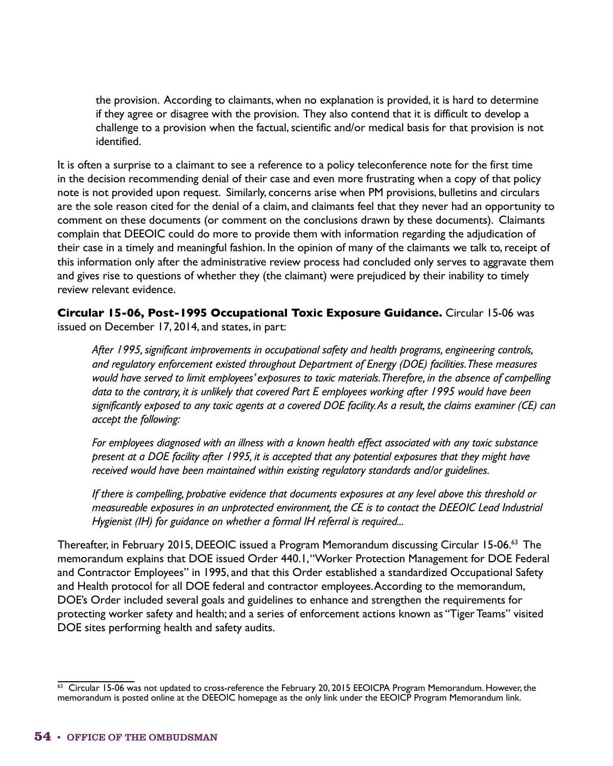the provision. According to claimants, when no explanation is provided, it is hard to determine if they agree or disagree with the provision. They also contend that it is difficult to develop a challenge to a provision when the factual, scientific and/or medical basis for that provision is not identified.

It is often a surprise to a claimant to see a reference to a policy teleconference note for the first time in the decision recommending denial of their case and even more frustrating when a copy of that policy note is not provided upon request. Similarly, concerns arise when PM provisions, bulletins and circulars are the sole reason cited for the denial of a claim, and claimants feel that they never had an opportunity to comment on these documents (or comment on the conclusions drawn by these documents). Claimants complain that DEEOIC could do more to provide them with information regarding the adjudication of their case in a timely and meaningful fashion. In the opinion of many of the claimants we talk to, receipt of this information only after the administrative review process had concluded only serves to aggravate them and gives rise to questions of whether they (the claimant) were prejudiced by their inability to timely review relevant evidence.

**Circular 15-06, Post-1995 Occupational Toxic Exposure Guidance.** Circular 15-06 was issued on December 17, 2014, and states, in part:

*After 1995, significant improvements in occupational safety and health programs, engineering controls, and regulatory enforcement existed throughout Department of Energy (DOE) facilities. These measures would have served to limit employees' exposures to toxic materials. Therefore, in the absence of compelling data to the contrary, it is unlikely that covered Part E employees working after 1995 would have been significantly exposed to any toxic agents at a covered DOE facility. As a result, the claims examiner (CE) can accept the following:*

*For employees diagnosed with an illness with a known health effect associated with any toxic substance present at a DOE facility after 1995, it is accepted that any potential exposures that they might have received would have been maintained within existing regulatory standards and/or guidelines.*

*If there is compelling, probative evidence that documents exposures at any level above this threshold or measureable exposures in an unprotected environment, the CE is to contact the DEEOIC Lead Industrial Hygienist (IH) for guidance on whether a formal IH referral is required...*

Thereafter, in February 2015, DEEOIC issued a Program Memorandum discussing Circular 15-06.63 The memorandum explains that DOE issued Order 440.1, "Worker Protection Management for DOE Federal and Contractor Employees" in 1995, and that this Order established a standardized Occupational Safety and Health protocol for all DOE federal and contractor employees. According to the memorandum, DOE's Order included several goals and guidelines to enhance and strengthen the requirements for protecting worker safety and health; and a series of enforcement actions known as "Tiger Teams" visited DOE sites performing health and safety audits.

 $63$  Circular 15-06 was not updated to cross-reference the February 20, 2015 EEOICPA Program Memorandum. However, the memorandum is posted online at the DEEOIC homepage as the only link under the EEOICP Program Memorandum link.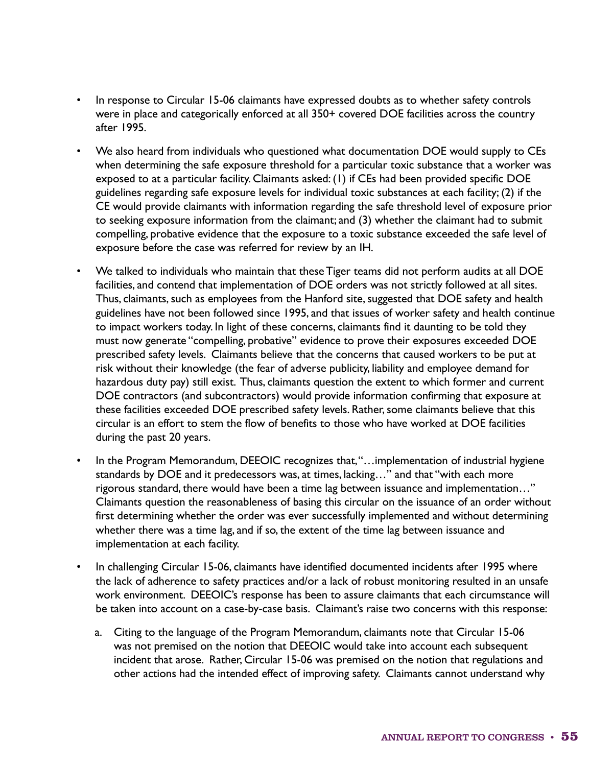- In response to Circular 15-06 claimants have expressed doubts as to whether safety controls were in place and categorically enforced at all 350+ covered DOE facilities across the country after 1995.
- We also heard from individuals who questioned what documentation DOE would supply to CEs when determining the safe exposure threshold for a particular toxic substance that a worker was exposed to at a particular facility. Claimants asked: (1) if CEs had been provided specific DOE guidelines regarding safe exposure levels for individual toxic substances at each facility; (2) if the CE would provide claimants with information regarding the safe threshold level of exposure prior to seeking exposure information from the claimant; and (3) whether the claimant had to submit compelling, probative evidence that the exposure to a toxic substance exceeded the safe level of exposure before the case was referred for review by an IH.
- We talked to individuals who maintain that these Tiger teams did not perform audits at all DOE facilities, and contend that implementation of DOE orders was not strictly followed at all sites. Thus, claimants, such as employees from the Hanford site, suggested that DOE safety and health guidelines have not been followed since 1995, and that issues of worker safety and health continue to impact workers today. In light of these concerns, claimants find it daunting to be told they must now generate "compelling, probative" evidence to prove their exposures exceeded DOE prescribed safety levels. Claimants believe that the concerns that caused workers to be put at risk without their knowledge (the fear of adverse publicity, liability and employee demand for hazardous duty pay) still exist. Thus, claimants question the extent to which former and current DOE contractors (and subcontractors) would provide information confirming that exposure at these facilities exceeded DOE prescribed safety levels. Rather, some claimants believe that this circular is an effort to stem the flow of benefits to those who have worked at DOE facilities during the past 20 years.
- In the Program Memorandum, DEEOIC recognizes that, "...implementation of industrial hygiene standards by DOE and it predecessors was, at times, lacking…" and that "with each more rigorous standard, there would have been a time lag between issuance and implementation…" Claimants question the reasonableness of basing this circular on the issuance of an order without first determining whether the order was ever successfully implemented and without determining whether there was a time lag, and if so, the extent of the time lag between issuance and implementation at each facility.
- In challenging Circular 15-06, claimants have identified documented incidents after 1995 where the lack of adherence to safety practices and/or a lack of robust monitoring resulted in an unsafe work environment. DEEOIC's response has been to assure claimants that each circumstance will be taken into account on a case-by-case basis. Claimant's raise two concerns with this response:
	- a. Citing to the language of the Program Memorandum, claimants note that Circular 15-06 was not premised on the notion that DEEOIC would take into account each subsequent incident that arose. Rather, Circular 15-06 was premised on the notion that regulations and other actions had the intended effect of improving safety. Claimants cannot understand why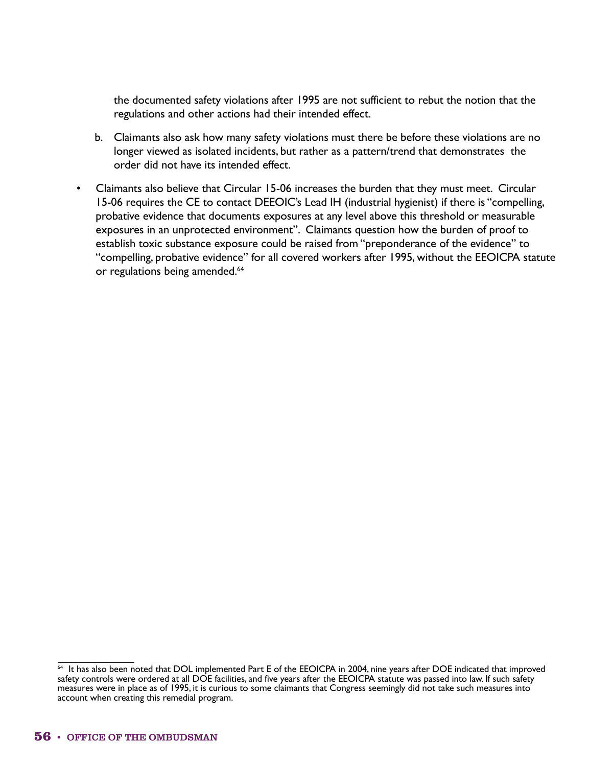the documented safety violations after 1995 are not sufficient to rebut the notion that the regulations and other actions had their intended effect.

- b. Claimants also ask how many safety violations must there be before these violations are no longer viewed as isolated incidents, but rather as a pattern/trend that demonstrates the order did not have its intended effect.
- Claimants also believe that Circular 15-06 increases the burden that they must meet. Circular 15-06 requires the CE to contact DEEOIC's Lead IH (industrial hygienist) if there is "compelling, probative evidence that documents exposures at any level above this threshold or measurable exposures in an unprotected environment". Claimants question how the burden of proof to establish toxic substance exposure could be raised from "preponderance of the evidence" to "compelling, probative evidence" for all covered workers after 1995, without the EEOICPA statute or regulations being amended.<sup>64</sup>

 $64$  It has also been noted that DOL implemented Part E of the EEOICPA in 2004, nine years after DOE indicated that improved safety controls were ordered at all DOE facilities, and five years after the EEOICPA statute was passed into law. If such safety measures were in place as of 1995, it is curious to some claimants that Congress seemingly did not take such measures into account when creating this remedial program.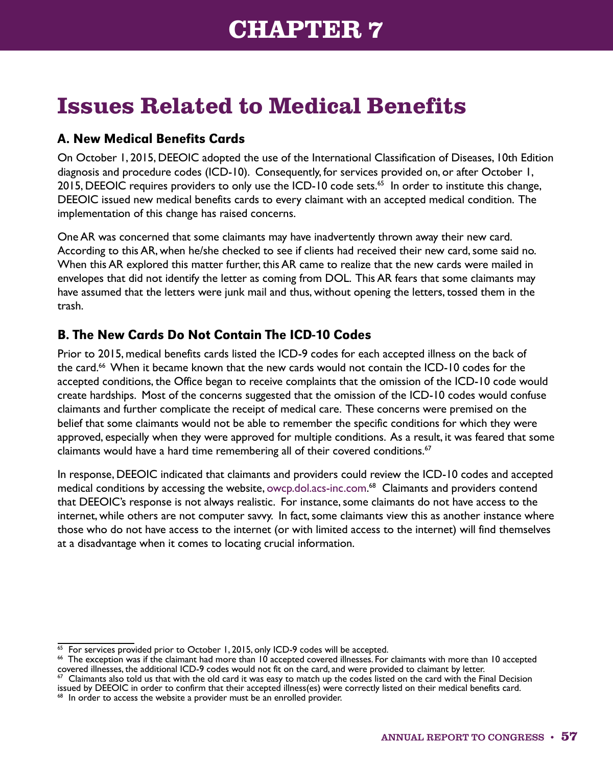# **Issues Related to Medical Benefits**

### A. New Medical Benefits Cards

On October 1, 2015, DEEOIC adopted the use of the International Classification of Diseases, 10th Edition diagnosis and procedure codes (ICD-10). Consequently, for services provided on, or after October 1, 2015, DEEOIC requires providers to only use the ICD-10 code sets.<sup>65</sup> In order to institute this change, DEEOIC issued new medical benefits cards to every claimant with an accepted medical condition. The implementation of this change has raised concerns.

One AR was concerned that some claimants may have inadvertently thrown away their new card. According to this AR, when he/she checked to see if clients had received their new card, some said no. When this AR explored this matter further, this AR came to realize that the new cards were mailed in envelopes that did not identify the letter as coming from DOL. This AR fears that some claimants may have assumed that the letters were junk mail and thus, without opening the letters, tossed them in the trash.

## B. The New Cards Do Not Contain The ICD-10 Codes

Prior to 2015, medical benefits cards listed the ICD-9 codes for each accepted illness on the back of the card.<sup>66</sup> When it became known that the new cards would not contain the ICD-10 codes for the accepted conditions, the Office began to receive complaints that the omission of the ICD-10 code would create hardships. Most of the concerns suggested that the omission of the ICD-10 codes would confuse claimants and further complicate the receipt of medical care. These concerns were premised on the belief that some claimants would not be able to remember the specific conditions for which they were approved, especially when they were approved for multiple conditions. As a result, it was feared that some claimants would have a hard time remembering all of their covered conditions.<sup>67</sup>

In response, DEEOIC indicated that claimants and providers could review the ICD-10 codes and accepted medical conditions by accessing the website, [owcp.dol.acs-inc.com](http://owcp.dol.acs-inc.com). 68 Claimants and providers contend that DEEOIC's response is not always realistic. For instance, some claimants do not have access to the internet, while others are not computer savvy. In fact, some claimants view this as another instance where those who do not have access to the internet (or with limited access to the internet) will find themselves at a disadvantage when it comes to locating crucial information.

<sup>&</sup>lt;sup>65</sup> For services provided prior to October 1, 2015, only ICD-9 codes will be accepted.<br><sup>66</sup> The exception was if the claimant had more than 10 accepted covered illnesses. For claimants with more than 10 accepted covered illnesses, the additional ICD-9 codes would not fit on the card, and were provided to claimant by letter.

<sup>&</sup>lt;sup>67</sup> Claimants also told us that with the old card it was easy to match up the codes listed on the card with the Final Decision issued by DEEOIC in order to confirm that their accepted illness(es) were correctly listed on their medical benefits card.

 $68$  In order to access the website a provider must be an enrolled provider.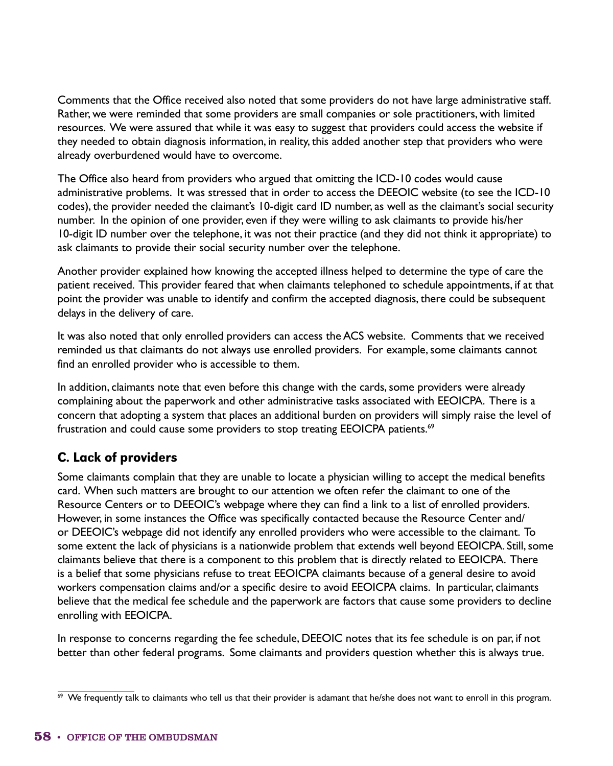Comments that the Office received also noted that some providers do not have large administrative staff. Rather, we were reminded that some providers are small companies or sole practitioners, with limited resources. We were assured that while it was easy to suggest that providers could access the website if they needed to obtain diagnosis information, in reality, this added another step that providers who were already overburdened would have to overcome.

The Office also heard from providers who argued that omitting the ICD-10 codes would cause administrative problems. It was stressed that in order to access the DEEOIC website (to see the ICD-10 codes), the provider needed the claimant's 10-digit card ID number, as well as the claimant's social security number. In the opinion of one provider, even if they were willing to ask claimants to provide his/her 10-digit ID number over the telephone, it was not their practice (and they did not think it appropriate) to ask claimants to provide their social security number over the telephone.

Another provider explained how knowing the accepted illness helped to determine the type of care the patient received. This provider feared that when claimants telephoned to schedule appointments, if at that point the provider was unable to identify and confirm the accepted diagnosis, there could be subsequent delays in the delivery of care.

It was also noted that only enrolled providers can access the ACS website. Comments that we received reminded us that claimants do not always use enrolled providers. For example, some claimants cannot find an enrolled provider who is accessible to them.

In addition, claimants note that even before this change with the cards, some providers were already complaining about the paperwork and other administrative tasks associated with EEOICPA. There is a concern that adopting a system that places an additional burden on providers will simply raise the level of frustration and could cause some providers to stop treating EEOICPA patients.<sup>69</sup>

## C. Lack of providers

Some claimants complain that they are unable to locate a physician willing to accept the medical benefits card. When such matters are brought to our attention we often refer the claimant to one of the Resource Centers or to DEEOIC's webpage where they can find a link to a list of enrolled providers. However, in some instances the Office was specifically contacted because the Resource Center and/ or DEEOIC's webpage did not identify any enrolled providers who were accessible to the claimant. To some extent the lack of physicians is a nationwide problem that extends well beyond EEOICPA. Still, some claimants believe that there is a component to this problem that is directly related to EEOICPA. There is a belief that some physicians refuse to treat EEOICPA claimants because of a general desire to avoid workers compensation claims and/or a specific desire to avoid EEOICPA claims. In particular, claimants believe that the medical fee schedule and the paperwork are factors that cause some providers to decline enrolling with EEOICPA.

In response to concerns regarding the fee schedule, DEEOIC notes that its fee schedule is on par, if not better than other federal programs. Some claimants and providers question whether this is always true.

 $69$  We frequently talk to claimants who tell us that their provider is adamant that he/she does not want to enroll in this program.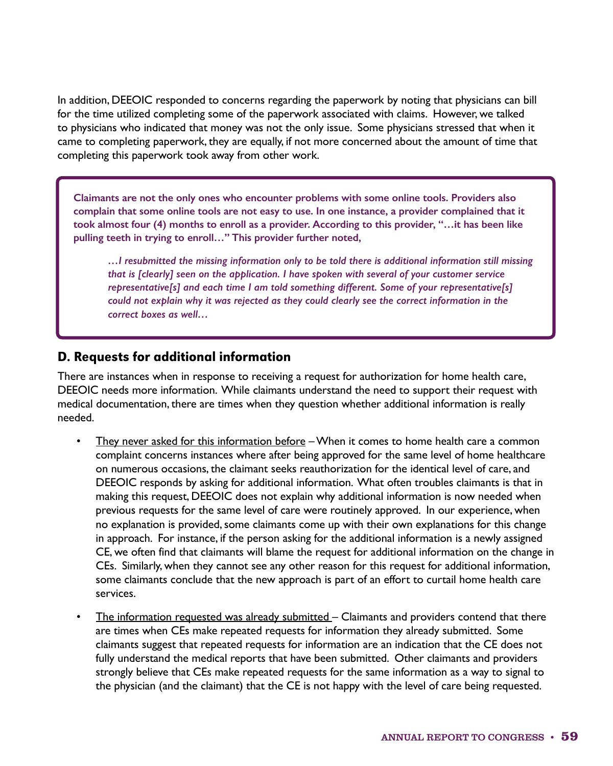In addition, DEEOIC responded to concerns regarding the paperwork by noting that physicians can bill for the time utilized completing some of the paperwork associated with claims. However, we talked to physicians who indicated that money was not the only issue. Some physicians stressed that when it came to completing paperwork, they are equally, if not more concerned about the amount of time that completing this paperwork took away from other work.

**Claimants are not the only ones who encounter problems with some online tools. Providers also complain that some online tools are not easy to use. In one instance, a provider complained that it took almost four (4) months to enroll as a provider. According to this provider, "…it has been like pulling teeth in trying to enroll…" This provider further noted,**

*…I resubmitted the missing information only to be told there is additional information still missing that is [clearly] seen on the application. I have spoken with several of your customer service representative[s] and each time I am told something different. Some of your representative[s] could not explain why it was rejected as they could clearly see the correct information in the correct boxes as well…*

#### D. Requests for additional information

There are instances when in response to receiving a request for authorization for home health care, DEEOIC needs more information. While claimants understand the need to support their request with medical documentation, there are times when they question whether additional information is really needed.

- They never asked for this information before When it comes to home health care a common complaint concerns instances where after being approved for the same level of home healthcare on numerous occasions, the claimant seeks reauthorization for the identical level of care, and DEEOIC responds by asking for additional information. What often troubles claimants is that in making this request, DEEOIC does not explain why additional information is now needed when previous requests for the same level of care were routinely approved. In our experience, when no explanation is provided, some claimants come up with their own explanations for this change in approach. For instance, if the person asking for the additional information is a newly assigned CE, we often find that claimants will blame the request for additional information on the change in CEs. Similarly, when they cannot see any other reason for this request for additional information, some claimants conclude that the new approach is part of an effort to curtail home health care services.
- The information requested was already submitted Claimants and providers contend that there are times when CEs make repeated requests for information they already submitted. Some claimants suggest that repeated requests for information are an indication that the CE does not fully understand the medical reports that have been submitted. Other claimants and providers strongly believe that CEs make repeated requests for the same information as a way to signal to the physician (and the claimant) that the CE is not happy with the level of care being requested.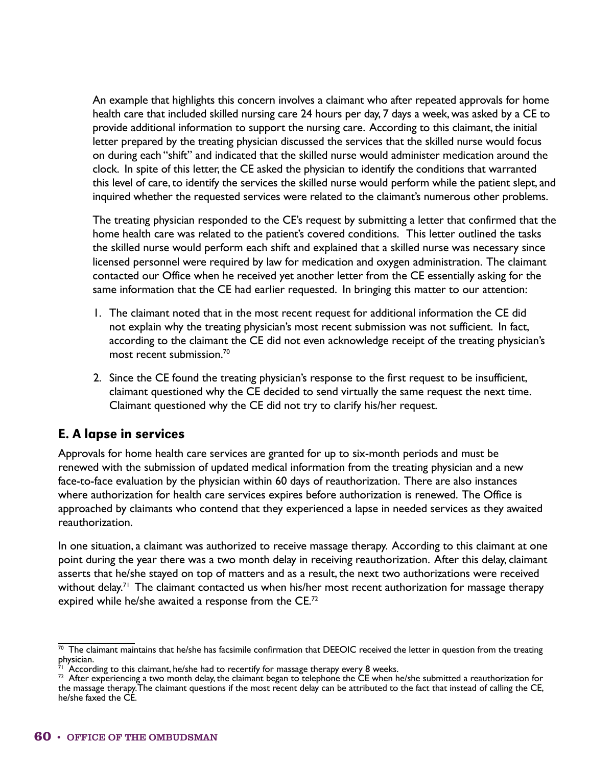An example that highlights this concern involves a claimant who after repeated approvals for home health care that included skilled nursing care 24 hours per day, 7 days a week, was asked by a CE to provide additional information to support the nursing care. According to this claimant, the initial letter prepared by the treating physician discussed the services that the skilled nurse would focus on during each "shift" and indicated that the skilled nurse would administer medication around the clock. In spite of this letter, the CE asked the physician to identify the conditions that warranted this level of care, to identify the services the skilled nurse would perform while the patient slept, and inquired whether the requested services were related to the claimant's numerous other problems.

The treating physician responded to the CE's request by submitting a letter that confirmed that the home health care was related to the patient's covered conditions. This letter outlined the tasks the skilled nurse would perform each shift and explained that a skilled nurse was necessary since licensed personnel were required by law for medication and oxygen administration. The claimant contacted our Office when he received yet another letter from the CE essentially asking for the same information that the CE had earlier requested. In bringing this matter to our attention:

- 1. The claimant noted that in the most recent request for additional information the CE did not explain why the treating physician's most recent submission was not sufficient. In fact, according to the claimant the CE did not even acknowledge receipt of the treating physician's most recent submission.70
- 2. Since the CE found the treating physician's response to the first request to be insufficient, claimant questioned why the CE decided to send virtually the same request the next time. Claimant questioned why the CE did not try to clarify his/her request.

### E. A lapse in services

Approvals for home health care services are granted for up to six-month periods and must be renewed with the submission of updated medical information from the treating physician and a new face-to-face evaluation by the physician within 60 days of reauthorization. There are also instances where authorization for health care services expires before authorization is renewed. The Office is approached by claimants who contend that they experienced a lapse in needed services as they awaited reauthorization.

In one situation, a claimant was authorized to receive massage therapy. According to this claimant at one point during the year there was a two month delay in receiving reauthorization. After this delay, claimant asserts that he/she stayed on top of matters and as a result, the next two authorizations were received without delay.<sup>71</sup> The claimant contacted us when his/her most recent authorization for massage therapy expired while he/she awaited a response from the CE.<sup>72</sup>

 $\frac{70}{10}$  The claimant maintains that he/she has facsimile confirmation that DEEOIC received the letter in question from the treating physician.

 $^{71}$  According to this claimant, he/she had to recertify for massage therapy every 8 weeks.

 $^{72}$  After experiencing a two month delay, the claimant began to telephone the CE when he/she submitted a reauthorization for the massage therapy. The claimant questions if the most recent delay can be attributed to the fact that instead of calling the CE, the massage therapy. The claimant questions if the most recent delay can be attributed to the fact that instead of calling the CE,<br>he/she faxed the CE.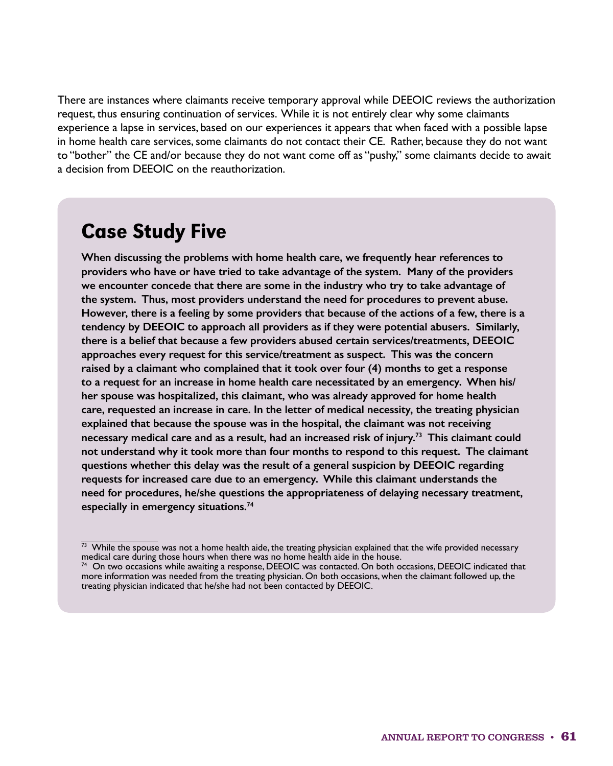There are instances where claimants receive temporary approval while DEEOIC reviews the authorization request, thus ensuring continuation of services. While it is not entirely clear why some claimants experience a lapse in services, based on our experiences it appears that when faced with a possible lapse in home health care services, some claimants do not contact their CE. Rather, because they do not want to "bother" the CE and/or because they do not want come off as "pushy," some claimants decide to await a decision from DEEOIC on the reauthorization.

## Case Study Five

**When discussing the problems with home health care, we frequently hear references to providers who have or have tried to take advantage of the system. Many of the providers we encounter concede that there are some in the industry who try to take advantage of the system. Thus, most providers understand the need for procedures to prevent abuse. However, there is a feeling by some providers that because of the actions of a few, there is a tendency by DEEOIC to approach all providers as if they were potential abusers. Similarly, there is a belief that because a few providers abused certain services/treatments, DEEOIC approaches every request for this service/treatment as suspect. This was the concern raised by a claimant who complained that it took over four (4) months to get a response to a request for an increase in home health care necessitated by an emergency. When his/ her spouse was hospitalized, this claimant, who was already approved for home health care, requested an increase in care. In the letter of medical necessity, the treating physician explained that because the spouse was in the hospital, the claimant was not receiving necessary medical care and as a result, had an increased risk of injury.<sup>73</sup> This claimant could not understand why it took more than four months to respond to this request. The claimant questions whether this delay was the result of a general suspicion by DEEOIC regarding requests for increased care due to an emergency. While this claimant understands the need for procedures, he/she questions the appropriateness of delaying necessary treatment, especially in emergency situations.<sup>74</sup>**

 $\frac{1}{73}$  While the spouse was not a home health aide, the treating physician explained that the wife provided necessary medical care during those hours when there was no home health aide in the house.

 $^{74}$  On two occasions while awaiting a response, DEEOIC was contacted. On both occasions, DEEOIC indicated that more information was needed from the treating physician. On both occasions, when the claimant followed up, the treating physician indicated that he/she had not been contacted by DEEOIC.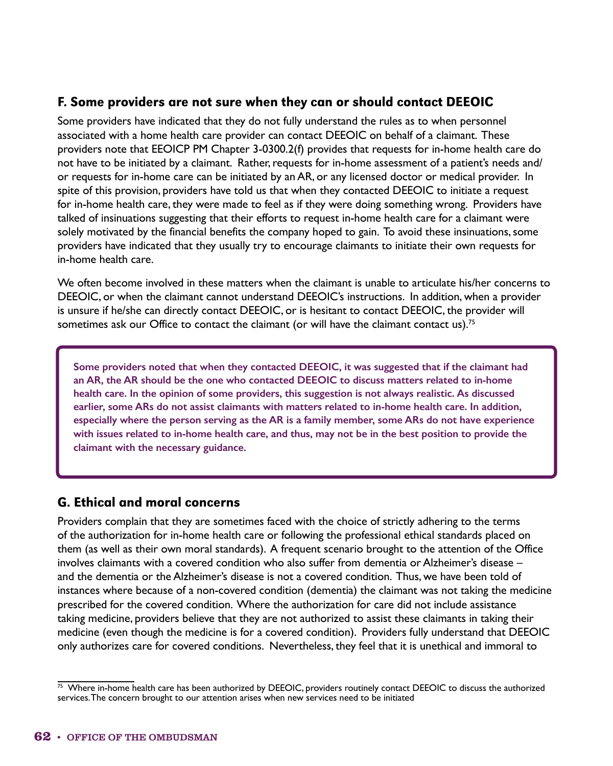#### F. Some providers are not sure when they can or should contact DEEOIC

Some providers have indicated that they do not fully understand the rules as to when personnel associated with a home health care provider can contact DEEOIC on behalf of a claimant. These providers note that EEOICP PM Chapter 3-0300.2(f) provides that requests for in-home health care do not have to be initiated by a claimant. Rather, requests for in-home assessment of a patient's needs and/ or requests for in-home care can be initiated by an AR, or any licensed doctor or medical provider. In spite of this provision, providers have told us that when they contacted DEEOIC to initiate a request for in-home health care, they were made to feel as if they were doing something wrong. Providers have talked of insinuations suggesting that their efforts to request in-home health care for a claimant were solely motivated by the financial benefits the company hoped to gain. To avoid these insinuations, some providers have indicated that they usually try to encourage claimants to initiate their own requests for in-home health care.

We often become involved in these matters when the claimant is unable to articulate his/her concerns to DEEOIC, or when the claimant cannot understand DEEOIC's instructions. In addition, when a provider is unsure if he/she can directly contact DEEOIC, or is hesitant to contact DEEOIC, the provider will sometimes ask our Office to contact the claimant (or will have the claimant contact us).<sup>75</sup>

**Some providers noted that when they contacted DEEOIC, it was suggested that if the claimant had an AR, the AR should be the one who contacted DEEOIC to discuss matters related to in-home health care. In the opinion of some providers, this suggestion is not always realistic. As discussed earlier, some ARs do not assist claimants with matters related to in-home health care. In addition, especially where the person serving as the AR is a family member, some ARs do not have experience with issues related to in-home health care, and thus, may not be in the best position to provide the claimant with the necessary guidance**.

## G. Ethical and moral concerns

Providers complain that they are sometimes faced with the choice of strictly adhering to the terms of the authorization for in-home health care or following the professional ethical standards placed on them (as well as their own moral standards). A frequent scenario brought to the attention of the Office involves claimants with a covered condition who also suffer from dementia or Alzheimer's disease – and the dementia or the Alzheimer's disease is not a covered condition. Thus, we have been told of instances where because of a non-covered condition (dementia) the claimant was not taking the medicine prescribed for the covered condition. Where the authorization for care did not include assistance taking medicine, providers believe that they are not authorized to assist these claimants in taking their medicine (even though the medicine is for a covered condition). Providers fully understand that DEEOIC only authorizes care for covered conditions. Nevertheless, they feel that it is unethical and immoral to

 $\frac{75}{12}$  Where in-home health care has been authorized by DEEOIC, providers routinely contact DEEOIC to discuss the authorized services. The concern brought to our attention arises when new services need to be initiated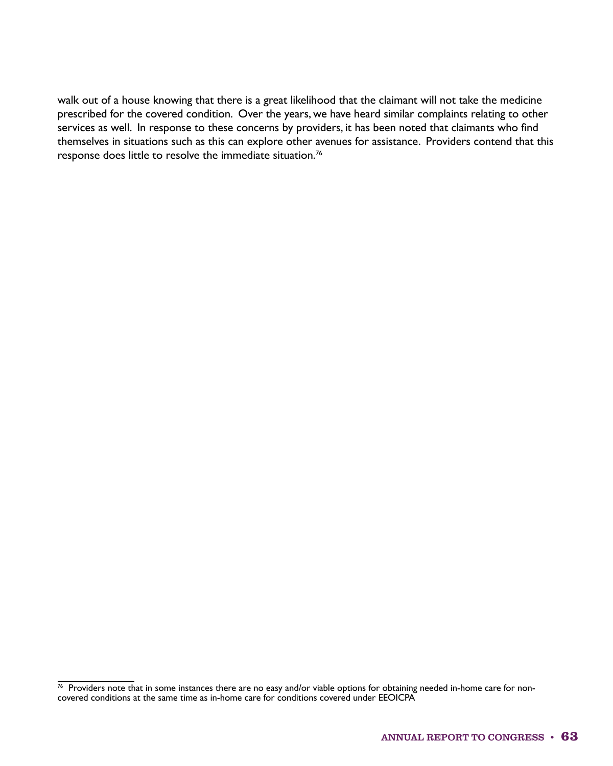walk out of a house knowing that there is a great likelihood that the claimant will not take the medicine prescribed for the covered condition. Over the years, we have heard similar complaints relating to other services as well. In response to these concerns by providers, it has been noted that claimants who find themselves in situations such as this can explore other avenues for assistance. Providers contend that this response does little to resolve the immediate situation.76

 $76$  Providers note that in some instances there are no easy and/or viable options for obtaining needed in-home care for noncovered conditions at the same time as in-home care for conditions covered under EEOICPA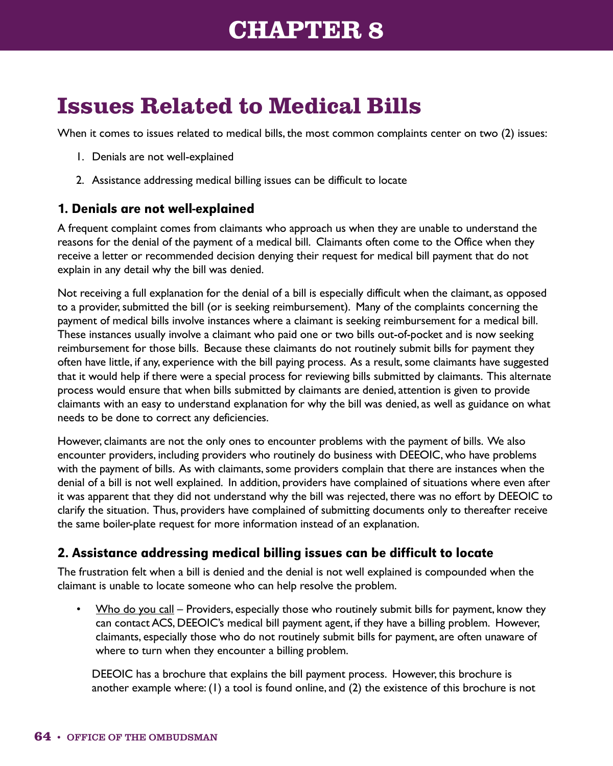## **CHAPTER 8**

# **Issues Related to Medical Bills**

When it comes to issues related to medical bills, the most common complaints center on two (2) issues:

- 1. Denials are not well-explained
- 2. Assistance addressing medical billing issues can be difficult to locate

#### 1. Denials are not well-explained

A frequent complaint comes from claimants who approach us when they are unable to understand the reasons for the denial of the payment of a medical bill. Claimants often come to the Office when they receive a letter or recommended decision denying their request for medical bill payment that do not explain in any detail why the bill was denied.

Not receiving a full explanation for the denial of a bill is especially difficult when the claimant, as opposed to a provider, submitted the bill (or is seeking reimbursement). Many of the complaints concerning the payment of medical bills involve instances where a claimant is seeking reimbursement for a medical bill. These instances usually involve a claimant who paid one or two bills out-of-pocket and is now seeking reimbursement for those bills. Because these claimants do not routinely submit bills for payment they often have little, if any, experience with the bill paying process. As a result, some claimants have suggested that it would help if there were a special process for reviewing bills submitted by claimants. This alternate process would ensure that when bills submitted by claimants are denied, attention is given to provide claimants with an easy to understand explanation for why the bill was denied, as well as guidance on what needs to be done to correct any deficiencies.

However, claimants are not the only ones to encounter problems with the payment of bills. We also encounter providers, including providers who routinely do business with DEEOIC, who have problems with the payment of bills. As with claimants, some providers complain that there are instances when the denial of a bill is not well explained. In addition, providers have complained of situations where even after it was apparent that they did not understand why the bill was rejected, there was no effort by DEEOIC to clarify the situation. Thus, providers have complained of submitting documents only to thereafter receive the same boiler-plate request for more information instead of an explanation.

## 2. Assistance addressing medical billing issues can be difficult to locate

The frustration felt when a bill is denied and the denial is not well explained is compounded when the claimant is unable to locate someone who can help resolve the problem.

• Who do you call – Providers, especially those who routinely submit bills for payment, know they can contact ACS, DEEOIC's medical bill payment agent, if they have a billing problem. However, claimants, especially those who do not routinely submit bills for payment, are often unaware of where to turn when they encounter a billing problem.

DEEOIC has a brochure that explains the bill payment process. However, this brochure is another example where: (1) a tool is found online, and (2) the existence of this brochure is not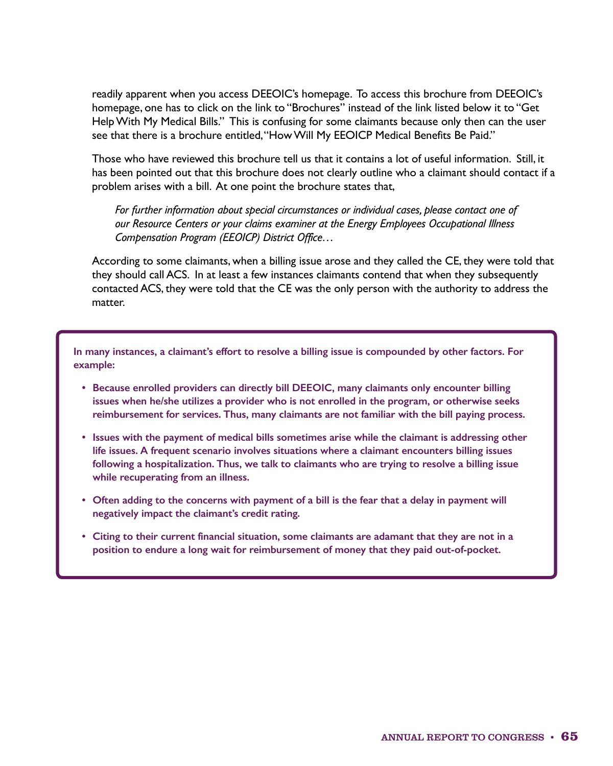readily apparent when you access DEEOIC's homepage. To access this brochure from DEEOIC's homepage, one has to click on the link to "Brochures" instead of the link listed below it to "Get Help With My Medical Bills." This is confusing for some claimants because only then can the user see that there is a brochure entitled, "How Will My EEOICP Medical Benefits Be Paid."

Those who have reviewed this brochure tell us that it contains a lot of useful information. Still, it has been pointed out that this brochure does not clearly outline who a claimant should contact if a problem arises with a bill. At one point the brochure states that,

*For further information about special circumstances or individual cases, please contact one of our Resource Centers or your claims examiner at the Energy Employees Occupational Illness Compensation Program (EEOICP) District Office…*

According to some claimants, when a billing issue arose and they called the CE, they were told that they should call ACS. In at least a few instances claimants contend that when they subsequently contacted ACS, they were told that the CE was the only person with the authority to address the matter.

**In many instances, a claimant's effort to resolve a billing issue is compounded by other factors. For example:**

- **Because enrolled providers can directly bill DEEOIC, many claimants only encounter billing issues when he/she utilizes a provider who is not enrolled in the program, or otherwise seeks reimbursement for services. Thus, many claimants are not familiar with the bill paying process.**
- **Issues with the payment of medical bills sometimes arise while the claimant is addressing other life issues. A frequent scenario involves situations where a claimant encounters billing issues following a hospitalization. Thus, we talk to claimants who are trying to resolve a billing issue while recuperating from an illness.**
- **Often adding to the concerns with payment of a bill is the fear that a delay in payment will negatively impact the claimant's credit rating.**
- **Citing to their current financial situation, some claimants are adamant that they are not in a position to endure a long wait for reimbursement of money that they paid out-of-pocket.**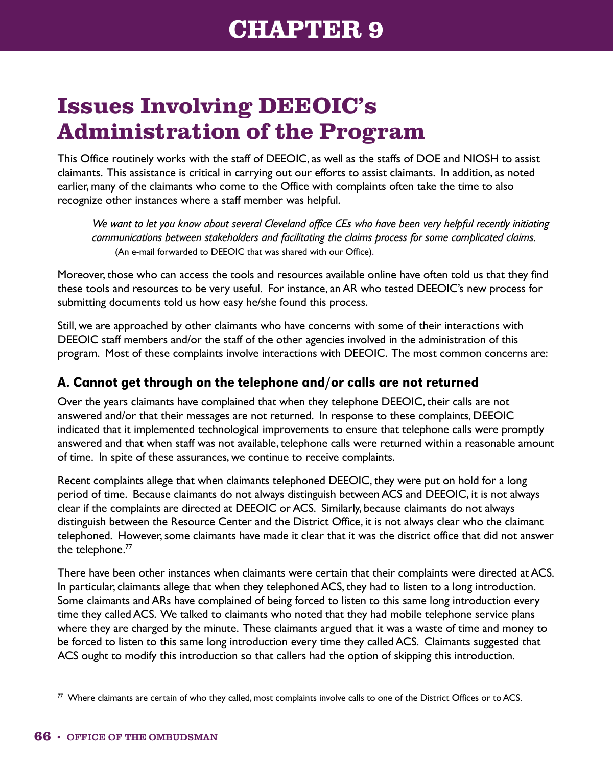# **Issues Involving DEEOIC's Administration of the Program**

This Office routinely works with the staff of DEEOIC, as well as the staffs of DOE and NIOSH to assist claimants. This assistance is critical in carrying out our efforts to assist claimants. In addition, as noted earlier, many of the claimants who come to the Office with complaints often take the time to also recognize other instances where a staff member was helpful.

*We want to let you know about several Cleveland office CEs who have been very helpful recently initiating communications between stakeholders and facilitating the claims process for some complicated claims.* (An e-mail forwarded to DEEOIC that was shared with our Office).

Moreover, those who can access the tools and resources available online have often told us that they find these tools and resources to be very useful. For instance, an AR who tested DEEOIC's new process for submitting documents told us how easy he/she found this process.

Still, we are approached by other claimants who have concerns with some of their interactions with DEEOIC staff members and/or the staff of the other agencies involved in the administration of this program. Most of these complaints involve interactions with DEEOIC. The most common concerns are:

## A. Cannot get through on the telephone and/or calls are not returned

Over the years claimants have complained that when they telephone DEEOIC, their calls are not answered and/or that their messages are not returned. In response to these complaints, DEEOIC indicated that it implemented technological improvements to ensure that telephone calls were promptly answered and that when staff was not available, telephone calls were returned within a reasonable amount of time. In spite of these assurances, we continue to receive complaints.

Recent complaints allege that when claimants telephoned DEEOIC, they were put on hold for a long period of time. Because claimants do not always distinguish between ACS and DEEOIC, it is not always clear if the complaints are directed at DEEOIC or ACS. Similarly, because claimants do not always distinguish between the Resource Center and the District Office, it is not always clear who the claimant telephoned. However, some claimants have made it clear that it was the district office that did not answer the telephone.<sup>77</sup>

There have been other instances when claimants were certain that their complaints were directed at ACS. In particular, claimants allege that when they telephoned ACS, they had to listen to a long introduction. Some claimants and ARs have complained of being forced to listen to this same long introduction every time they called ACS. We talked to claimants who noted that they had mobile telephone service plans where they are charged by the minute. These claimants argued that it was a waste of time and money to be forced to listen to this same long introduction every time they called ACS. Claimants suggested that ACS ought to modify this introduction so that callers had the option of skipping this introduction.

 $\overline{77}$  Where claimants are certain of who they called, most complaints involve calls to one of the District Offices or to ACS.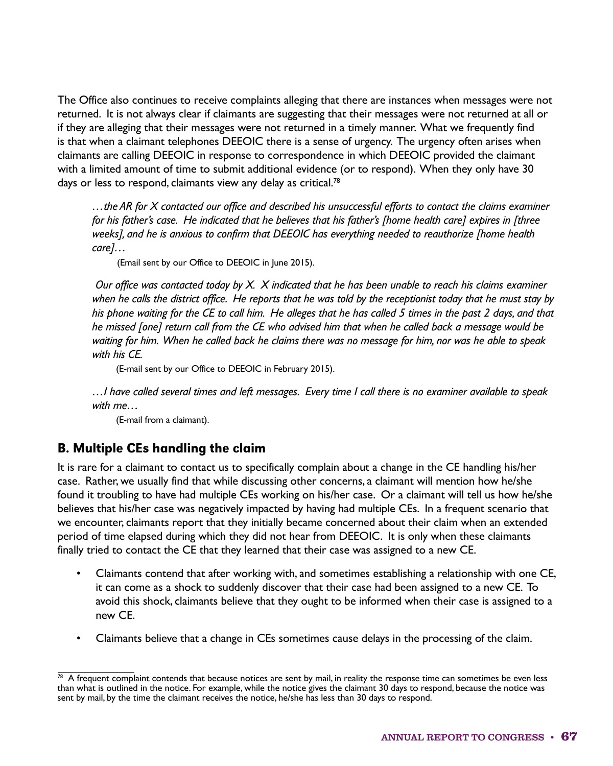The Office also continues to receive complaints alleging that there are instances when messages were not returned. It is not always clear if claimants are suggesting that their messages were not returned at all or if they are alleging that their messages were not returned in a timely manner. What we frequently find is that when a claimant telephones DEEOIC there is a sense of urgency. The urgency often arises when claimants are calling DEEOIC in response to correspondence in which DEEOIC provided the claimant with a limited amount of time to submit additional evidence (or to respond). When they only have 30 days or less to respond, claimants view any delay as critical.<sup>78</sup>

*…the AR for X contacted our office and described his unsuccessful efforts to contact the claims examiner for his father's case. He indicated that he believes that his father's [home health care] expires in [three weeks], and he is anxious to confirm that DEEOIC has everything needed to reauthorize [home health care]…*

(Email sent by our Office to DEEOIC in June 2015).

 *Our office was contacted today by X. X indicated that he has been unable to reach his claims examiner when he calls the district office. He reports that he was told by the receptionist today that he must stay by his phone waiting for the CE to call him. He alleges that he has called 5 times in the past 2 days, and that he missed [one] return call from the CE who advised him that when he called back a message would be waiting for him. When he called back he claims there was no message for him, nor was he able to speak with his CE.*

(E-mail sent by our Office to DEEOIC in February 2015).

*…I have called several times and left messages. Every time I call there is no examiner available to speak with me…*

(E-mail from a claimant).

### B. Multiple CEs handling the claim

It is rare for a claimant to contact us to specifically complain about a change in the CE handling his/her case. Rather, we usually find that while discussing other concerns, a claimant will mention how he/she found it troubling to have had multiple CEs working on his/her case. Or a claimant will tell us how he/she believes that his/her case was negatively impacted by having had multiple CEs. In a frequent scenario that we encounter, claimants report that they initially became concerned about their claim when an extended period of time elapsed during which they did not hear from DEEOIC. It is only when these claimants finally tried to contact the CE that they learned that their case was assigned to a new CE.

- Claimants contend that after working with, and sometimes establishing a relationship with one CE, it can come as a shock to suddenly discover that their case had been assigned to a new CE. To avoid this shock, claimants believe that they ought to be informed when their case is assigned to a new CE.
- Claimants believe that a change in CEs sometimes cause delays in the processing of the claim.

 $\frac{78}{10}$  A frequent complaint contends that because notices are sent by mail, in reality the response time can sometimes be even less than what is outlined in the notice. For example, while the notice gives the claimant 30 days to respond, because the notice was sent by mail, by the time the claimant receives the notice, he/she has less than 30 days to respond.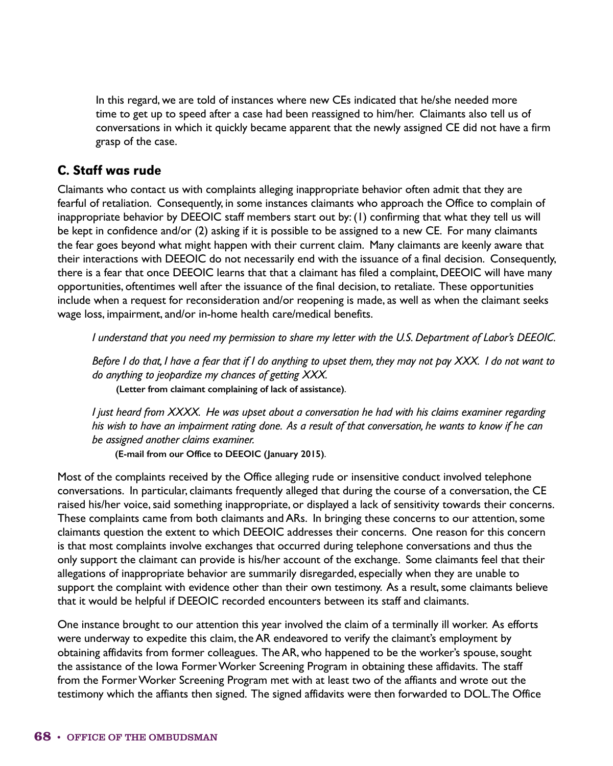In this regard, we are told of instances where new CEs indicated that he/she needed more time to get up to speed after a case had been reassigned to him/her. Claimants also tell us of conversations in which it quickly became apparent that the newly assigned CE did not have a firm grasp of the case.

#### C. Staff was rude

Claimants who contact us with complaints alleging inappropriate behavior often admit that they are fearful of retaliation. Consequently, in some instances claimants who approach the Office to complain of inappropriate behavior by DEEOIC staff members start out by: (1) confirming that what they tell us will be kept in confidence and/or (2) asking if it is possible to be assigned to a new CE. For many claimants the fear goes beyond what might happen with their current claim. Many claimants are keenly aware that their interactions with DEEOIC do not necessarily end with the issuance of a final decision. Consequently, there is a fear that once DEEOIC learns that that a claimant has filed a complaint, DEEOIC will have many opportunities, oftentimes well after the issuance of the final decision, to retaliate. These opportunities include when a request for reconsideration and/or reopening is made, as well as when the claimant seeks wage loss, impairment, and/or in-home health care/medical benefits.

*I understand that you need my permission to share my letter with the U.S. Department of Labor's DEEOIC.*

*Before I do that, I have a fear that if I do anything to upset them, they may not pay XXX. I do not want to do anything to jeopardize my chances of getting XXX.*

**(Letter from claimant complaining of lack of assistance)**.

*I just heard from XXXX. He was upset about a conversation he had with his claims examiner regarding his wish to have an impairment rating done. As a result of that conversation, he wants to know if he can be assigned another claims examiner.*

**(E-mail from our Office to DEEOIC (January 2015)**.

Most of the complaints received by the Office alleging rude or insensitive conduct involved telephone conversations. In particular, claimants frequently alleged that during the course of a conversation, the CE raised his/her voice, said something inappropriate, or displayed a lack of sensitivity towards their concerns. These complaints came from both claimants and ARs. In bringing these concerns to our attention, some claimants question the extent to which DEEOIC addresses their concerns. One reason for this concern is that most complaints involve exchanges that occurred during telephone conversations and thus the only support the claimant can provide is his/her account of the exchange. Some claimants feel that their allegations of inappropriate behavior are summarily disregarded, especially when they are unable to support the complaint with evidence other than their own testimony. As a result, some claimants believe that it would be helpful if DEEOIC recorded encounters between its staff and claimants.

One instance brought to our attention this year involved the claim of a terminally ill worker. As efforts were underway to expedite this claim, the AR endeavored to verify the claimant's employment by obtaining affidavits from former colleagues. The AR, who happened to be the worker's spouse, sought the assistance of the Iowa Former Worker Screening Program in obtaining these affidavits. The staff from the Former Worker Screening Program met with at least two of the affiants and wrote out the testimony which the affiants then signed. The signed affidavits were then forwarded to DOL. The Office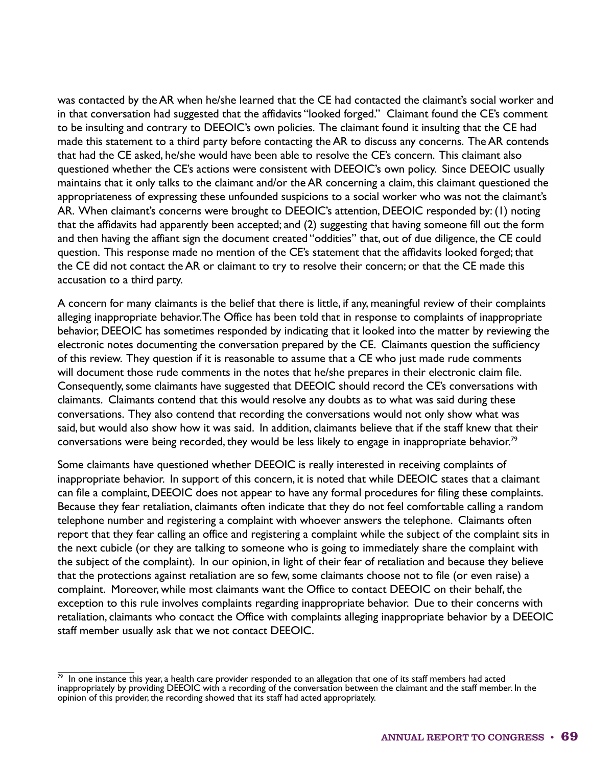was contacted by the AR when he/she learned that the CE had contacted the claimant's social worker and in that conversation had suggested that the affidavits "looked forged." Claimant found the CE's comment to be insulting and contrary to DEEOIC's own policies. The claimant found it insulting that the CE had made this statement to a third party before contacting the AR to discuss any concerns. The AR contends that had the CE asked, he/she would have been able to resolve the CE's concern. This claimant also questioned whether the CE's actions were consistent with DEEOIC's own policy. Since DEEOIC usually maintains that it only talks to the claimant and/or the AR concerning a claim, this claimant questioned the appropriateness of expressing these unfounded suspicions to a social worker who was not the claimant's AR. When claimant's concerns were brought to DEEOIC's attention, DEEOIC responded by: (1) noting that the affidavits had apparently been accepted; and (2) suggesting that having someone fill out the form and then having the affiant sign the document created "oddities" that, out of due diligence, the CE could question. This response made no mention of the CE's statement that the affidavits looked forged; that the CE did not contact the AR or claimant to try to resolve their concern; or that the CE made this accusation to a third party.

A concern for many claimants is the belief that there is little, if any, meaningful review of their complaints alleging inappropriate behavior. The Office has been told that in response to complaints of inappropriate behavior, DEEOIC has sometimes responded by indicating that it looked into the matter by reviewing the electronic notes documenting the conversation prepared by the CE. Claimants question the sufficiency of this review. They question if it is reasonable to assume that a CE who just made rude comments will document those rude comments in the notes that he/she prepares in their electronic claim file. Consequently, some claimants have suggested that DEEOIC should record the CE's conversations with claimants. Claimants contend that this would resolve any doubts as to what was said during these conversations. They also contend that recording the conversations would not only show what was said, but would also show how it was said. In addition, claimants believe that if the staff knew that their conversations were being recorded, they would be less likely to engage in inappropriate behavior.79

Some claimants have questioned whether DEEOIC is really interested in receiving complaints of inappropriate behavior. In support of this concern, it is noted that while DEEOIC states that a claimant can file a complaint, DEEOIC does not appear to have any formal procedures for filing these complaints. Because they fear retaliation, claimants often indicate that they do not feel comfortable calling a random telephone number and registering a complaint with whoever answers the telephone. Claimants often report that they fear calling an office and registering a complaint while the subject of the complaint sits in the next cubicle (or they are talking to someone who is going to immediately share the complaint with the subject of the complaint). In our opinion, in light of their fear of retaliation and because they believe that the protections against retaliation are so few, some claimants choose not to file (or even raise) a complaint. Moreover, while most claimants want the Office to contact DEEOIC on their behalf, the exception to this rule involves complaints regarding inappropriate behavior. Due to their concerns with retaliation, claimants who contact the Office with complaints alleging inappropriate behavior by a DEEOIC staff member usually ask that we not contact DEEOIC.

 $79$  In one instance this year, a health care provider responded to an allegation that one of its staff members had acted inappropriately by providing DEEOIC with a recording of the conversation between the claimant and the staff member. In the opinion of this provider, the recording showed that its staff had acted appropriately.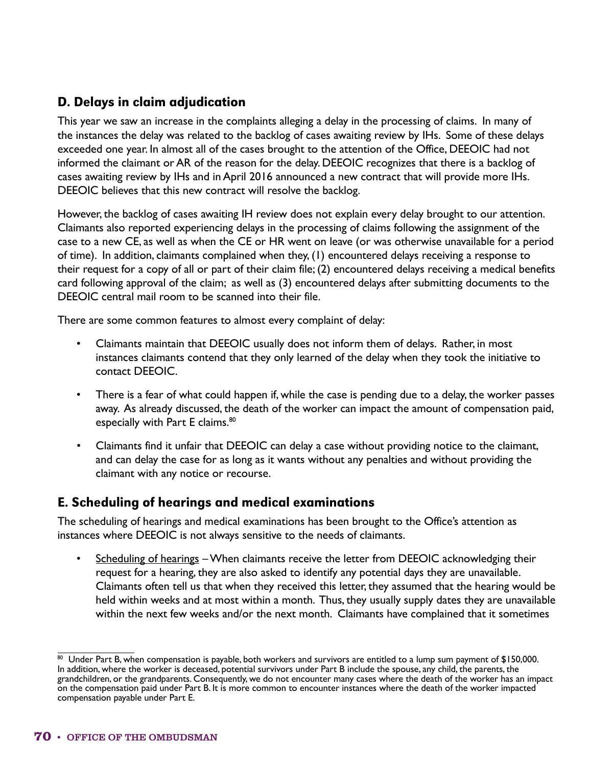### D. Delays in claim adjudication

This year we saw an increase in the complaints alleging a delay in the processing of claims. In many of the instances the delay was related to the backlog of cases awaiting review by IHs. Some of these delays exceeded one year. In almost all of the cases brought to the attention of the Office, DEEOIC had not informed the claimant or AR of the reason for the delay. DEEOIC recognizes that there is a backlog of cases awaiting review by IHs and in April 2016 announced a new contract that will provide more IHs. DEEOIC believes that this new contract will resolve the backlog.

However, the backlog of cases awaiting IH review does not explain every delay brought to our attention. Claimants also reported experiencing delays in the processing of claims following the assignment of the case to a new CE, as well as when the CE or HR went on leave (or was otherwise unavailable for a period of time). In addition, claimants complained when they, (1) encountered delays receiving a response to their request for a copy of all or part of their claim file; (2) encountered delays receiving a medical benefits card following approval of the claim; as well as (3) encountered delays after submitting documents to the DEEOIC central mail room to be scanned into their file.

There are some common features to almost every complaint of delay:

- Claimants maintain that DEEOIC usually does not inform them of delays. Rather, in most instances claimants contend that they only learned of the delay when they took the initiative to contact DEEOIC.
- There is a fear of what could happen if, while the case is pending due to a delay, the worker passes away. As already discussed, the death of the worker can impact the amount of compensation paid, especially with Part E claims.<sup>80</sup>
- Claimants find it unfair that DEEOIC can delay a case without providing notice to the claimant, and can delay the case for as long as it wants without any penalties and without providing the claimant with any notice or recourse.

### E. Scheduling of hearings and medical examinations

The scheduling of hearings and medical examinations has been brought to the Office's attention as instances where DEEOIC is not always sensitive to the needs of claimants.

• Scheduling of hearings – When claimants receive the letter from DEEOIC acknowledging their request for a hearing, they are also asked to identify any potential days they are unavailable. Claimants often tell us that when they received this letter, they assumed that the hearing would be held within weeks and at most within a month. Thus, they usually supply dates they are unavailable within the next few weeks and/or the next month. Claimants have complained that it sometimes

 $\overline{80}$  Under Part B, when compensation is payable, both workers and survivors are entitled to a lump sum payment of \$150,000. In addition, where the worker is deceased, potential survivors under Part B include the spouse, any child, the parents, the grandchildren, or the grandparents. Consequently, we do not encounter many cases where the death of the worker has an impact on the compensation paid under Part B. It is more common to encounter instances where the death of the worker impacted compensation payable under Part E.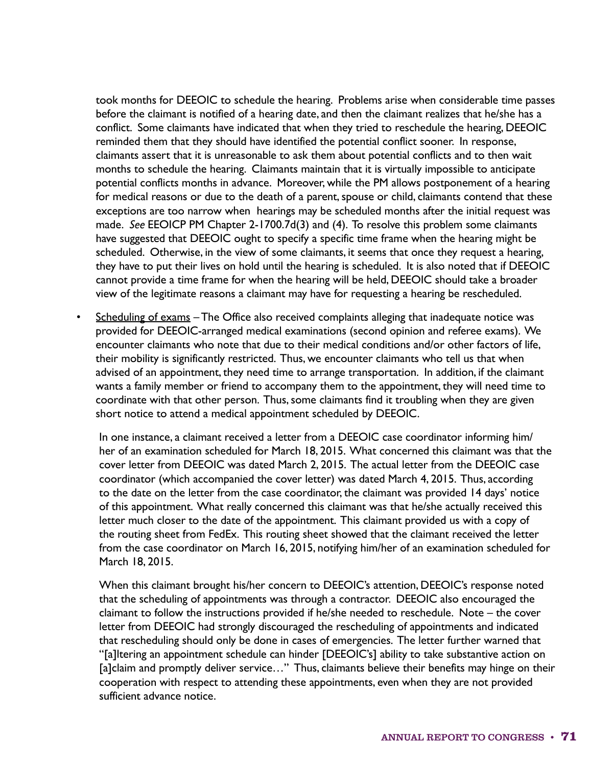took months for DEEOIC to schedule the hearing. Problems arise when considerable time passes before the claimant is notified of a hearing date, and then the claimant realizes that he/she has a conflict. Some claimants have indicated that when they tried to reschedule the hearing, DEEOIC reminded them that they should have identified the potential conflict sooner. In response, claimants assert that it is unreasonable to ask them about potential conflicts and to then wait months to schedule the hearing. Claimants maintain that it is virtually impossible to anticipate potential conflicts months in advance. Moreover, while the PM allows postponement of a hearing for medical reasons or due to the death of a parent, spouse or child, claimants contend that these exceptions are too narrow when hearings may be scheduled months after the initial request was made. *See* EEOICP PM Chapter 2-1700.7d(3) and (4). To resolve this problem some claimants have suggested that DEEOIC ought to specify a specific time frame when the hearing might be scheduled. Otherwise, in the view of some claimants, it seems that once they request a hearing, they have to put their lives on hold until the hearing is scheduled. It is also noted that if DEEOIC cannot provide a time frame for when the hearing will be held, DEEOIC should take a broader view of the legitimate reasons a claimant may have for requesting a hearing be rescheduled.

Scheduling of exams - The Office also received complaints alleging that inadequate notice was provided for DEEOIC-arranged medical examinations (second opinion and referee exams). We encounter claimants who note that due to their medical conditions and/or other factors of life, their mobility is significantly restricted. Thus, we encounter claimants who tell us that when advised of an appointment, they need time to arrange transportation. In addition, if the claimant wants a family member or friend to accompany them to the appointment, they will need time to coordinate with that other person. Thus, some claimants find it troubling when they are given short notice to attend a medical appointment scheduled by DEEOIC.

In one instance, a claimant received a letter from a DEEOIC case coordinator informing him/ her of an examination scheduled for March 18, 2015. What concerned this claimant was that the cover letter from DEEOIC was dated March 2, 2015. The actual letter from the DEEOIC case coordinator (which accompanied the cover letter) was dated March 4, 2015. Thus, according to the date on the letter from the case coordinator, the claimant was provided 14 days' notice of this appointment. What really concerned this claimant was that he/she actually received this letter much closer to the date of the appointment. This claimant provided us with a copy of the routing sheet from FedEx. This routing sheet showed that the claimant received the letter from the case coordinator on March 16, 2015, notifying him/her of an examination scheduled for March 18, 2015.

When this claimant brought his/her concern to DEEOIC's attention, DEEOIC's response noted that the scheduling of appointments was through a contractor. DEEOIC also encouraged the claimant to follow the instructions provided if he/she needed to reschedule. Note – the cover letter from DEEOIC had strongly discouraged the rescheduling of appointments and indicated that rescheduling should only be done in cases of emergencies. The letter further warned that "[a]ltering an appointment schedule can hinder [DEEOIC's] ability to take substantive action on [a]claim and promptly deliver service…" Thus, claimants believe their benefits may hinge on their cooperation with respect to attending these appointments, even when they are not provided sufficient advance notice.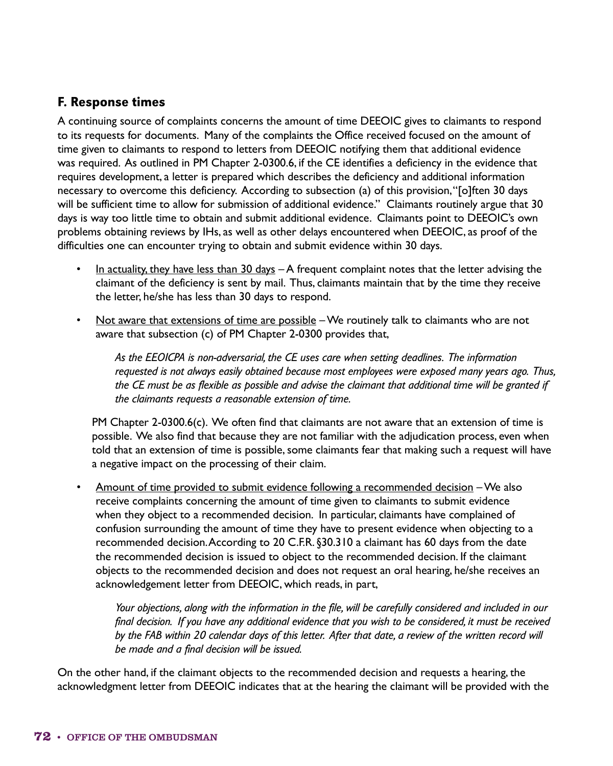#### F. Response times

A continuing source of complaints concerns the amount of time DEEOIC gives to claimants to respond to its requests for documents. Many of the complaints the Office received focused on the amount of time given to claimants to respond to letters from DEEOIC notifying them that additional evidence was required. As outlined in PM Chapter 2-0300.6, if the CE identifies a deficiency in the evidence that requires development, a letter is prepared which describes the deficiency and additional information necessary to overcome this deficiency. According to subsection (a) of this provision, "[o]ften 30 days will be sufficient time to allow for submission of additional evidence." Claimants routinely argue that 30 days is way too little time to obtain and submit additional evidence. Claimants point to DEEOIC's own problems obtaining reviews by IHs, as well as other delays encountered when DEEOIC, as proof of the difficulties one can encounter trying to obtain and submit evidence within 30 days.

- In actuality, they have less than 30 days A frequent complaint notes that the letter advising the claimant of the deficiency is sent by mail. Thus, claimants maintain that by the time they receive the letter, he/she has less than 30 days to respond.
- Not aware that extensions of time are possible We routinely talk to claimants who are not aware that subsection (c) of PM Chapter 2-0300 provides that,

*As the EEOICPA is non-adversarial, the CE uses care when setting deadlines. The information requested is not always easily obtained because most employees were exposed many years ago. Thus, the CE must be as flexible as possible and advise the claimant that additional time will be granted if the claimants requests a reasonable extension of time.*

PM Chapter 2-0300.6(c). We often find that claimants are not aware that an extension of time is possible. We also find that because they are not familiar with the adjudication process, even when told that an extension of time is possible, some claimants fear that making such a request will have a negative impact on the processing of their claim.

• Amount of time provided to submit evidence following a recommended decision – We also receive complaints concerning the amount of time given to claimants to submit evidence when they object to a recommended decision. In particular, claimants have complained of confusion surrounding the amount of time they have to present evidence when objecting to a recommended decision. According to 20 C.F.R. §30.310 a claimant has 60 days from the date the recommended decision is issued to object to the recommended decision. If the claimant objects to the recommended decision and does not request an oral hearing, he/she receives an acknowledgement letter from DEEOIC, which reads, in part,

*Your objections, along with the information in the file, will be carefully considered and included in our final decision. If you have any additional evidence that you wish to be considered, it must be received*  by the FAB within 20 calendar days of this letter. After that date, a review of the written record will *be made and a final decision will be issued.*

On the other hand, if the claimant objects to the recommended decision and requests a hearing, the acknowledgment letter from DEEOIC indicates that at the hearing the claimant will be provided with the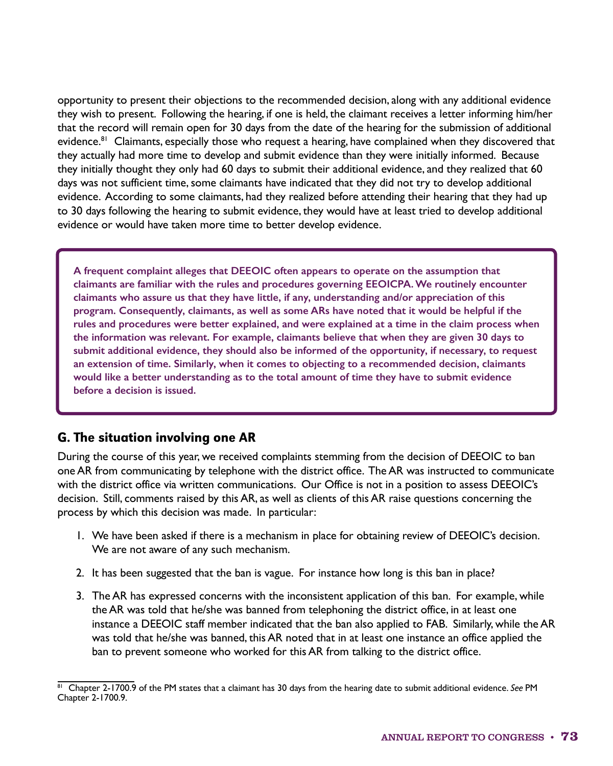opportunity to present their objections to the recommended decision, along with any additional evidence they wish to present. Following the hearing, if one is held, the claimant receives a letter informing him/her that the record will remain open for 30 days from the date of the hearing for the submission of additional evidence.<sup>81</sup> Claimants, especially those who request a hearing, have complained when they discovered that they actually had more time to develop and submit evidence than they were initially informed. Because they initially thought they only had 60 days to submit their additional evidence, and they realized that 60 days was not sufficient time, some claimants have indicated that they did not try to develop additional evidence. According to some claimants, had they realized before attending their hearing that they had up to 30 days following the hearing to submit evidence, they would have at least tried to develop additional evidence or would have taken more time to better develop evidence.

**A frequent complaint alleges that DEEOIC often appears to operate on the assumption that claimants are familiar with the rules and procedures governing EEOICPA. We routinely encounter claimants who assure us that they have little, if any, understanding and/or appreciation of this program. Consequently, claimants, as well as some ARs have noted that it would be helpful if the rules and procedures were better explained, and were explained at a time in the claim process when the information was relevant. For example, claimants believe that when they are given 30 days to submit additional evidence, they should also be informed of the opportunity, if necessary, to request an extension of time. Similarly, when it comes to objecting to a recommended decision, claimants would like a better understanding as to the total amount of time they have to submit evidence before a decision is issued.**

### G. The situation involving one AR

During the course of this year, we received complaints stemming from the decision of DEEOIC to ban one AR from communicating by telephone with the district office. The AR was instructed to communicate with the district office via written communications. Our Office is not in a position to assess DEEOIC's decision. Still, comments raised by this AR, as well as clients of this AR raise questions concerning the process by which this decision was made. In particular:

- 1. We have been asked if there is a mechanism in place for obtaining review of DEEOIC's decision. We are not aware of any such mechanism.
- 2. It has been suggested that the ban is vague. For instance how long is this ban in place?
- 3. The AR has expressed concerns with the inconsistent application of this ban. For example, while the AR was told that he/she was banned from telephoning the district office, in at least one instance a DEEOIC staff member indicated that the ban also applied to FAB. Similarly, while the AR was told that he/she was banned, this AR noted that in at least one instance an office applied the ban to prevent someone who worked for this AR from talking to the district office.

<sup>81</sup> Chapter 2-1700.9 of the PM states that a claimant has 30 days from the hearing date to submit additional evidence. *See* PM Chapter 2-1700.9.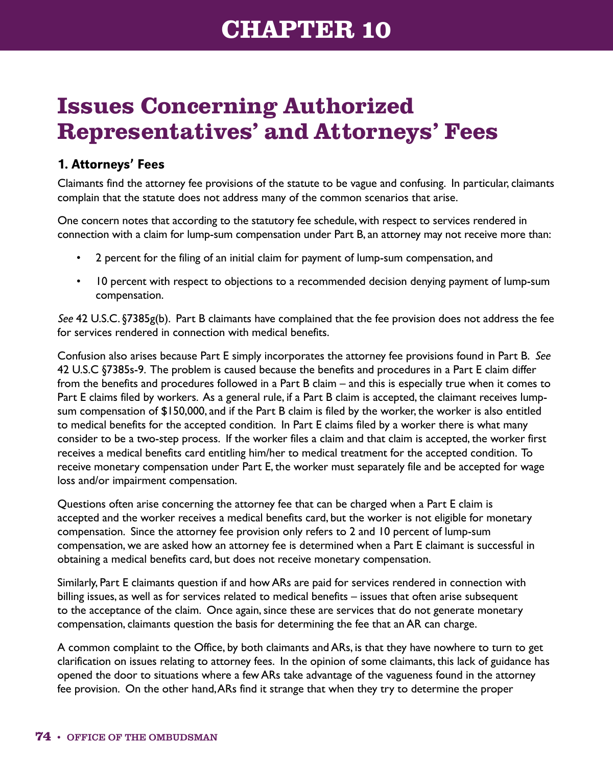# **Issues Concerning Authorized Representatives' and Attorneys' Fees**

### 1. Attorneys' Fees

Claimants find the attorney fee provisions of the statute to be vague and confusing. In particular, claimants complain that the statute does not address many of the common scenarios that arise.

One concern notes that according to the statutory fee schedule, with respect to services rendered in connection with a claim for lump-sum compensation under Part B, an attorney may not receive more than:

- 2 percent for the filing of an initial claim for payment of lump-sum compensation, and
- 10 percent with respect to objections to a recommended decision denying payment of lump-sum compensation.

*See* 42 U.S.C. §7385g(b). Part B claimants have complained that the fee provision does not address the fee for services rendered in connection with medical benefits.

Confusion also arises because Part E simply incorporates the attorney fee provisions found in Part B. *See* 42 U.S.C §7385s-9. The problem is caused because the benefits and procedures in a Part E claim differ from the benefits and procedures followed in a Part B claim – and this is especially true when it comes to Part E claims filed by workers. As a general rule, if a Part B claim is accepted, the claimant receives lumpsum compensation of \$150,000, and if the Part B claim is filed by the worker, the worker is also entitled to medical benefits for the accepted condition. In Part E claims filed by a worker there is what many consider to be a two-step process. If the worker files a claim and that claim is accepted, the worker first receives a medical benefits card entitling him/her to medical treatment for the accepted condition. To receive monetary compensation under Part E, the worker must separately file and be accepted for wage loss and/or impairment compensation.

Questions often arise concerning the attorney fee that can be charged when a Part E claim is accepted and the worker receives a medical benefits card, but the worker is not eligible for monetary compensation. Since the attorney fee provision only refers to 2 and 10 percent of lump-sum compensation, we are asked how an attorney fee is determined when a Part E claimant is successful in obtaining a medical benefits card, but does not receive monetary compensation.

Similarly, Part E claimants question if and how ARs are paid for services rendered in connection with billing issues, as well as for services related to medical benefits – issues that often arise subsequent to the acceptance of the claim. Once again, since these are services that do not generate monetary compensation, claimants question the basis for determining the fee that an AR can charge.

A common complaint to the Office, by both claimants and ARs, is that they have nowhere to turn to get clarification on issues relating to attorney fees. In the opinion of some claimants, this lack of guidance has opened the door to situations where a few ARs take advantage of the vagueness found in the attorney fee provision. On the other hand, ARs find it strange that when they try to determine the proper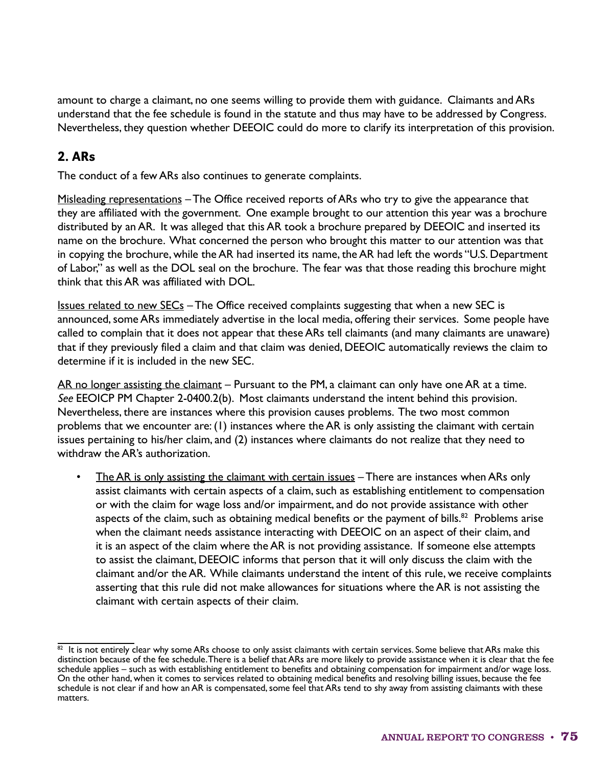amount to charge a claimant, no one seems willing to provide them with guidance. Claimants and ARs understand that the fee schedule is found in the statute and thus may have to be addressed by Congress. Nevertheless, they question whether DEEOIC could do more to clarify its interpretation of this provision.

### 2. ARs

The conduct of a few ARs also continues to generate complaints.

Misleading representations – The Office received reports of ARs who try to give the appearance that they are affiliated with the government. One example brought to our attention this year was a brochure distributed by an AR. It was alleged that this AR took a brochure prepared by DEEOIC and inserted its name on the brochure. What concerned the person who brought this matter to our attention was that in copying the brochure, while the AR had inserted its name, the AR had left the words "U.S. Department of Labor," as well as the DOL seal on the brochure. The fear was that those reading this brochure might think that this AR was affiliated with DOL.

Issues related to new SECs – The Office received complaints suggesting that when a new SEC is announced, some ARs immediately advertise in the local media, offering their services. Some people have called to complain that it does not appear that these ARs tell claimants (and many claimants are unaware) that if they previously filed a claim and that claim was denied, DEEOIC automatically reviews the claim to determine if it is included in the new SEC.

AR no longer assisting the claimant – Pursuant to the PM, a claimant can only have one AR at a time. *See* EEOICP PM Chapter 2-0400.2(b). Most claimants understand the intent behind this provision. Nevertheless, there are instances where this provision causes problems. The two most common problems that we encounter are: (1) instances where the AR is only assisting the claimant with certain issues pertaining to his/her claim, and (2) instances where claimants do not realize that they need to withdraw the AR's authorization.

• The AR is only assisting the claimant with certain issues – There are instances when ARs only assist claimants with certain aspects of a claim, such as establishing entitlement to compensation or with the claim for wage loss and/or impairment, and do not provide assistance with other aspects of the claim, such as obtaining medical benefits or the payment of bills.<sup>82</sup> Problems arise when the claimant needs assistance interacting with DEEOIC on an aspect of their claim, and it is an aspect of the claim where the AR is not providing assistance. If someone else attempts to assist the claimant, DEEOIC informs that person that it will only discuss the claim with the claimant and/or the AR. While claimants understand the intent of this rule, we receive complaints asserting that this rule did not make allowances for situations where the AR is not assisting the claimant with certain aspects of their claim.

 $^{82}$  It is not entirely clear why some ARs choose to only assist claimants with certain services. Some believe that ARs make this distinction because of the fee schedule. There is a belief that ARs are more likely to provide assistance when it is clear that the fee schedule applies – such as with establishing entitlement to benefits and obtaining compensation for impairment and/or wage loss. On the other hand, when it comes to services related to obtaining medical benefits and resolving billing issues, because the fee schedule is not clear if and how an AR is compensated, some feel that ARs tend to shy away from assisting claimants with these matters.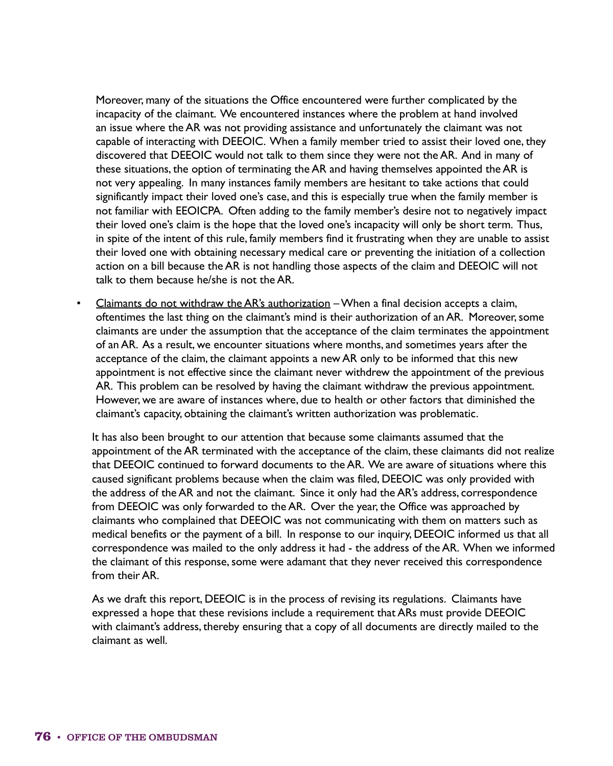Moreover, many of the situations the Office encountered were further complicated by the incapacity of the claimant. We encountered instances where the problem at hand involved an issue where the AR was not providing assistance and unfortunately the claimant was not capable of interacting with DEEOIC. When a family member tried to assist their loved one, they discovered that DEEOIC would not talk to them since they were not the AR. And in many of these situations, the option of terminating the AR and having themselves appointed the AR is not very appealing. In many instances family members are hesitant to take actions that could significantly impact their loved one's case, and this is especially true when the family member is not familiar with EEOICPA. Often adding to the family member's desire not to negatively impact their loved one's claim is the hope that the loved one's incapacity will only be short term. Thus, in spite of the intent of this rule, family members find it frustrating when they are unable to assist their loved one with obtaining necessary medical care or preventing the initiation of a collection action on a bill because the AR is not handling those aspects of the claim and DEEOIC will not talk to them because he/she is not the AR.

• Claimants do not withdraw the AR's authorization – When a final decision accepts a claim, oftentimes the last thing on the claimant's mind is their authorization of an AR. Moreover, some claimants are under the assumption that the acceptance of the claim terminates the appointment of an AR. As a result, we encounter situations where months, and sometimes years after the acceptance of the claim, the claimant appoints a new AR only to be informed that this new appointment is not effective since the claimant never withdrew the appointment of the previous AR. This problem can be resolved by having the claimant withdraw the previous appointment. However, we are aware of instances where, due to health or other factors that diminished the claimant's capacity, obtaining the claimant's written authorization was problematic.

It has also been brought to our attention that because some claimants assumed that the appointment of the AR terminated with the acceptance of the claim, these claimants did not realize that DEEOIC continued to forward documents to the AR. We are aware of situations where this caused significant problems because when the claim was filed, DEEOIC was only provided with the address of the AR and not the claimant. Since it only had the AR's address, correspondence from DEEOIC was only forwarded to the AR. Over the year, the Office was approached by claimants who complained that DEEOIC was not communicating with them on matters such as medical benefits or the payment of a bill. In response to our inquiry, DEEOIC informed us that all correspondence was mailed to the only address it had - the address of the AR. When we informed the claimant of this response, some were adamant that they never received this correspondence from their AR.

As we draft this report, DEEOIC is in the process of revising its regulations. Claimants have expressed a hope that these revisions include a requirement that ARs must provide DEEOIC with claimant's address, thereby ensuring that a copy of all documents are directly mailed to the claimant as well.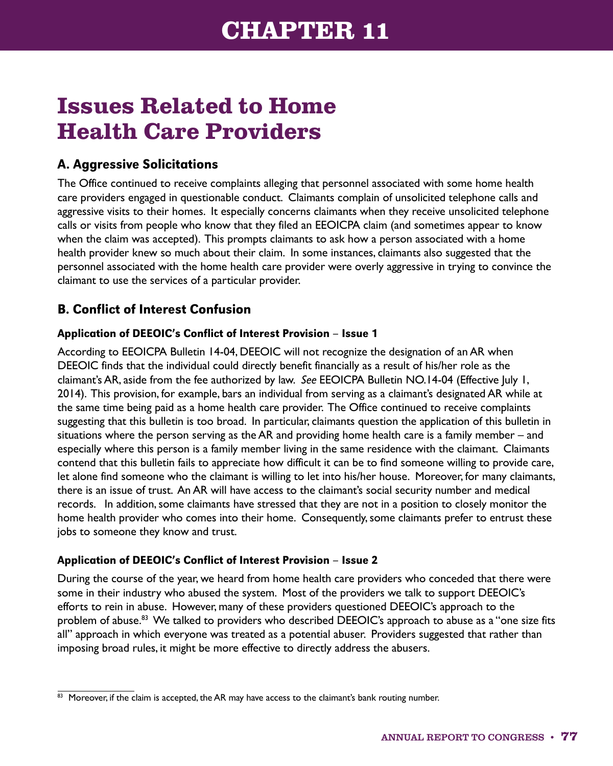# **Issues Related to Home Health Care Providers**

### A. Aggressive Solicitations

The Office continued to receive complaints alleging that personnel associated with some home health care providers engaged in questionable conduct. Claimants complain of unsolicited telephone calls and aggressive visits to their homes. It especially concerns claimants when they receive unsolicited telephone calls or visits from people who know that they filed an EEOICPA claim (and sometimes appear to know when the claim was accepted). This prompts claimants to ask how a person associated with a home health provider knew so much about their claim. In some instances, claimants also suggested that the personnel associated with the home health care provider were overly aggressive in trying to convince the claimant to use the services of a particular provider.

### B. Conflict of Interest Confusion

#### Application of DEEOIC's Conflict of Interest Provision – Issue 1

According to EEOICPA Bulletin 14-04, DEEOIC will not recognize the designation of an AR when DEEOIC finds that the individual could directly benefit financially as a result of his/her role as the claimant's AR, aside from the fee authorized by law. *See* EEOICPA Bulletin NO.14-04 (Effective July 1, 2014). This provision, for example, bars an individual from serving as a claimant's designated AR while at the same time being paid as a home health care provider. The Office continued to receive complaints suggesting that this bulletin is too broad. In particular, claimants question the application of this bulletin in situations where the person serving as the AR and providing home health care is a family member – and especially where this person is a family member living in the same residence with the claimant. Claimants contend that this bulletin fails to appreciate how difficult it can be to find someone willing to provide care, let alone find someone who the claimant is willing to let into his/her house. Moreover, for many claimants, there is an issue of trust. An AR will have access to the claimant's social security number and medical records. In addition, some claimants have stressed that they are not in a position to closely monitor the home health provider who comes into their home. Consequently, some claimants prefer to entrust these jobs to someone they know and trust.

#### Application of DEEOIC's Conflict of Interest Provision – Issue 2

During the course of the year, we heard from home health care providers who conceded that there were some in their industry who abused the system. Most of the providers we talk to support DEEOIC's efforts to rein in abuse. However, many of these providers questioned DEEOIC's approach to the problem of abuse.<sup>83</sup> We talked to providers who described DEEOIC's approach to abuse as a "one size fits all" approach in which everyone was treated as a potential abuser. Providers suggested that rather than imposing broad rules, it might be more effective to directly address the abusers.

 $\overline{^{83}}$  Moreover, if the claim is accepted, the AR may have access to the claimant's bank routing number.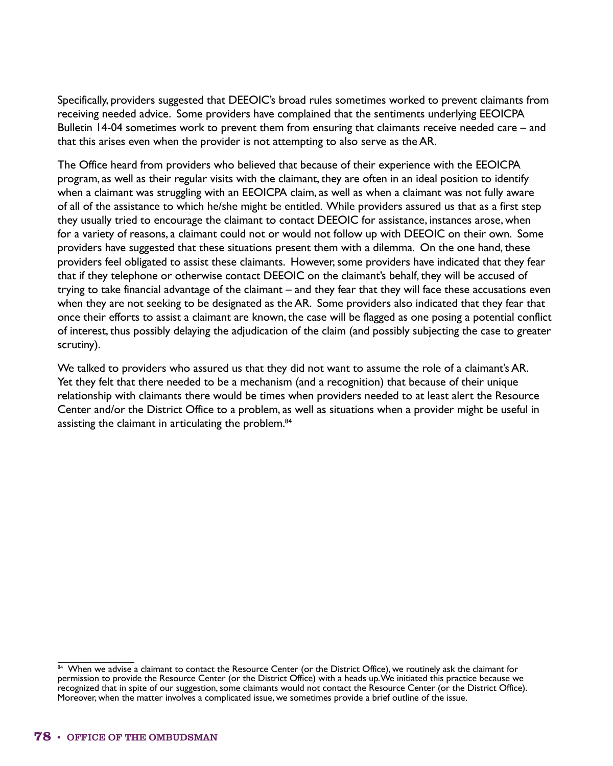Specifically, providers suggested that DEEOIC's broad rules sometimes worked to prevent claimants from receiving needed advice. Some providers have complained that the sentiments underlying EEOICPA Bulletin 14-04 sometimes work to prevent them from ensuring that claimants receive needed care – and that this arises even when the provider is not attempting to also serve as the AR.

The Office heard from providers who believed that because of their experience with the EEOICPA program, as well as their regular visits with the claimant, they are often in an ideal position to identify when a claimant was struggling with an EEOICPA claim, as well as when a claimant was not fully aware of all of the assistance to which he/she might be entitled. While providers assured us that as a first step they usually tried to encourage the claimant to contact DEEOIC for assistance, instances arose, when for a variety of reasons, a claimant could not or would not follow up with DEEOIC on their own. Some providers have suggested that these situations present them with a dilemma. On the one hand, these providers feel obligated to assist these claimants. However, some providers have indicated that they fear that if they telephone or otherwise contact DEEOIC on the claimant's behalf, they will be accused of trying to take financial advantage of the claimant – and they fear that they will face these accusations even when they are not seeking to be designated as the AR. Some providers also indicated that they fear that once their efforts to assist a claimant are known, the case will be flagged as one posing a potential conflict of interest, thus possibly delaying the adjudication of the claim (and possibly subjecting the case to greater scrutiny).

We talked to providers who assured us that they did not want to assume the role of a claimant's AR. Yet they felt that there needed to be a mechanism (and a recognition) that because of their unique relationship with claimants there would be times when providers needed to at least alert the Resource Center and/or the District Office to a problem, as well as situations when a provider might be useful in assisting the claimant in articulating the problem.<sup>84</sup>

<sup>84</sup> When we advise a claimant to contact the Resource Center (or the District Office), we routinely ask the claimant for permission to provide the Resource Center (or the District Office) with a heads up. We initiated this practice because we recognized that in spite of our suggestion, some claimants would not contact the Resource Center (or the District Office). Moreover, when the matter involves a complicated issue, we sometimes provide a brief outline of the issue.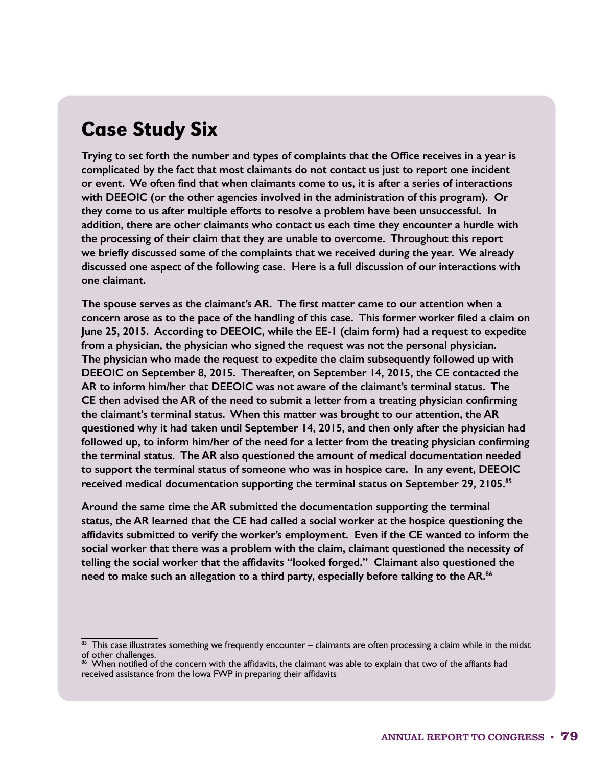## Case Study Six

**Trying to set forth the number and types of complaints that the Office receives in a year is complicated by the fact that most claimants do not contact us just to report one incident or event. We often find that when claimants come to us, it is after a series of interactions with DEEOIC (or the other agencies involved in the administration of this program). Or they come to us after multiple efforts to resolve a problem have been unsuccessful. In addition, there are other claimants who contact us each time they encounter a hurdle with the processing of their claim that they are unable to overcome. Throughout this report we briefly discussed some of the complaints that we received during the year. We already discussed one aspect of the following case. Here is a full discussion of our interactions with one claimant.**

**The spouse serves as the claimant's AR. The first matter came to our attention when a concern arose as to the pace of the handling of this case. This former worker filed a claim on June 25, 2015. According to DEEOIC, while the EE-1 (claim form) had a request to expedite from a physician, the physician who signed the request was not the personal physician. The physician who made the request to expedite the claim subsequently followed up with DEEOIC on September 8, 2015. Thereafter, on September 14, 2015, the CE contacted the AR to inform him/her that DEEOIC was not aware of the claimant's terminal status. The CE then advised the AR of the need to submit a letter from a treating physician confirming the claimant's terminal status. When this matter was brought to our attention, the AR questioned why it had taken until September 14, 2015, and then only after the physician had followed up, to inform him/her of the need for a letter from the treating physician confirming the terminal status. The AR also questioned the amount of medical documentation needed to support the terminal status of someone who was in hospice care. In any event, DEEOIC received medical documentation supporting the terminal status on September 29, 2105.85**

**Around the same time the AR submitted the documentation supporting the terminal status, the AR learned that the CE had called a social worker at the hospice questioning the affidavits submitted to verify the worker's employment. Even if the CE wanted to inform the social worker that there was a problem with the claim, claimant questioned the necessity of telling the social worker that the affidavits "looked forged." Claimant also questioned the need to make such an allegation to a third party, especially before talking to the AR.86**

 $85$  This case illustrates something we frequently encounter – claimants are often processing a claim while in the midst of other challenges.

<sup>86</sup> When notified of the concern with the affidavits, the claimant was able to explain that two of the affiants had received assistance from the Iowa FWP in preparing their affidavits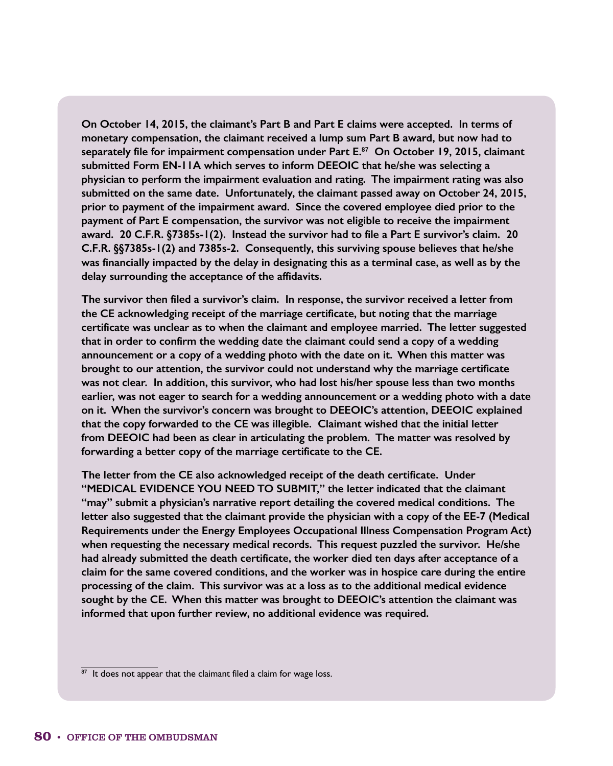**On October 14, 2015, the claimant's Part B and Part E claims were accepted. In terms of monetary compensation, the claimant received a lump sum Part B award, but now had to separately file for impairment compensation under Part E.<sup>87</sup> On October 19, 2015, claimant submitted Form EN-11A which serves to inform DEEOIC that he/she was selecting a physician to perform the impairment evaluation and rating. The impairment rating was also submitted on the same date. Unfortunately, the claimant passed away on October 24, 2015, prior to payment of the impairment award. Since the covered employee died prior to the payment of Part E compensation, the survivor was not eligible to receive the impairment award. 20 C.F.R. §7385s-1(2). Instead the survivor had to file a Part E survivor's claim. 20 C.F.R. §§7385s-1(2) and 7385s-2. Consequently, this surviving spouse believes that he/she was financially impacted by the delay in designating this as a terminal case, as well as by the delay surrounding the acceptance of the affidavits.**

**The survivor then filed a survivor's claim. In response, the survivor received a letter from the CE acknowledging receipt of the marriage certificate, but noting that the marriage certificate was unclear as to when the claimant and employee married. The letter suggested that in order to confirm the wedding date the claimant could send a copy of a wedding announcement or a copy of a wedding photo with the date on it. When this matter was brought to our attention, the survivor could not understand why the marriage certificate was not clear. In addition, this survivor, who had lost his/her spouse less than two months earlier, was not eager to search for a wedding announcement or a wedding photo with a date on it. When the survivor's concern was brought to DEEOIC's attention, DEEOIC explained that the copy forwarded to the CE was illegible. Claimant wished that the initial letter from DEEOIC had been as clear in articulating the problem. The matter was resolved by forwarding a better copy of the marriage certificate to the CE.**

**The letter from the CE also acknowledged receipt of the death certificate. Under "MEDICAL EVIDENCE YOU NEED TO SUBMIT," the letter indicated that the claimant "may" submit a physician's narrative report detailing the covered medical conditions. The letter also suggested that the claimant provide the physician with a copy of the EE-7 (Medical Requirements under the Energy Employees Occupational Illness Compensation Program Act) when requesting the necessary medical records. This request puzzled the survivor. He/she had already submitted the death certificate, the worker died ten days after acceptance of a claim for the same covered conditions, and the worker was in hospice care during the entire processing of the claim. This survivor was at a loss as to the additional medical evidence sought by the CE. When this matter was brought to DEEOIC's attention the claimant was informed that upon further review, no additional evidence was required.**

 $\frac{87}{10}$  It does not appear that the claimant filed a claim for wage loss.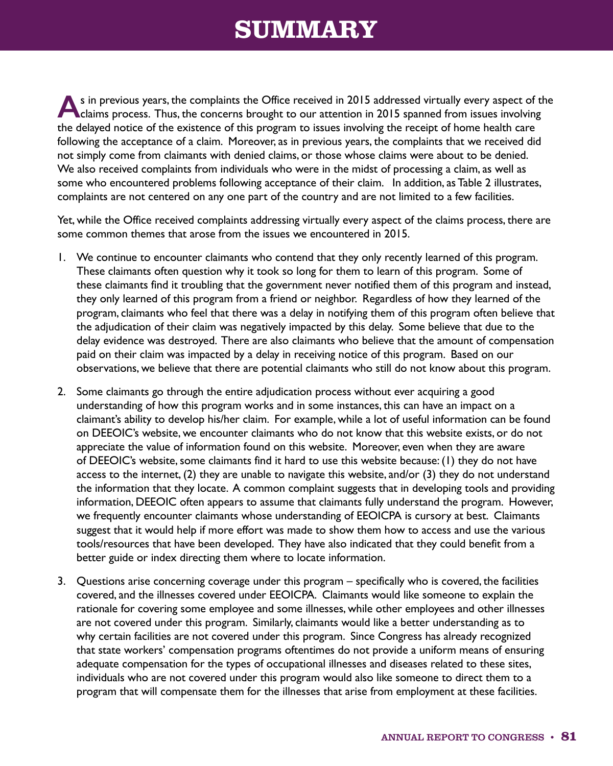# **SUMMARY**

**A**s in previous years, the complaints the Office received in 2015 addressed virtually every aspect of the claims process. Thus, the concerns brought to our attention in 2015 spanned from issues involving the delayed notice of the existence of this program to issues involving the receipt of home health care following the acceptance of a claim. Moreover, as in previous years, the complaints that we received did not simply come from claimants with denied claims, or those whose claims were about to be denied. We also received complaints from individuals who were in the midst of processing a claim, as well as some who encountered problems following acceptance of their claim. In addition, as Table 2 illustrates, complaints are not centered on any one part of the country and are not limited to a few facilities.

Yet, while the Office received complaints addressing virtually every aspect of the claims process, there are some common themes that arose from the issues we encountered in 2015.

- 1. We continue to encounter claimants who contend that they only recently learned of this program. These claimants often question why it took so long for them to learn of this program. Some of these claimants find it troubling that the government never notified them of this program and instead, they only learned of this program from a friend or neighbor. Regardless of how they learned of the program, claimants who feel that there was a delay in notifying them of this program often believe that the adjudication of their claim was negatively impacted by this delay. Some believe that due to the delay evidence was destroyed. There are also claimants who believe that the amount of compensation paid on their claim was impacted by a delay in receiving notice of this program. Based on our observations, we believe that there are potential claimants who still do not know about this program.
- 2. Some claimants go through the entire adjudication process without ever acquiring a good understanding of how this program works and in some instances, this can have an impact on a claimant's ability to develop his/her claim. For example, while a lot of useful information can be found on DEEOIC's website, we encounter claimants who do not know that this website exists, or do not appreciate the value of information found on this website. Moreover, even when they are aware of DEEOIC's website, some claimants find it hard to use this website because: (1) they do not have access to the internet, (2) they are unable to navigate this website, and/or (3) they do not understand the information that they locate. A common complaint suggests that in developing tools and providing information, DEEOIC often appears to assume that claimants fully understand the program. However, we frequently encounter claimants whose understanding of EEOICPA is cursory at best. Claimants suggest that it would help if more effort was made to show them how to access and use the various tools/resources that have been developed. They have also indicated that they could benefit from a better guide or index directing them where to locate information.
- 3. Questions arise concerning coverage under this program specifically who is covered, the facilities covered, and the illnesses covered under EEOICPA. Claimants would like someone to explain the rationale for covering some employee and some illnesses, while other employees and other illnesses are not covered under this program. Similarly, claimants would like a better understanding as to why certain facilities are not covered under this program. Since Congress has already recognized that state workers' compensation programs oftentimes do not provide a uniform means of ensuring adequate compensation for the types of occupational illnesses and diseases related to these sites, individuals who are not covered under this program would also like someone to direct them to a program that will compensate them for the illnesses that arise from employment at these facilities.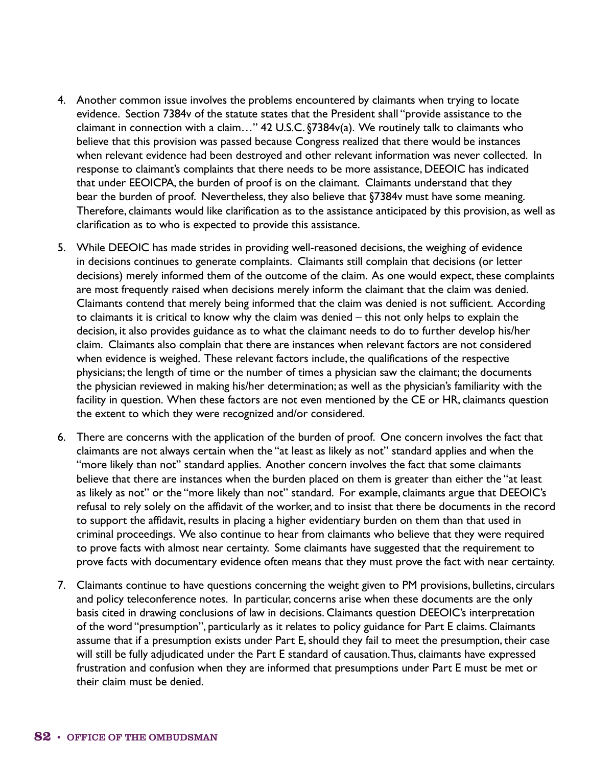- 4. Another common issue involves the problems encountered by claimants when trying to locate evidence. Section 7384v of the statute states that the President shall "provide assistance to the claimant in connection with a claim…" 42 U.S.C. §7384v(a). We routinely talk to claimants who believe that this provision was passed because Congress realized that there would be instances when relevant evidence had been destroyed and other relevant information was never collected. In response to claimant's complaints that there needs to be more assistance, DEEOIC has indicated that under EEOICPA, the burden of proof is on the claimant. Claimants understand that they bear the burden of proof. Nevertheless, they also believe that §7384v must have some meaning. Therefore, claimants would like clarification as to the assistance anticipated by this provision, as well as clarification as to who is expected to provide this assistance.
- 5. While DEEOIC has made strides in providing well-reasoned decisions, the weighing of evidence in decisions continues to generate complaints. Claimants still complain that decisions (or letter decisions) merely informed them of the outcome of the claim. As one would expect, these complaints are most frequently raised when decisions merely inform the claimant that the claim was denied. Claimants contend that merely being informed that the claim was denied is not sufficient. According to claimants it is critical to know why the claim was denied – this not only helps to explain the decision, it also provides guidance as to what the claimant needs to do to further develop his/her claim. Claimants also complain that there are instances when relevant factors are not considered when evidence is weighed. These relevant factors include, the qualifications of the respective physicians; the length of time or the number of times a physician saw the claimant; the documents the physician reviewed in making his/her determination; as well as the physician's familiarity with the facility in question. When these factors are not even mentioned by the CE or HR, claimants question the extent to which they were recognized and/or considered.
- 6. There are concerns with the application of the burden of proof. One concern involves the fact that claimants are not always certain when the "at least as likely as not" standard applies and when the "more likely than not" standard applies. Another concern involves the fact that some claimants believe that there are instances when the burden placed on them is greater than either the "at least as likely as not" or the "more likely than not" standard. For example, claimants argue that DEEOIC's refusal to rely solely on the affidavit of the worker, and to insist that there be documents in the record to support the affidavit, results in placing a higher evidentiary burden on them than that used in criminal proceedings. We also continue to hear from claimants who believe that they were required to prove facts with almost near certainty. Some claimants have suggested that the requirement to prove facts with documentary evidence often means that they must prove the fact with near certainty.
- 7. Claimants continue to have questions concerning the weight given to PM provisions, bulletins, circulars and policy teleconference notes. In particular, concerns arise when these documents are the only basis cited in drawing conclusions of law in decisions. Claimants question DEEOIC's interpretation of the word "presumption", particularly as it relates to policy guidance for Part E claims. Claimants assume that if a presumption exists under Part E, should they fail to meet the presumption, their case will still be fully adjudicated under the Part E standard of causation. Thus, claimants have expressed frustration and confusion when they are informed that presumptions under Part E must be met or their claim must be denied.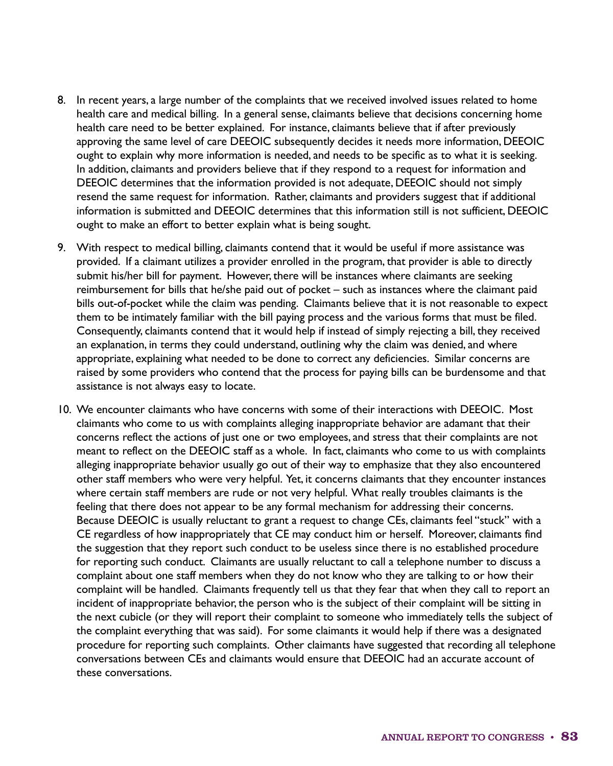- 8. In recent years, a large number of the complaints that we received involved issues related to home health care and medical billing. In a general sense, claimants believe that decisions concerning home health care need to be better explained. For instance, claimants believe that if after previously approving the same level of care DEEOIC subsequently decides it needs more information, DEEOIC ought to explain why more information is needed, and needs to be specific as to what it is seeking. In addition, claimants and providers believe that if they respond to a request for information and DEEOIC determines that the information provided is not adequate, DEEOIC should not simply resend the same request for information. Rather, claimants and providers suggest that if additional information is submitted and DEEOIC determines that this information still is not sufficient, DEEOIC ought to make an effort to better explain what is being sought.
- 9. With respect to medical billing, claimants contend that it would be useful if more assistance was provided. If a claimant utilizes a provider enrolled in the program, that provider is able to directly submit his/her bill for payment. However, there will be instances where claimants are seeking reimbursement for bills that he/she paid out of pocket – such as instances where the claimant paid bills out-of-pocket while the claim was pending. Claimants believe that it is not reasonable to expect them to be intimately familiar with the bill paying process and the various forms that must be filed. Consequently, claimants contend that it would help if instead of simply rejecting a bill, they received an explanation, in terms they could understand, outlining why the claim was denied, and where appropriate, explaining what needed to be done to correct any deficiencies. Similar concerns are raised by some providers who contend that the process for paying bills can be burdensome and that assistance is not always easy to locate.
- 10. We encounter claimants who have concerns with some of their interactions with DEEOIC. Most claimants who come to us with complaints alleging inappropriate behavior are adamant that their concerns reflect the actions of just one or two employees, and stress that their complaints are not meant to reflect on the DEEOIC staff as a whole. In fact, claimants who come to us with complaints alleging inappropriate behavior usually go out of their way to emphasize that they also encountered other staff members who were very helpful. Yet, it concerns claimants that they encounter instances where certain staff members are rude or not very helpful. What really troubles claimants is the feeling that there does not appear to be any formal mechanism for addressing their concerns. Because DEEOIC is usually reluctant to grant a request to change CEs, claimants feel "stuck" with a CE regardless of how inappropriately that CE may conduct him or herself. Moreover, claimants find the suggestion that they report such conduct to be useless since there is no established procedure for reporting such conduct. Claimants are usually reluctant to call a telephone number to discuss a complaint about one staff members when they do not know who they are talking to or how their complaint will be handled. Claimants frequently tell us that they fear that when they call to report an incident of inappropriate behavior, the person who is the subject of their complaint will be sitting in the next cubicle (or they will report their complaint to someone who immediately tells the subject of the complaint everything that was said). For some claimants it would help if there was a designated procedure for reporting such complaints. Other claimants have suggested that recording all telephone conversations between CEs and claimants would ensure that DEEOIC had an accurate account of these conversations.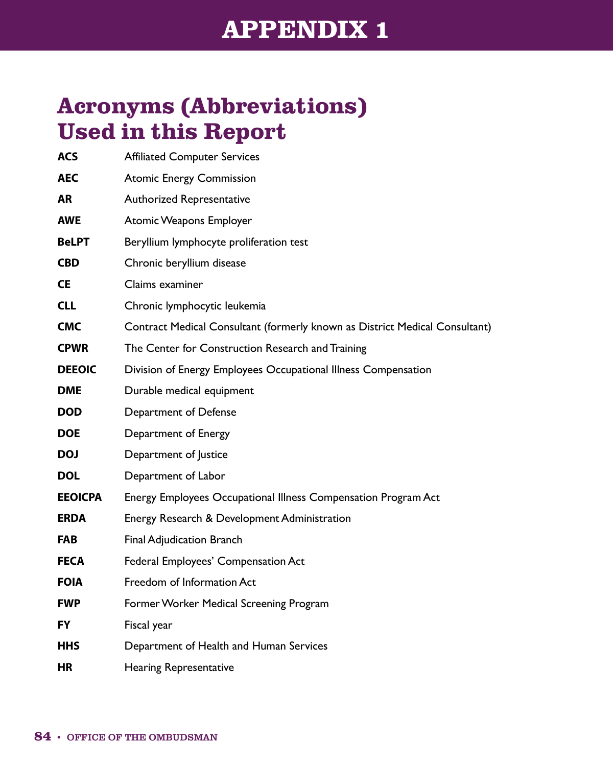# **APPENDIX 1**

# **Acronyms (Abbreviations) Used in this Report**

| <b>ACS</b>     | <b>Affiliated Computer Services</b>                                         |
|----------------|-----------------------------------------------------------------------------|
| <b>AEC</b>     | <b>Atomic Energy Commission</b>                                             |
| AR             | Authorized Representative                                                   |
| <b>AWE</b>     | Atomic Weapons Employer                                                     |
| <b>BeLPT</b>   | Beryllium lymphocyte proliferation test                                     |
| <b>CBD</b>     | Chronic beryllium disease                                                   |
| СE             | Claims examiner                                                             |
| <b>CLL</b>     | Chronic lymphocytic leukemia                                                |
| <b>CMC</b>     | Contract Medical Consultant (formerly known as District Medical Consultant) |
| <b>CPWR</b>    | The Center for Construction Research and Training                           |
| <b>DEEOIC</b>  | Division of Energy Employees Occupational Illness Compensation              |
| <b>DME</b>     | Durable medical equipment                                                   |
| DOD            | Department of Defense                                                       |
| DOE.           | Department of Energy                                                        |
| <b>DOJ</b>     | Department of Justice                                                       |
| <b>DOL</b>     | Department of Labor                                                         |
| <b>EEOICPA</b> | Energy Employees Occupational Illness Compensation Program Act              |
| <b>ERDA</b>    | Energy Research & Development Administration                                |
| FAB.           | <b>Final Adjudication Branch</b>                                            |
| <b>FECA</b>    | Federal Employees' Compensation Act                                         |
| <b>FOIA</b>    | Freedom of Information Act                                                  |
| <b>FWP</b>     | Former Worker Medical Screening Program                                     |
| FY.            | Fiscal year                                                                 |
| HHS.           | Department of Health and Human Services                                     |
| HR.            | <b>Hearing Representative</b>                                               |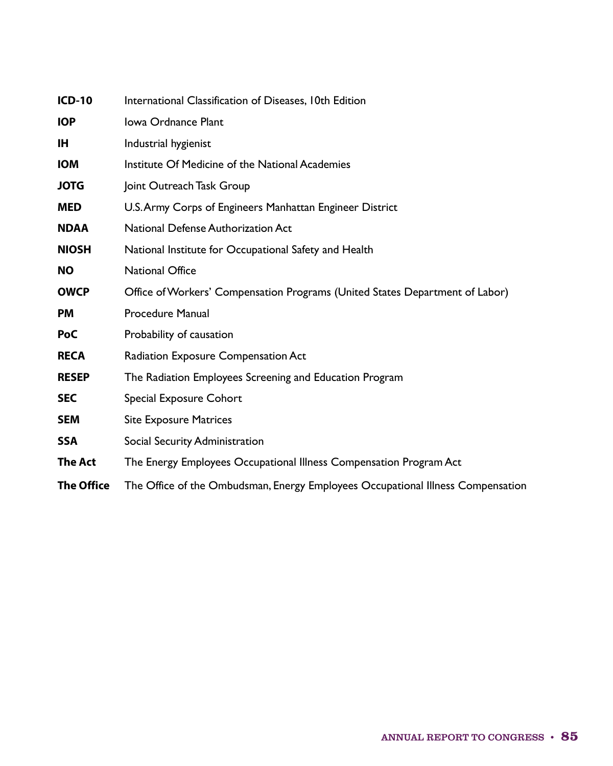| <b>ICD-10</b>     | International Classification of Diseases, 10th Edition                          |
|-------------------|---------------------------------------------------------------------------------|
| <b>IOP</b>        | Iowa Ordnance Plant                                                             |
| <b>IH</b>         | Industrial hygienist                                                            |
| <b>IOM</b>        | Institute Of Medicine of the National Academies                                 |
| <b>JOTG</b>       | Joint Outreach Task Group                                                       |
| <b>MED</b>        | U.S. Army Corps of Engineers Manhattan Engineer District                        |
| <b>NDAA</b>       | <b>National Defense Authorization Act</b>                                       |
| <b>NIOSH</b>      | National Institute for Occupational Safety and Health                           |
| <b>NO</b>         | <b>National Office</b>                                                          |
| <b>OWCP</b>       | Office of Workers' Compensation Programs (United States Department of Labor)    |
| <b>PM</b>         | <b>Procedure Manual</b>                                                         |
| <b>PoC</b>        | Probability of causation                                                        |
| <b>RECA</b>       | Radiation Exposure Compensation Act                                             |
| <b>RESEP</b>      | The Radiation Employees Screening and Education Program                         |
| <b>SEC</b>        | Special Exposure Cohort                                                         |
| <b>SEM</b>        | <b>Site Exposure Matrices</b>                                                   |
| <b>SSA</b>        | Social Security Administration                                                  |
| The Act           | The Energy Employees Occupational Illness Compensation Program Act              |
| <b>The Office</b> | The Office of the Ombudsman, Energy Employees Occupational Illness Compensation |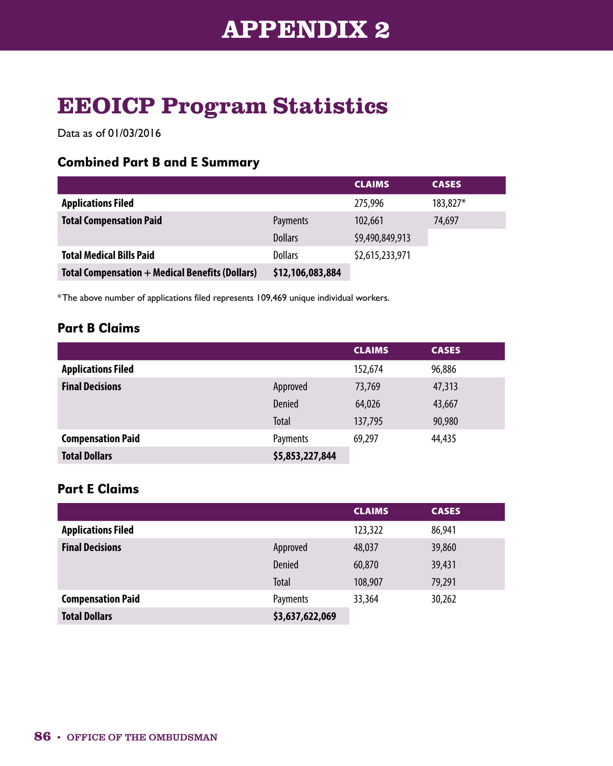# **EEOICP Program Statistics**

Data as of 01/03/2016

#### Combined Part B and E Summary

|                                                        |                  | <b>CLAIMS</b>   | <b>CASES</b> |
|--------------------------------------------------------|------------------|-----------------|--------------|
| <b>Applications Filed</b>                              |                  | 275,996         | 183,827*     |
| <b>Total Compensation Paid</b>                         | Payments         | 102,661         | 74,697       |
|                                                        | <b>Dollars</b>   | \$9,490,849,913 |              |
| <b>Total Medical Bills Paid</b>                        | <b>Dollars</b>   | \$2,615,233,971 |              |
| <b>Total Compensation + Medical Benefits (Dollars)</b> | \$12,106,083,884 |                 |              |

\*The above number of applications filed represents 109,469 unique individual workers.

### Part B Claims

|                           |                 | <b>CLAIMS</b> | <b>CASES</b> |
|---------------------------|-----------------|---------------|--------------|
| <b>Applications Filed</b> |                 | 152,674       | 96,886       |
| <b>Final Decisions</b>    | Approved        | 73,769        | 47,313       |
|                           | Denied          | 64,026        | 43,667       |
|                           | Total           | 137,795       | 90,980       |
| <b>Compensation Paid</b>  | Payments        | 69,297        | 44,435       |
| <b>Total Dollars</b>      | \$5,853,227,844 |               |              |

### Part E Claims

|                           |                 | <b>CLAIMS</b> | <b>CASES</b> |
|---------------------------|-----------------|---------------|--------------|
| <b>Applications Filed</b> |                 | 123,322       | 86,941       |
| <b>Final Decisions</b>    | Approved        | 48,037        | 39,860       |
|                           | Denied          | 60,870        | 39,431       |
|                           | <b>Total</b>    | 108,907       | 79,291       |
| <b>Compensation Paid</b>  | Payments        | 33,364        | 30,262       |
| <b>Total Dollars</b>      | \$3,637,622,069 |               |              |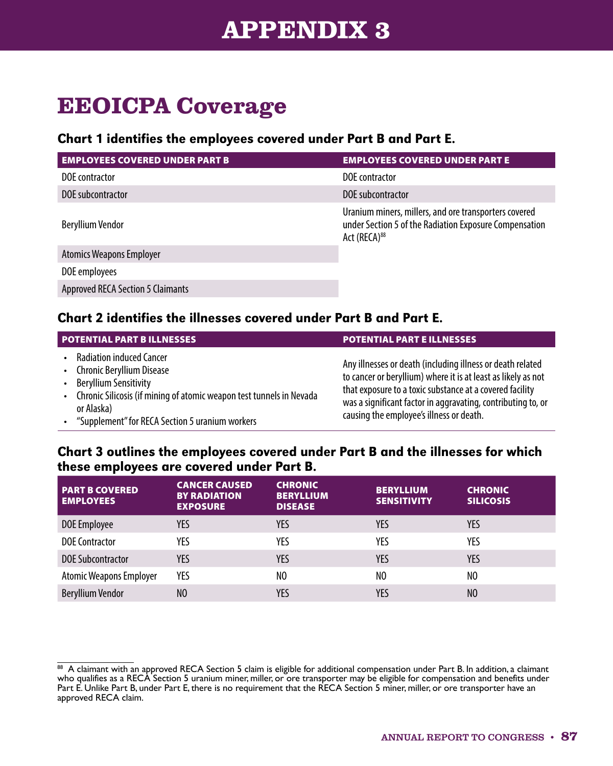# **APPENDIX 3**

# **EEOICPA Coverage**

#### Chart 1 identifies the employees covered under Part B and Part E.

| <b>EMPLOYEES COVERED UNDER PART B</b>    | <b>EMPLOYEES COVERED UNDER PART E</b>                                                                                                       |  |
|------------------------------------------|---------------------------------------------------------------------------------------------------------------------------------------------|--|
| DOE contractor                           | DOE contractor                                                                                                                              |  |
| DOE subcontractor                        | DOE subcontractor                                                                                                                           |  |
| <b>Beryllium Vendor</b>                  | Uranium miners, millers, and ore transporters covered<br>under Section 5 of the Radiation Exposure Compensation<br>Act (RECA) <sup>88</sup> |  |
| <b>Atomics Weapons Employer</b>          |                                                                                                                                             |  |
| DOE employees                            |                                                                                                                                             |  |
| <b>Approved RECA Section 5 Claimants</b> |                                                                                                                                             |  |

#### Chart 2 identifies the illnesses covered under Part B and Part E.

| <b>POTENTIAL PART BILLNESSES</b>                                                                                                                                                                                                     | <b>POTENTIAL PART E ILLNESSES</b>                                                                                                                                                                                                                                                                   |
|--------------------------------------------------------------------------------------------------------------------------------------------------------------------------------------------------------------------------------------|-----------------------------------------------------------------------------------------------------------------------------------------------------------------------------------------------------------------------------------------------------------------------------------------------------|
| <b>Radiation induced Cancer</b><br>• Chronic Beryllium Disease<br>• Beryllium Sensitivity<br>• Chronic Silicosis (if mining of atomic weapon test tunnels in Nevada<br>or Alaska)<br>"Supplement" for RECA Section 5 uranium workers | Any illnesses or death (including illness or death related<br>to cancer or beryllium) where it is at least as likely as not<br>that exposure to a toxic substance at a covered facility<br>was a significant factor in aggravating, contributing to, or<br>causing the employee's illness or death. |

#### Chart 3 outlines the employees covered under Part B and the illnesses for which these employees are covered under Part B.

| <b>PART B COVERED</b><br><b>EMPLOYEES</b> | <b>CANCER CAUSED</b><br><b>BY RADIATION</b><br><b>EXPOSURE</b> | <b>CHRONIC</b><br><b>BERYLLIUM</b><br><b>DISEASE</b> | <b>BERYLLIUM</b><br><b>SENSITIVITY</b> | <b>CHRONIC</b><br><b>SILICOSIS</b> |
|-------------------------------------------|----------------------------------------------------------------|------------------------------------------------------|----------------------------------------|------------------------------------|
| DOE Employee                              | YES                                                            | YES                                                  | YES                                    | YES                                |
| <b>DOE Contractor</b>                     | YES                                                            | YES                                                  | YES                                    | YES                                |
| <b>DOE Subcontractor</b>                  | <b>YES</b>                                                     | YES                                                  | <b>YES</b>                             | <b>YES</b>                         |
| <b>Atomic Weapons Employer</b>            | YES                                                            | NO                                                   | NO                                     | NO                                 |
| <b>Beryllium Vendor</b>                   | N <sub>0</sub>                                                 | YES                                                  | YES                                    | N <sub>0</sub>                     |

<sup>88</sup> A claimant with an approved RECA Section 5 claim is eligible for additional compensation under Part B. In addition, a claimant who qualifies as a RECA Section 5 uranium miner, miller, or ore transporter may be eligible for compensation and benefits under Part E. Unlike Part B, under Part E, there is no requirement that the RECA Section 5 miner, miller, or ore transporter have an approved RECA claim.